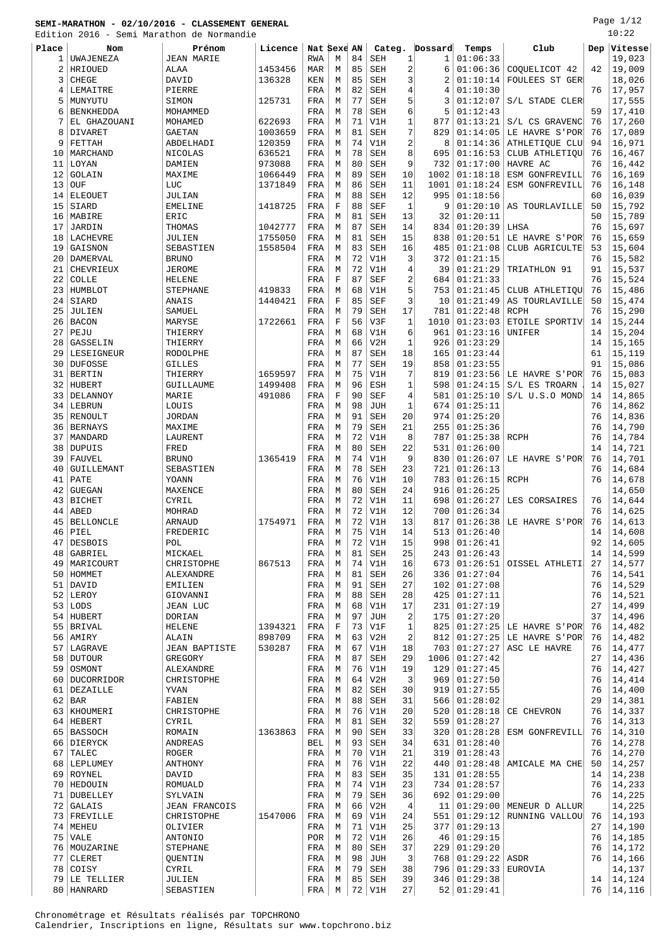Edition 2016 - Semi Marathon de Normandie

Page 1/12 10:22

|       |                  | Edition 2016 - Semi Marathon de Normandie |         |             |             |    |            |                         |         |                |                 |    | ⊥∪∙∠∠       |
|-------|------------------|-------------------------------------------|---------|-------------|-------------|----|------------|-------------------------|---------|----------------|-----------------|----|-------------|
| Place | Nom              | Prénom                                    | Licence | Nat Sexe AN |             |    | Categ.     |                         | Dossard | Temps          | Club            |    | Dep Vitesse |
| 1     | UWAJENEZA        | <b>JEAN MARIE</b>                         |         | <b>RWA</b>  | M           | 84 | <b>SEH</b> | 1                       | 1       | 01:06:33       |                 |    | 19,023      |
| 2     | HRIOUED          | ALAA                                      | 1453456 | MAR         | М           | 85 | SEH        | 2                       | 6       | 01:06:36       | COOUELICOT 42   | 42 | 19,009      |
|       |                  |                                           | 136328  |             |             | 85 |            |                         | 2       |                |                 |    |             |
| 3     | CHEGE            | DAVID                                     |         | KEN         | M           |    | SEH        | 3                       |         | 01:10:14       | FOULEES ST GER  |    | 18,026      |
| 4     | LEMAITRE         | PIERRE                                    |         | FRA         | М           | 82 | <b>SEH</b> | 4                       | 4       | 01:10:30       |                 | 76 | 17,957      |
| 5     | MUNYUTU          | SIMON                                     | 125731  | FRA         | M           | 77 | SEH        | 5                       | 3       | 01:12:07       | S/L STADE CLERI |    | 17,555      |
| 6     | <b>BENKHEDDA</b> | MOHAMMED                                  |         | FRA         | M           | 78 | SEH        | 6                       | 5       | 01:12:43       |                 | 59 | 17,410      |
| 7     | EL GHAZOUANI     | MOHAMED                                   | 622693  | FRA         | M           | 71 | V1H        | 1                       | 877     | 01:13:21       | S/L CS GRAVENC  | 76 | 17,260      |
| 8     | DIVARET          | <b>GAETAN</b>                             | 1003659 | FRA         | M           | 81 | SEH        | 7                       | 829     | 01:14:05       | LE HAVRE S'POR' | 76 | 17,089      |
| 9     | FETTAH           | ABDELHADI                                 | 120359  | FRA         | M           | 74 | V1H        | $\overline{\mathbf{c}}$ | 8       | 01:14:36       | ATHLETIQUE CLU  | 94 | 16,971      |
| 10    | MARCHAND         | <b>NICOLAS</b>                            | 636521  | FRA         | М           | 78 | <b>SEH</b> | 8                       | 695     | 01:16:53       | CLUB ATHLETIQU  | 76 | 16,467      |
|       |                  |                                           |         |             |             |    |            |                         |         |                |                 |    |             |
| 11    | LOYAN            | DAMIEN                                    | 973088  | FRA         | M           | 80 | SEH        | 9                       | 732     | 01:17:00       | HAVRE AC        | 76 | 16,442      |
| 12    | GOLAIN           | MAXIME                                    | 1066449 | FRA         | M           | 89 | SEH        | 10                      | 1002    | 01:18:18       | ESM GONFREVILL  | 76 | 16,169      |
| 13    | OUF              | LUC                                       | 1371849 | FRA         | M           | 86 | SEH        | 11                      | 1001    | 01:18:24       | ESM GONFREVILL  | 76 | 16,148      |
| 14    | <b>ELEOUET</b>   | JULIAN                                    |         | FRA         | M           | 88 | SEH        | 12                      | 995     | 01:18:56       |                 | 60 | 16,039      |
| 15    | SIARD            | <b>EMELINE</b>                            | 1418725 | FRA         | $\mathbf F$ | 88 | <b>SEF</b> | 1                       | 9       | 01:20:10       | AS TOURLAVILLE  | 50 | 15,792      |
| 16    | MABIRE           | ERIC                                      |         | FRA         | M           | 81 | <b>SEH</b> | 13                      | 32      | 01:20:11       |                 | 50 | 15,789      |
| 17    | JARDIN           | THOMAS                                    | 1042777 | FRA         | М           | 87 | SEH        | 14                      | 834     | 01:20:39       | LHSA            | 76 | 15,697      |
|       |                  |                                           |         |             |             |    |            |                         |         |                |                 |    |             |
| 18    | LACHEVRE         | JULIEN                                    | 1755050 | FRA         | М           | 81 | <b>SEH</b> | 15                      | 838     | 01:20:51       | LE HAVRE S'POR' | 76 | 15,659      |
| 19    | GAISNON          | SEBASTIEN                                 | 1558504 | FRA         | М           | 83 | SEH        | 16                      | 485     | 01:21:08       | CLUB AGRICULTE  | 53 | 15,604      |
| 20    | DAMERVAL         | <b>BRUNO</b>                              |         | FRA         | M           | 72 | V1H        | 3                       | 372     | 01:21:15       |                 | 76 | 15,582      |
| 21    | CHEVRIEUX        | <b>JEROME</b>                             |         | FRA         | M           | 72 | V1H        | 4                       | 39      | 01:21:29       | TRIATHLON 91    | 91 | 15,537      |
| 22    | COLLE            | <b>HELENE</b>                             |         | FRA         | $\mathbf F$ | 87 | <b>SEF</b> | 2                       | 684     | 01:21:33       |                 | 76 | 15,524      |
| 23    | HUMBLOT          | <b>STEPHANE</b>                           | 419833  | FRA         | M           | 68 | V1H        | 5                       | 753     | 01:21:45       | CLUB ATHLETIQU  | 76 | 15,486      |
| 24    | SIARD            | ANAIS                                     | 1440421 | FRA         | $\mathbf F$ | 85 | <b>SEF</b> | 3                       | 10      | 01:21:49       |                 | 50 | 15,474      |
|       |                  |                                           |         |             |             |    |            |                         |         |                | AS TOURLAVILLE  |    |             |
| 25    | <b>JULIEN</b>    | SAMUEL                                    |         | FRA         | M           | 79 | <b>SEH</b> | 17                      | 781     | 01:22:48       | <b>RCPH</b>     | 76 | 15,290      |
| 26    | <b>BACON</b>     | MARYSE                                    | 1722661 | FRA         | $\mathbf F$ | 56 | V3F        | $\mathbf{1}$            | 1010    | 01:23:03       | ETOILE SPORTIV  | 14 | 15,244      |
| 27    | PEJU             | THIERRY                                   |         | FRA         | М           | 68 | V1H        | 6                       | 961     | 01:23:16       | UNIFER          | 14 | 15,204      |
| 28    | GASSELIN         | THIERRY                                   |         | FRA         | М           | 66 | V2H        | $\mathbf{1}$            | 926     | 01:23:29       |                 | 14 | 15,165      |
| 29    | LESEIGNEUR       | <b>RODOLPHE</b>                           |         | FRA         | M           | 87 | SEH        | 18                      | 165     | 01:23:44       |                 | 61 | 15,119      |
| 30    | <b>DUFOSSE</b>   | <b>GILLES</b>                             |         | FRA         | M           | 77 | SEH        | 19                      | 858     | 01:23:55       |                 | 91 | 15,086      |
|       |                  |                                           |         |             |             |    |            | 7                       |         |                |                 |    | 15,083      |
| 31    | <b>BERTIN</b>    | THIERRY                                   | 1659597 | FRA         | M           | 75 | V1H        |                         | 819     | 01:23:56       | LE HAVRE S'POR' | 76 |             |
| 32    | HUBERT           | GUILLAUME                                 | 1499408 | FRA         | M           | 96 | ESH        | 1                       | 598     | 01:24:15       | S/L ES TROARN   | 14 | 15,027      |
| 33    | DELANNOY         | MARIE                                     | 491086  | FRA         | $\mathbf F$ | 90 | <b>SEF</b> | $\overline{4}$          | 581     | 01:25:10       | S/L U.S.O MOND  | 14 | 14,865      |
| 34    | LEBRUN           | LOUIS                                     |         | FRA         | M           | 98 | <b>JUH</b> | 1                       | 674     | 01:25:11       |                 | 76 | 14,862      |
|       | 35 RENOULT       | <b>JORDAN</b>                             |         | FRA         | М           | 91 | <b>SEH</b> | 20                      | 974     | 01:25:20       |                 | 76 | 14,836      |
| 36    | <b>BERNAYS</b>   | MAXIME                                    |         | FRA         | М           | 79 | SEH        | 21                      | 255     | 01:25:36       |                 | 76 | 14,790      |
| 37    | MANDARD          | LAURENT                                   |         | FRA         | M           | 72 | V1H        | 8                       | 787     | 01:25:38       | <b>RCPH</b>     | 76 | 14,784      |
|       |                  |                                           |         |             |             |    |            |                         |         |                |                 |    |             |
| 38    | <b>DUPUIS</b>    | FRED                                      |         | FRA         | M           | 80 | <b>SEH</b> | 22                      | 531     | 01:26:00       |                 | 14 | 14,721      |
| 39    | <b>FAUVEL</b>    | <b>BRUNO</b>                              | 1365419 | FRA         | M           | 74 | V1H        | 9                       | 830     | 01:26:07       | LE HAVRE S'POR' | 76 | 14,701      |
| 40    | GUILLEMANT       | SEBASTIEN                                 |         | FRA         | М           | 78 | <b>SEH</b> | 23                      | 721     | 01:26:13       |                 | 76 | 14,684      |
| 41    | PATE             | YOANN                                     |         | FRA         | M           | 76 | V1H        | 10                      | 783     | 01:26:15       | <b>RCPH</b>     | 76 | 14,678      |
| 42    | <b>GUEGAN</b>    | MAXENCE                                   |         | FRA         | M           | 80 | SEH        | 24                      | 916     | 01:26:25       |                 |    | 14,650      |
| 43    | <b>BICHET</b>    | CYRIL                                     |         | FRA         | М           | 72 | V1H        | 11                      | 698     | 01:26:27       | LES CORSAIRES   | 76 | 14,644      |
| 44    | ABED             | MOHRAD                                    |         | FRA         | М           | 72 | V1H        | 12                      | 700     | 01:26:34       |                 | 76 | 14,625      |
|       |                  |                                           |         |             |             |    |            |                         |         |                |                 |    |             |
| 45    | <b>BELLONCLE</b> | ARNAUD                                    | 1754971 | FRA         | M           | 72 | V1H        | 13                      | 817     | 01:26:38       | LE HAVRE S'POR  | 76 | 14,613      |
|       | $46$ PIEL        | FREDERIC                                  |         | FRA         | M           | 75 | V1H        | 14                      | 513     | 01:26:40       |                 | 14 | 14,608      |
| 47    | <b>DESBOIS</b>   | POL                                       |         | FRA         | М           | 72 | V1H        | 15                      | 998     | 01:26:41       |                 | 92 | 14,605      |
| 48    | GABRIEL          | MICKAEL                                   |         | FRA         | М           | 81 | SEH        | 25                      | 243     | 01:26:43       |                 | 14 | 14,599      |
| 49    | MARICOURT        | CHRISTOPHE                                | 867513  | FRA         | М           | 74 | V1H        | 16                      | 673     | 01:26:51       | OISSEL ATHLETI  | 27 | 14,577      |
| 50    | HOMMET           | ALEXANDRE                                 |         | FRA         | M           | 81 | <b>SEH</b> | 26                      | 336     | 01:27:04       |                 | 76 | 14,541      |
|       | $51$ DAVID       | EMILIEN                                   |         | FRA         | М           | 91 | SEH        | 27                      | 102     | 01:27:08       |                 | 76 | 14,529      |
|       |                  |                                           |         |             |             |    |            |                         |         |                |                 |    |             |
|       | 52 LEROY         | GIOVANNI                                  |         | FRA         | М           | 88 | SEH        | 28                      | 425     | 01:27:11       |                 | 76 | 14,521      |
|       | $53  $ LODS      | <b>JEAN LUC</b>                           |         | FRA         | М           | 68 | V1H        | 17                      | 231     | 01:27:19       |                 | 27 | 14,499      |
| 54    | HUBERT           | DORIAN                                    |         | FRA         | M           | 97 | <b>JUH</b> | 2                       | 175     | 01:27:20       |                 | 37 | 14,496      |
|       | 55 BRIVAL        | <b>HELENE</b>                             | 1394321 | FRA         | $\mathbf F$ | 73 | V1F        | 1                       | 825     | 01:27:25       | LE HAVRE S'POR  | 76 | 14,482      |
| 56    | AMIRY            | ALAIN                                     | 898709  | FRA         | М           | 63 | V2H        | $\overline{c}$          | 812     | 01:27:25       | LE HAVRE S'POR  | 76 | 14,482      |
| 57    | LAGRAVE          | <b>JEAN BAPTISTE</b>                      | 530287  | FRA         | М           | 67 | V1H        | 18                      | 703     | 01:27:27       | ASC LE HAVRE    | 76 | 14,477      |
|       | 58 DUTOUR        | GREGORY                                   |         | FRA         | М           | 87 | <b>SEH</b> | 29                      | 1006    | 01:27:42       |                 | 27 | 14,436      |
|       |                  |                                           |         |             |             |    |            |                         |         |                |                 |    |             |
| 59    | OSMONT           | ALEXANDRE                                 |         | FRA         | М           | 76 | V1H        | 19                      | 129     | 01:27:45       |                 | 76 | 14,427      |
|       | 60 DUCORRIDOR    | CHRISTOPHE                                |         | FRA         | М           | 64 | V2H        | 3                       | 969     | 01:27:50       |                 | 76 | 14,414      |
| 61    | DEZAILLE         | YVAN                                      |         | FRA         | М           | 82 | SEH        | 30                      | 919     | 01:27:55       |                 | 76 | 14,400      |
|       | $62$ BAR         | FABIEN                                    |         | FRA         | M           | 88 | <b>SEH</b> | 31                      | 566     | 01:28:02       |                 | 29 | 14,381      |
| 63    | KHOUMERI         | CHRISTOPHE                                |         | FRA         | М           | 76 | V1H        | 20                      | 520     | 01:28:18       | CE CHEVRON      | 76 | 14,337      |
|       | 64 HEBERT        | CYRIL                                     |         | FRA         | М           | 81 | SEH        | 32                      | 559     | 01:28:27       |                 | 76 | 14,313      |
|       | 65   BASSOCH     | ROMAIN                                    | 1363863 | FRA         | М           | 90 | <b>SEH</b> | 33                      | 320     | 01:28:28       | ESM GONFREVILL  | 76 | 14,310      |
|       |                  |                                           |         |             |             |    |            |                         |         |                |                 |    |             |
|       | 66 DIERYCK       | ANDREAS                                   |         | BEL         | M           | 93 | SEH        | 34                      | 631     | 01:28:40       |                 | 76 | 14,278      |
| 67    | TALEC            | <b>ROGER</b>                              |         | FRA         | М           | 70 | V1H        | 21                      | 319     | 01:28:43       |                 | 76 | 14,270      |
|       | 68 LEPLUMEY      | ANTHONY                                   |         | FRA         | М           | 76 | V1H        | 22                      | 440     | 01:28:48       | AMICALE MA CHE  | 50 | 14,257      |
|       | 69 ROYNEL        | DAVID                                     |         | FRA         | М           | 83 | <b>SEH</b> | 35                      | 131     | 01:28:55       |                 | 14 | 14,238      |
|       | 70 HEDOUIN       | ROMUALD                                   |         | FRA         | М           | 74 | V1H        | 23                      | 734     | 01:28:57       |                 | 76 | 14,233      |
| 71    | DUBELLEY         | SYLVAIN                                   |         | FRA         | M           | 79 | <b>SEH</b> | 36                      | 692     | 01:29:00       |                 | 76 | 14,225      |
| 72    | <b>GALAIS</b>    | <b>JEAN FRANCOIS</b>                      |         | FRA         | М           | 66 | V2H        | 4                       | 11      | 01:29:00       | MENEUR D ALLUR  |    | 14,225      |
|       |                  |                                           |         |             |             |    |            |                         |         |                |                 |    |             |
|       | 73 FREVILLE      | CHRISTOPHE                                | 1547006 | FRA         | M           | 69 | V1H        | 24                      | 551     | 01:29:12       | RUNNING VALLOU  | 76 | 14,193      |
| 74    | MEHEU            | OLIVIER                                   |         | FRA         | М           | 71 | V1H        | 25                      | 377     | 01:29:13       |                 | 27 | 14,190      |
| 75    | VALE             | ANTONIO                                   |         | POR         | M           | 72 | V1H        | 26                      | 46      | 01:29:15       |                 | 76 | 14,185      |
|       | 76   MOUZARINE   | <b>STEPHANE</b>                           |         | FRA         | М           | 80 | <b>SEH</b> | 37                      | 229     | 01:29:20       |                 | 76 | 14,172      |
| 77    | CLERET           | QUENTIN                                   |         | FRA         | М           | 98 | JUH        | 3                       | 768     | 01:29:22       | ASDR            | 76 | 14,166      |
| 78    | COISY            | CYRIL                                     |         | FRA         | М           | 79 | SEH        | 38                      | 796     | 01:29:33       | EUROVIA         |    | 14,137      |
|       |                  |                                           |         |             |             |    |            |                         |         |                |                 |    |             |
|       | 79 LE TELLIER    | JULIEN                                    |         | FRA         | М           | 85 | SEH        | 39                      |         | 346   01:29:38 |                 | 14 | 14,124      |

80 HANRARD SEBASTIEN FRA M 72 V1H 27 52 01:29:41 76 14,116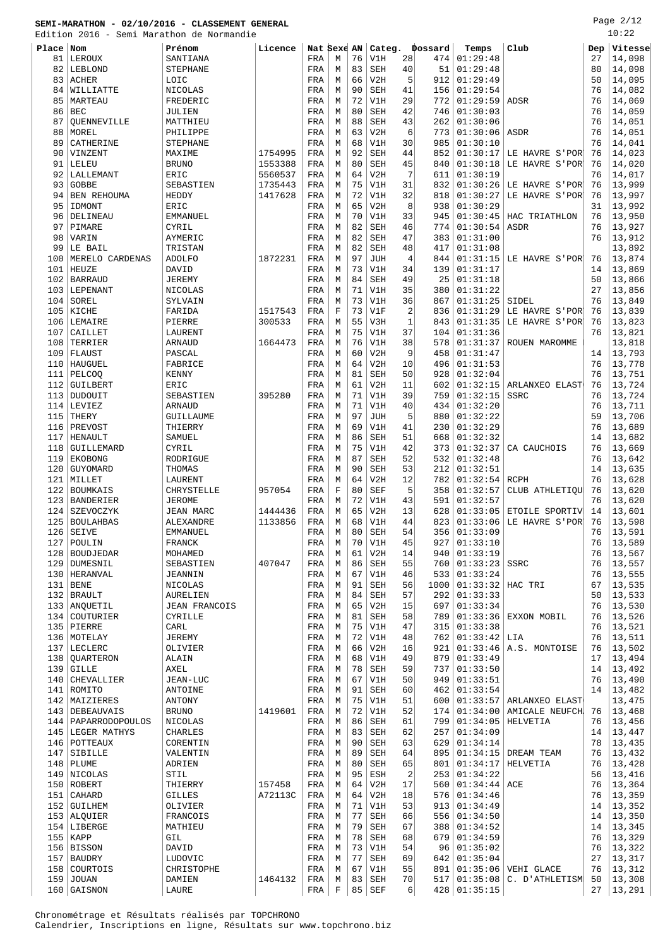Page 2/12  $10:22$ 

|            | Edition 2016 - Semi Marathon de Normandie |                             |                    |             |        |          |                          |                |             |                            |                                  |          | 10:22            |
|------------|-------------------------------------------|-----------------------------|--------------------|-------------|--------|----------|--------------------------|----------------|-------------|----------------------------|----------------------------------|----------|------------------|
| Place      | Nom                                       | Prénom                      | Licence            | Nat Sexe AN |        |          | Categ.                   |                | Dossard     | Temps                      | Club                             | Dep      | Vitesse          |
| 81         | LEROUX                                    | SANTIANA                    |                    | FRA         | М      | 76       | V1H                      | 28             | 474         | 01:29:48<br>01:29:48       |                                  | 27<br>80 | 14,098           |
| 82<br>83   | LEBLOND<br><b>ACHER</b>                   | <b>STEPHANE</b><br>LOIC     |                    | FRA<br>FRA  | М<br>М | 83<br>66 | <b>SEH</b><br>V2H        | 40<br>5        | 51<br>912   | 01:29:49                   |                                  | 50       | 14,098<br>14,095 |
| 84         | WILLIATTE                                 | NICOLAS                     |                    | FRA         | М      | 90       | <b>SEH</b>               | 41             | 156         | 01:29:54                   |                                  | 76       | 14,082           |
| 85         | MARTEAU                                   | FREDERIC                    |                    | FRA         | М      | 72       | V1H                      | 29             | 772         | 01:29:59                   | ADSR                             | 76       | 14,069           |
| 86         | <b>BEC</b>                                | JULIEN                      |                    | FRA         | М      | 80       | <b>SEH</b>               | 42             | 746         | 01:30:03                   |                                  | 76       | 14,059           |
| 87         | OUENNEVILLE                               | MATTHIEU                    |                    | FRA         | М      | 88       | <b>SEH</b>               | 43             | 262         | 01:30:06                   |                                  | 76       | 14,051           |
| 88         | MOREL                                     | PHILIPPE                    |                    | FRA         | М      | 63       | V2H                      | 6              | 773         | 01:30:06                   | ASDR                             | 76       | 14,051           |
| 89         | CATHERINE                                 | <b>STEPHANE</b>             |                    | FRA         | М      | 68<br>92 | V1H                      | 30<br>44       | 985         | 01:30:10                   |                                  | 76<br>76 | 14,041           |
| 90<br>91   | VINZENT<br>LELEU                          | MAXIME<br><b>BRUNO</b>      | 1754995<br>1553388 | FRA<br>FRA  | М<br>М | 80       | <b>SEH</b><br><b>SEH</b> | 45             | 852<br>840  | 01:30:17<br>01:30:18       | LE HAVRE S'POR<br>LE HAVRE S'POR | 76       | 14,023<br>14,020 |
| 92         | LALLEMANT                                 | ERIC                        | 5560537            | FRA         | М      | 64       | V2H                      | $\overline{7}$ | 611         | 01:30:19                   |                                  | 76       | 14,017           |
| 93         | <b>GOBBE</b>                              | SEBASTIEN                   | 1735443            | FRA         | М      | 75       | V1H                      | 31             | 832         | 01:30:26                   | LE HAVRE S'POR                   | 76       | 13,999           |
| 94         | <b>BEN REHOUMA</b>                        | HEDDY                       | 1417628            | FRA         | М      | 72       | V1H                      | 32             | 818         | 01:30:27                   | LE HAVRE S'POR                   | 76       | 13,997           |
| 95         | IDMONT                                    | ERIC                        |                    | FRA         | М      | 65       | V2H                      | 8              | 938         | 01:30:29                   |                                  | 31       | 13,992           |
| 96         | DELINEAU                                  | EMMANUEL                    |                    | FRA         | М      | 70       | V1H                      | 33             | 945         | 01:30:45                   | HAC TRIATHLON                    | 76       | 13,950           |
| 97<br>98   | PIMARE<br>VARIN                           | CYRIL<br>AYMERIC            |                    | FRA<br>FRA  | М<br>М | 82<br>82 | <b>SEH</b><br><b>SEH</b> | 46<br>47       | 774<br>383  | 01:30:54<br>01:31:00       | ASDR                             | 76<br>76 | 13,927<br>13,912 |
| 99         | LE BAIL                                   | TRISTAN                     |                    | FRA         | М      | 82       | SEH                      | 48             | 417         | 01:31:08                   |                                  |          | 13,892           |
| 100        | MERELO CARDENAS                           | <b>ADOLFO</b>               | 1872231            | FRA         | М      | 97       | <b>JUH</b>               | $\overline{4}$ | 844         | 01:31:15                   | LE HAVRE S'POR                   | 76       | 13,874           |
| 101        | HEUZE                                     | DAVID                       |                    | FRA         | М      | 73       | V1H                      | 34             | 139         | 01:31:17                   |                                  | 14       | 13,869           |
| 102        | <b>BARRAUD</b>                            | <b>JEREMY</b>               |                    | FRA         | М      | 84       | <b>SEH</b>               | 49             | 25          | 01:31:18                   |                                  | 50       | 13,866           |
| 103        | LEPENANT                                  | NICOLAS                     |                    | FRA         | М      | 71       | V1H                      | 35             | 380         | 01:31:22                   |                                  | 27       | 13,856           |
| 104        | SOREL                                     | SYLVAIN                     |                    | FRA         | М      | 73       | V1H                      | 36             | 867         | 01:31:25                   | SIDEL                            | 76       | 13,849           |
| 105        | KICHE                                     | FARIDA                      | 1517543            | FRA         | F      | 73<br>55 | V1F                      | $\overline{2}$ | 836         | 01:31:29<br>01:31:35       | LE HAVRE S'POR                   | 76       | 13,839           |
| 106<br>107 | LEMAIRE<br>CAILLET                        | PIERRE<br>LAURENT           | 300533             | FRA<br>FRA  | М<br>М | 75       | V3H<br>V1H               | 1<br>37        | 843<br>104  | 01:31:36                   | LE HAVRE S'POR                   | 76<br>76 | 13,823<br>13,821 |
| 108        | TERRIER                                   | ARNAUD                      | 1664473            | FRA         | М      | 76       | V1H                      | 38             | 578         | 01:31:37                   | ROUEN MAROMME                    |          | 13,818           |
| 109        | FLAUST                                    | PASCAL                      |                    | FRA         | М      | 60       | V2H                      | 9              | 458         | 01:31:47                   |                                  | 14       | 13,793           |
| 110        | HAUGUEL                                   | FABRICE                     |                    | FRA         | М      | 64       | V2H                      | 10             | 496         | 01:31:53                   |                                  | 76       | 13,778           |
| 111        | <b>PELCOO</b>                             | <b>KENNY</b>                |                    | FRA         | М      | 81       | <b>SEH</b>               | 50             | 928         | 01:32:04                   |                                  | 76       | 13,751           |
| 112        | GUILBERT                                  | ERIC                        |                    | FRA         | М      | 61       | V2H                      | 11             | 602         | 01:32:15                   | ARLANXEO ELAST                   | 76       | 13,724           |
| 113<br>114 | DUDOUIT<br>LEVIEZ                         | SEBASTIEN<br><b>ARNAUD</b>  | 395280             | FRA<br>FRA  | М<br>М | 71<br>71 | V1H<br>V1H               | 39<br>40       | 759<br>434  | 01:32:15<br>01:32:20       | SSRC                             | 76<br>76 | 13,724<br>13,711 |
| 115        | THERY                                     | GUILLAUME                   |                    | FRA         | М      | 97       | JUH                      | 5              | 880         | 01:32:22                   |                                  | 59       | 13,706           |
| 116        | PREVOST                                   | THIERRY                     |                    | FRA         | М      | 69       | V1H                      | 41             | 230         | 01:32:29                   |                                  | 76       | 13,689           |
| 117        | HENAULT                                   | SAMUEL                      |                    | FRA         | М      | 86       | <b>SEH</b>               | 51             | 668         | 01:32:32                   |                                  | 14       | 13,682           |
| 118        | GUILLEMARD                                | CYRIL                       |                    | FRA         | М      | 75       | V1H                      | 42             | 373         | 01:32:37                   | CA CAUCHOIS                      | 76       | 13,669           |
| 119        | <b>EKOBONG</b>                            | RODRIGUE                    |                    | FRA         | М      | 87       | <b>SEH</b>               | 52             | 532         | 01:32:48                   |                                  | 76       | 13,642           |
| 120        | GUYOMARD                                  | THOMAS                      |                    | FRA         | M      | 90       | <b>SEH</b>               | 53             | 212         | 01:32:51                   |                                  | 14       | 13,635           |
| 121        | MILLET                                    | LAURENT                     |                    | FRA         | М      | 64       | V2H                      | 12<br>5        | 782         | 01:32:54                   | RCPH                             | 76       | 13,628           |
| 122<br>123 | <b>BOUMKAIS</b><br><b>BANDERIER</b>       | CHRYSTELLE<br><b>JEROME</b> | 957054             | FRA<br>FRA  | F<br>М | 80<br>72 | <b>SEF</b><br>V1H        | 43             | 358<br>591  | 01:32:57<br>01:32:57       | CLUB ATHLETIQU                   | 76<br>76 | 13,620<br>13,620 |
| 124        | SZEVOCZYK                                 | <b>JEAN MARC</b>            | 1444436            | FRA         | М      | 65       | V2H                      | 13             | 628         | 01:33:05                   | ETOILE SPORTIV                   | 14       | 13,601           |
|            | 125   BOULAHBAS                           | ALEXANDRE                   | 1133856            | FRA         | М      | 68       | V1H                      | 44             |             | 823   01:33:06             | LE HAVRE S'POR                   | 76       | 13,598           |
|            | $126$ SEIVE                               | EMMANUEL                    |                    | FRA         | М      | 80       | SEH                      | 54             |             | 356 01:33:09               |                                  | 76       | 13,591           |
| 127        | POULIN                                    | <b>FRANCK</b>               |                    | FRA         | М      | 70       | V1H                      | 45             | 927         | 01:33:10                   |                                  | 76       | 13,589           |
| 128        | BOUDJEDAR                                 | MOHAMED                     |                    | FRA         | М      | 61       | V2H                      | 14             | 940         | 01:33:19                   |                                  | 76       | 13,567           |
|            | 129 DUMESNIL<br>130   HERANVAL            | SEBASTIEN<br><b>JEANNIN</b> | 407047             | FRA<br>FRA  | М<br>М | 86<br>67 | <b>SEH</b><br>V1H        | 55<br>46       | 760<br>533  | 01:33:23<br>01:33:24       | SSRC                             | 76<br>76 | 13,557<br>13,555 |
| 131        | <b>BENE</b>                               | NICOLAS                     |                    | FRA         | М      | 91       | <b>SEH</b>               | 56             | 1000        | $01:33:32$ HAC TRI         |                                  | 67       | 13,535           |
|            | 132 BRAULT                                | AURELIEN                    |                    | FRA         | М      | 84       | <b>SEH</b>               | 57             | 292         | 01:33:33                   |                                  | 50       | 13,533           |
|            | 133   ANOUETIL                            | <b>JEAN FRANCOIS</b>        |                    | FRA         | М      | 65       | V2H                      | 15             | 697         | 01:33:34                   |                                  | 76       | 13,530           |
|            | 134 COUTURIER                             | CYRILLE                     |                    | FRA         | М      | 81       | <b>SEH</b>               | 58             | 789         | 01:33:36                   | EXXON MOBIL                      | 76       | 13,526           |
|            | $135$ PIERRE                              | CARL                        |                    | FRA         | М      | 75       | V1H                      | 47             | 315         | 01:33:38                   |                                  | 76       | 13,521           |
| 137        | 136 MOTELAY<br>LECLERC                    | <b>JEREMY</b><br>OLIVIER    |                    | FRA<br>FRA  | М<br>М | 72<br>66 | V1H<br>V2H               | 48<br>16       | 762 <br>921 | $01:33:42$ LIA<br>01:33:46 | A.S. MONTOISE                    | 76<br>76 | 13,511<br>13,502 |
|            | 138   QUARTERON                           | ALAIN                       |                    | FRA         | М      | 68       | $_{\rm VIH}$             | 49             | 879         | 01:33:49                   |                                  | 17       | 13,494           |
| 139        | <b>GILLE</b>                              | AXEL                        |                    | FRA         | М      | 78       | SEH                      | 59             | 737         | 01:33:50                   |                                  | 14       | 13,492           |
| 140        | CHEVALLIER                                | JEAN-LUC                    |                    | FRA         | М      | 67       | V1H                      | 50             | 949         | 01:33:51                   |                                  | 76       | 13,490           |
|            | 141 ROMITO                                | ANTOINE                     |                    | FRA         | М      | 91       | SEH                      | 60             | 462         | 01:33:54                   |                                  | 14       | 13,482           |
|            | 142   MAIZIERES                           | ANTONY                      |                    | FRA         | М      | 75       | V1H                      | 51             | 600         |                            | $01:33:57$ ARLANXEO ELAST        |          | 13,475           |
|            | 143   DEBEAUVAIS                          | <b>BRUNO</b>                | 1419601            | FRA         | М<br>M | 72<br>86 | V1H<br><b>SEH</b>        | 52<br>61       | 174         | 01:34:00                   | AMICALE NEUFCH                   | 76<br>76 | 13,468           |
|            | 144   PAPARRODOPOULOS<br>145 LEGER MATHYS | NICOLAS<br>CHARLES          |                    | FRA<br>FRA  | М      | 83       | <b>SEH</b>               | 62             | 799<br>257  | 01:34:05<br>01:34:09       | HELVETIA                         | 14       | 13,456<br>13,447 |
|            | 146   POTTEAUX                            | CORENTIN                    |                    | FRA         | М      | 90       | SEH                      | 63             | 629         | 01:34:14                   |                                  | 78       | 13,435           |
| 147        | SIBILLE                                   | VALENTIN                    |                    | FRA         | М      | 89       | <b>SEH</b>               | 64             | 895         | 01:34:15                   | DREAM TEAM                       | 76       | 13,432           |
|            | 148   PLUME                               | ADRIEN                      |                    | FRA         | М      | 80       | SEH                      | 65             | 801         | 01:34:17                   | HELVETIA                         | 76       | 13,428           |
|            | 149 NICOLAS                               | STIL                        |                    | FRA         | M      | 95       | ESH                      | $\overline{2}$ | 253         | 01:34:22                   |                                  | 56       | 13,416           |
|            | 150 ROBERT                                | THIERRY                     | 157458             | FRA         | М      | 64       | V2H                      | 17             | 560         | 01:34:44                   | ACE                              | 76       | 13,364           |
|            | 151   CAHARD<br>152 GUILHEM               | <b>GILLES</b>               | A72113C            | FRA         | М<br>М | 64<br>71 | V2H<br>V1H               | 18<br>53       | 576<br>913  | 01:34:46<br>01:34:49       |                                  | 76<br>14 | 13,359<br>13,352 |
|            | 153   ALQUIER                             | OLIVIER<br>FRANCOIS         |                    | FRA<br>FRA  | М      | 77       | SEH                      | 66             | 556         | 01:34:50                   |                                  | 14       | 13,350           |
|            | 154 LIBERGE                               | MATHIEU                     |                    | FRA         | М      | 79       | <b>SEH</b>               | 67             | 388         | 01:34:52                   |                                  | 14       | 13,345           |
|            | $155$ KAPP                                | GIL                         |                    | FRA         | М      | 78       | SEH                      | 68             | 679         | 01:34:59                   |                                  | 76       | 13,329           |
|            | 156 BISSON                                | DAVID                       |                    | FRA         | М      | 73       | V1H                      | 54             | 96          | 01:35:02                   |                                  | 76       | 13,322           |
| 157        | <b>BAUDRY</b>                             | LUDOVIC                     |                    | FRA         | М      | 77       | SEH                      | 69             | 642         | 01:35:04                   |                                  | 27       | 13,317           |
| 158        | COURTOIS                                  | CHRISTOPHE                  |                    | FRA         | М      | 67       | V1H                      | 55             | 891         |                            | $01:35:06$ VEHI GLACE            | 76       | 13,312           |
|            | $159$ JOUAN                               | DAMIEN                      | 1464132            | FRA         | М      | 83       | SEH                      | 70             |             |                            | $517$ 01:35:08 C. D'ATHLETISM    | 50       | 13,308           |

GAISNON LAURE FRA F 85 SEF 6 428 01:35:15 27 13,291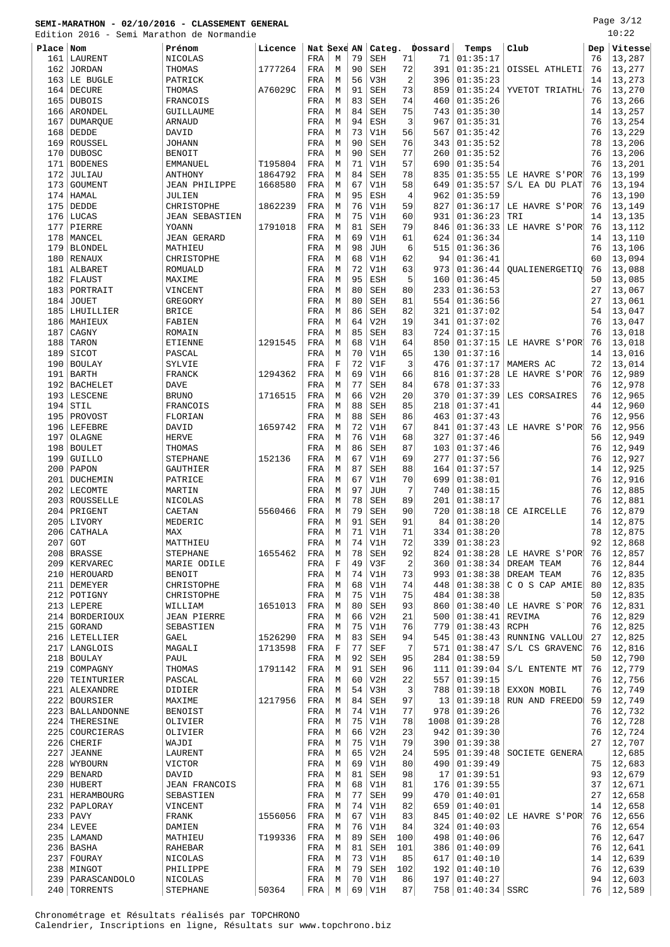Page 3/12 .<br>20:20

|           |                    | Edition 2016 - Semi Marathon de Normandie |         |             |             |    |            |              |                |                   |                       |     | 10:22   |
|-----------|--------------------|-------------------------------------------|---------|-------------|-------------|----|------------|--------------|----------------|-------------------|-----------------------|-----|---------|
| Place Nom |                    | Prénom                                    | Licence | Nat Sexe AN |             |    |            |              | Categ. Dossard | Temps             | Club                  | Dep | Vitesse |
| 161       | LAURENT            | NICOLAS                                   |         | FRA         | M           | 79 | SEH        | 71           | 71             | 01:35:17          |                       | 76  | 13,287  |
| 162       | JORDAN             | THOMAS                                    | 1777264 | FRA         | М           | 90 | SEH        | 72           | 391            | 01:35:21          | OISSEL ATHLETI        | 76  | 13,277  |
|           | 163 LE BUGLE       |                                           |         |             |             | 56 | V3H        | 2            | 396            | 01:35:23          |                       | 14  | 13,273  |
|           |                    | PATRICK                                   |         | FRA         | М           |    |            |              |                |                   |                       |     |         |
| 164       | <b>DECURE</b>      | THOMAS                                    | A76029C | FRA         | М           | 91 | <b>SEH</b> | 73           | 859            | 01:35:24          | YVETOT TRIATHL        | 76  | 13,270  |
| 165       | <b>DUBOIS</b>      | FRANCOIS                                  |         | FRA         | M           | 83 | <b>SEH</b> | 74           | 460            | 01:35:26          |                       | 76  | 13,266  |
|           | 166 ARONDEL        | GUILLAUME                                 |         | FRA         | M           | 84 | SEH        | 75           | 743            | 01:35:30          |                       | 14  | 13,257  |
| 167       | DUMARQUE           | ARNAUD                                    |         | FRA         | M           | 94 | ESH        | 3            | 967            | 01:35:31          |                       | 76  | 13,254  |
|           | $168$ DEDDE        | DAVID                                     |         | FRA         | М           | 73 | V1H        | 56           | 567            | 01:35:42          |                       | 76  | 13,229  |
| 169       | ROUSSEL            | <b>JOHANN</b>                             |         | FRA         | М           | 90 | <b>SEH</b> | 76           | 343            | 01:35:52          |                       | 78  | 13,206  |
| 170       | <b>DUBOSC</b>      | <b>BENOIT</b>                             |         | FRA         | М           | 90 | <b>SEH</b> | 77           | 260            | 01:35:52          |                       | 76  | 13,206  |
| 171       | <b>BODENES</b>     | EMMANUEL                                  | T195804 | FRA         | М           | 71 | V1H        | 57           | 690            | 01:35:54          |                       | 76  | 13,201  |
| 172       | JULIAU             | ANTHONY                                   | 1864792 | FRA         | M           | 84 | SEH        | 78           | 835            | 01:35:55          | LE HAVRE S'POR'       | 76  | 13,199  |
| 173       | GOUMENT            | <b>JEAN PHILIPPE</b>                      | 1668580 | FRA         | М           | 67 | V1H        | 58           | 649            | 01:35:57          | S/L EA DU PLAT        | 76  | 13,194  |
|           |                    |                                           |         |             |             | 95 |            |              | 962            | 01:35:59          |                       | 76  |         |
| 174       | HAMAL              | JULIEN                                    |         | FRA         | М           |    | ESH        | 4            |                |                   |                       |     | 13,190  |
| 175       | DEDDE              | CHRISTOPHE                                | 1862239 | FRA         | M           | 76 | V1H        | 59           | 827            | 01:36:17          | LE HAVRE S'POR        | 76  | 13,149  |
| 176       | LUCAS              | <b>JEAN SEBASTIEN</b>                     |         | FRA         | M           | 75 | V1H        | 60           | 931            | 01:36:23          | TRI                   | 14  | 13,135  |
| 177       | PIERRE             | YOANN                                     | 1791018 | FRA         | М           | 81 | <b>SEH</b> | 79           | 846            | 01:36:33          | LE HAVRE S'POR        | 76  | 13,112  |
| 178       | MANCEL             | <b>JEAN GERARD</b>                        |         | FRA         | M           | 69 | V1H        | 61           | 624            | 01:36:34          |                       | 14  | 13,110  |
| 179       | <b>BLONDEL</b>     | MATHIEU                                   |         | FRA         | М           | 98 | <b>JUH</b> | 6            | 515            | 01:36:36          |                       | 76  | 13,106  |
|           | 180 RENAUX         | CHRISTOPHE                                |         | FRA         | М           | 68 | V1H        | 62           | 94             | 01:36:41          |                       | 60  | 13,094  |
| 181       | ALBARET            | ROMUALD                                   |         | FRA         | М           | 72 | V1H        | 63           | 973            | 01:36:44          | <b>OUALIENERGETIO</b> | 76  | 13,088  |
| 182       | FLAUST             | MAXIME                                    |         | FRA         | M           | 95 | ESH        | 5            | 160            | 01:36:45          |                       | 50  | 13,085  |
| 183       | PORTRAIT           | VINCENT                                   |         | FRA         | M           | 80 | <b>SEH</b> | 80           | 233            | 01:36:53          |                       | 27  | 13,067  |
| 184       | <b>JOUET</b>       | GREGORY                                   |         | FRA         | М           | 80 | SEH        | 81           | 554            | 01:36:56          |                       | 27  | 13,061  |
| 185       | LHUILLIER          | <b>BRICE</b>                              |         | FRA         | М           | 86 | <b>SEH</b> | 82           | 321            | 01:37:02          |                       | 54  | 13,047  |
|           |                    |                                           |         |             |             |    |            |              |                |                   |                       |     |         |
| 186       | MAHIEUX            | FABIEN                                    |         | FRA         | М           | 64 | V2H        | 19           | 341            | 01:37:02          |                       | 76  | 13,047  |
| 187       | CAGNY              | ROMAIN                                    |         | FRA         | М           | 85 | SEH        | 83           | 724            | 01:37:15          |                       | 76  | 13,018  |
| 188       | TARON              | ETIENNE                                   | 1291545 | FRA         | М           | 68 | V1H        | 64           | 850            | 01:37:15          | LE HAVRE S'POR        | 76  | 13,018  |
| 189       | SICOT              | PASCAL                                    |         | FRA         | М           | 70 | V1H        | 65           | 130            | 01:37:16          |                       | 14  | 13,016  |
| 190       | <b>BOULAY</b>      | SYLVIE                                    |         | FRA         | F           | 72 | V1F        | 3            | 476            | 01:37:17          | MAMERS AC             | 72  | 13,014  |
| 191       | <b>BARTH</b>       | FRANCK                                    | 1294362 | FRA         | М           | 69 | V1H        | 66           | 816            | 01:37:28          | LE HAVRE S'POR'       | 76  | 12,989  |
| 192       | BACHELET           | <b>DAVE</b>                               |         | FRA         | М           | 77 | <b>SEH</b> | 84           | 678            | 01:37:33          |                       | 76  | 12,978  |
| 193       | LESCENE            | <b>BRUNO</b>                              | 1716515 | FRA         | М           | 66 | V2H        | 20           | 370            | 01:37:39          | LES CORSAIRES         | 76  | 12,965  |
| 194       | STIL               | FRANCOIS                                  |         | FRA         | М           | 88 | <b>SEH</b> | 85           | 218            | 01:37:41          |                       | 44  | 12,960  |
| 195       | PROVOST            | FLORIAN                                   |         | FRA         | M           | 88 | SEH        | 86           | 463            | 01:37:43          |                       | 76  | 12,956  |
|           |                    |                                           |         |             |             | 72 |            | 67           |                |                   |                       |     |         |
|           | 196   LEFEBRE      | DAVID                                     | 1659742 | FRA         | М           |    | V1H        |              | 841            | 01:37:43          | LE HAVRE S'POR        | 76  | 12,956  |
| 197       | OLAGNE             | HERVE                                     |         | FRA         | М           | 76 | V1H        | 68           | 327            | 01:37:46          |                       | 56  | 12,949  |
| 198       | <b>BOULET</b>      | THOMAS                                    |         | FRA         | М           | 86 | <b>SEH</b> | 87           | 103            | 01:37:46          |                       | 76  | 12,949  |
| 199       | <b>GUILLO</b>      | <b>STEPHANE</b>                           | 152136  | FRA         | M           | 67 | V1H        | 69           | 277            | 01:37:56          |                       | 76  | 12,927  |
| 200       | PAPON              | GAUTHIER                                  |         | FRA         | M           | 87 | <b>SEH</b> | 88           | 164            | 01:37:57          |                       | 14  | 12,925  |
| 201       | DUCHEMIN           | PATRICE                                   |         | FRA         | М           | 67 | V1H        | 70           | 699            | 01:38:01          |                       | 76  | 12,916  |
| 202       | LECOMTE            | MARTIN                                    |         | FRA         | М           | 97 | <b>JUH</b> | 7            | 740            | 01:38:15          |                       | 76  | 12,885  |
| 203       | ROUSSELLE          | NICOLAS                                   |         | FRA         | М           | 78 | SEH        | 89           | 201            | 01:38:17          |                       | 76  | 12,881  |
| 204       | PRIGENT            | CAETAN                                    | 5560466 | FRA         | М           | 79 | SEH        | 90           | 720            | 01:38:18          | CE AIRCELLE           | 76  | 12,879  |
|           | 205 LIVORY         | MEDERIC                                   |         | FRA         | М           | 91 | SEH        | 91           |                | 84   01:38:20     |                       | 14  | 12,875  |
|           | 206 CATHALA        | MAX                                       |         | FRA         | M           | 71 | V1H        | 71           |                | 334   01:38:20    |                       | 78  | 12,875  |
| 207       |                    |                                           |         |             |             | 74 |            | 72           | 339            | 01:38:23          |                       | 92  | 12,868  |
|           | GOT                | MATTHIEU                                  |         | FRA         | М           |    | V1H        |              |                |                   |                       |     |         |
| 208       | <b>BRASSE</b>      | <b>STEPHANE</b>                           | 1655462 | FRA         | М           | 78 | SEH        | 92           | 824            | 01:38:28          | LE HAVRE S'POR        | 76  | 12,857  |
|           | 209   KERVAREC     | MARIE ODILE                               |         | FRA         | $\mathbf F$ | 49 | V3F        | $\sqrt{2}$   | 360            | 01:38:34          | DREAM TEAM            | 76  | 12,844  |
|           | 210   HEROUARD     | <b>BENOIT</b>                             |         | FRA         | М           | 74 | V1H        | 73           | 993            | 01:38:38          | DREAM TEAM            | 76  | 12,835  |
|           | 211 DEMEYER        | CHRISTOPHE                                |         | FRA         | М           | 68 | V1H        | 74           | 448            | 01:38:38          | C O S CAP AMIE        | 80  | 12,835  |
|           | 212 POTIGNY        | CHRISTOPHE                                |         | FRA         | М           | 75 | V1H        | 75           | 484            | 01:38:38          |                       | 50  | 12,835  |
|           | 213 LEPERE         | WILLIAM                                   | 1651013 | FRA         | М           | 80 | SEH        | 93           | 860            | 01:38:40          | LE HAVRE S`POR        | 76  | 12,831  |
|           | 214   BORDERIOUX   | <b>JEAN PIERRE</b>                        |         | FRA         | М           | 66 | V2H        | 21           | 500            | 01:38:41          | REVIMA                | 76  | 12,829  |
| 215       | GORAND             | SEBASTIEN                                 |         | FRA         | М           | 75 | V1H        | 76           | 779            | 01:38:43          | RCPH                  | 76  | 12,825  |
|           | 216 LETELLIER      | GAEL                                      | 1526290 | FRA         | М           | 83 | SEH        | 94           | 545            | 01:38:43          | RUNNING VALLOU        | 27  | 12,825  |
| 217       | LANGLOIS           | MAGALI                                    | 1713598 | FRA         | $\mathbf F$ | 77 | SEF        | 7            | 571            | 01:38:47          | S/L CS GRAVENC        | 76  | 12,816  |
|           | 218 BOULAY         | PAUL                                      |         | FRA         | М           | 92 | SEH        | 95           | 284            | 01:38:59          |                       | 50  | 12,790  |
| 219       | COMPAGNY           | THOMAS                                    | 1791142 | FRA         | М           | 91 | <b>SEH</b> | 96           | 111            | 01:39:04          | S/L ENTENTE MT        | 76  | 12,779  |
| 220       | TEINTURIER         | PASCAL                                    |         | FRA         | М           | 60 | V2H        | 22           | 557            | 01:39:15          |                       | 76  | 12,756  |
|           | 221   ALEXANDRE    |                                           |         | FRA         | М           | 54 | V3H        | $\mathbf{3}$ | 788            | 01:39:18          | EXXON MOBIL           | 76  | 12,749  |
|           |                    | DIDIER                                    |         |             |             |    |            |              |                |                   |                       |     |         |
| 222       | BOURSIER           | MAXIME                                    | 1217956 | FRA         | М           | 84 | SEH        | 97           | 13             | 01:39:18          | RUN AND FREEDO!       | 59  | 12,749  |
|           | 223   BALLANDONNE  | <b>BENOIST</b>                            |         | FRA         | М           | 74 | V1H        | 77           | 978            | 01:39:26          |                       | 76  | 12,732  |
| 224       | THERESINE          | OLIVIER                                   |         | FRA         | М           | 75 | V1H        | 78           | 1008           | 01:39:28          |                       | 76  | 12,728  |
|           | 225 COURCIERAS     | OLIVIER                                   |         | FRA         | М           | 66 | V2H        | 23           | 942            | 01:39:30          |                       | 76  | 12,724  |
| 226       | CHERIF             | WAJDI                                     |         | FRA         | М           | 75 | V1H        | 79           | 390            | 01:39:38          |                       | 27  | 12,707  |
| 227       | <b>JEANNE</b>      | LAURENT                                   |         | FRA         | М           | 65 | V2H        | 24           | 595            | 01:39:48          | SOCIETE GENERA        |     | 12,685  |
|           | 228 WYBOURN        | VICTOR                                    |         | FRA         | М           | 69 | V1H        | 80           | 490            | 01:39:49          |                       | 75  | 12,683  |
| 229       | <b>BENARD</b>      | DAVID                                     |         | FRA         | М           | 81 | SEH        | 98           | 17             | 01:39:51          |                       | 93  | 12,679  |
|           | 230 HUBERT         | <b>JEAN FRANCOIS</b>                      |         | FRA         | М           | 68 | V1H        | 81           | 176            | 01:39:55          |                       | 37  | 12,671  |
|           | 231   HERAMBOURG   | SEBASTIEN                                 |         | FRA         | М           | 77 | SEH        | 99           | 470            | 01:40:01          |                       | 27  | 12,658  |
|           | 232   PAPLORAY     | VINCENT                                   |         | FRA         | М           | 74 | V1H        | 82           | 659            | 01:40:01          |                       | 14  | 12,658  |
|           | $233$ PAVY         | FRANK                                     | 1556056 | FRA         | M           | 67 | V1H        | 83           | 845            | 01:40:02          | LE HAVRE S'POR        | 76  | 12,656  |
|           |                    |                                           |         |             |             |    |            |              |                |                   |                       |     |         |
|           | $234$ LEVEE        | DAMIEN                                    |         | FRA         | M           | 76 | V1H        | 84           | 324            | 01:40:03          |                       | 76  | 12,654  |
|           | 235   LAMAND       | MATHIEU                                   | T199336 | FRA         | М           | 89 | SEH        | 100          | 498            | 01:40:06          |                       | 76  | 12,647  |
|           | 236 BASHA          | RAHEBAR                                   |         | FRA         | М           | 81 | SEH        | 101          | 386            | 01:40:09          |                       | 76  | 12,641  |
|           | 237 FOURAY         | NICOLAS                                   |         | FRA         | М           | 73 | V1H        | 85           | 617            | 01:40:10          |                       | 14  | 12,639  |
|           | 238   MINGOT       | PHILIPPE                                  |         | FRA         | М           | 79 | SEH        | 102          | 192            | 01:40:10          |                       | 76  | 12,639  |
|           | 239   PARASCANDOLO | NICOLAS                                   |         | FRA         | М           | 70 | V1H        | 86           |                | 197   01:40:27    |                       | 94  | 12,603  |
| 240       | TORRENTS           | <b>STEPHANE</b>                           | 50364   | FRA         | М           | 69 | V1H        | 87           |                | 758 01:40:34 SSRC |                       | 76  | 12,589  |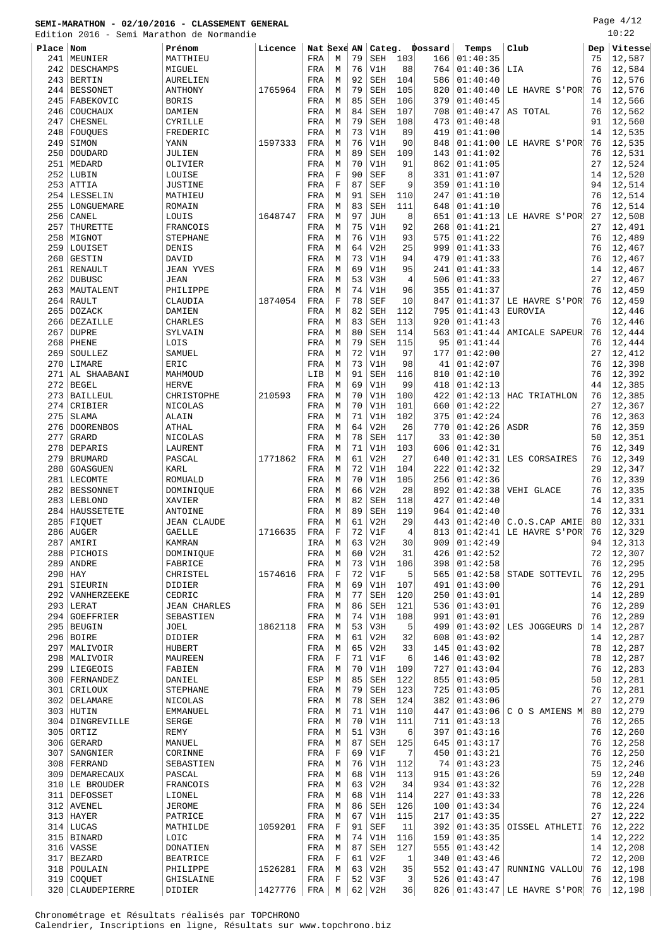Edition 2016 - Semi Marathon de Normandie

Page 4/12  $\overline{1}$ 

| ×<br>٠ |  |
|--------|--|
|--------|--|

| Edition    |                                | 2016 - Semi Marathon de Normandie |         |             |                  |          |                          |            |                |                      |                       |          | ⊥∪∙∠∠            |
|------------|--------------------------------|-----------------------------------|---------|-------------|------------------|----------|--------------------------|------------|----------------|----------------------|-----------------------|----------|------------------|
| Place Nom  |                                | Prénom                            | Licence | Nat Sexe AN |                  |          |                          |            | Categ. Dossard | Temps                | Club                  | Dep      | Vitesse          |
| 241        | MEUNIER                        | MATTHIEU                          |         | FRA         | М                | 79       | SEH                      | 103        | 166            | 01:40:35             |                       | 75       | 12,587           |
| 242        | DESCHAMPS                      | MIGUEL                            |         | FRA         | M                | 76       | V1H                      | 88         | 764            | 01:40:36             | LIA                   | 76       | 12,584           |
| 243        | <b>BERTIN</b>                  | <b>AURELIEN</b>                   |         | FRA         | M                | 92       | <b>SEH</b>               | 104        | 586            | 01:40:40             |                       | 76       | 12,576           |
| 244        | <b>BESSONET</b>                | ANTHONY                           | 1765964 | FRA         | М                | 79       | <b>SEH</b>               | 105        | 820            | 01:40:40             | LE HAVRE S'POR'       | 76       | 12,576           |
| 245        | FABEKOVIC                      | <b>BORIS</b>                      |         | FRA         | M                | 85       | <b>SEH</b>               | 106        | 379            | 01:40:45             |                       | 14       | 12,566           |
| 246        | COUCHAUX                       | DAMIEN                            |         | FRA         | М                | 84       | <b>SEH</b>               | 107        | 708            | 01:40:47             | AS TOTAL              | 76       | 12,562           |
| 247<br>248 | CHESNEL                        | CYRILLE                           |         | FRA<br>FRA  | M<br>М           | 79<br>73 | <b>SEH</b><br>V1H        | 108<br>89  | 473<br>419     | 01:40:48<br>01:41:00 |                       | 91<br>14 | 12,560<br>12,535 |
| 249        | FOUQUES<br>SIMON               | FREDERIC<br>YANN                  | 1597333 | FRA         | M                | 76       | V1H                      | 90         | 848            | 01:41:00             | LE HAVRE S'POR        | 76       | 12,535           |
| 250        | DOUDARD                        | JULIEN                            |         | FRA         | М                | 89       | <b>SEH</b>               | 109        | 143            | 01:41:02             |                       | 76       | 12,531           |
| 251        | MEDARD                         | OLIVIER                           |         | FRA         | M                | 70       | V1H                      | 91         | 862            | 01:41:05             |                       | 27       | 12,524           |
| 252        | LUBIN                          | LOUISE                            |         | FRA         | $\mathbf F$      | 90       | <b>SEF</b>               | 8          | 331            | 01:41:07             |                       | 14       | 12,520           |
| 253        | ATTIA                          | <b>JUSTINE</b>                    |         | FRA         | $\mathbf F$      | 87       | <b>SEF</b>               | 9          | 359            | 01:41:10             |                       | 94       | 12,514           |
| 254        | <b>LESSELIN</b>                | MATHIEU                           |         | FRA         | M                | 91       | <b>SEH</b>               | 110        | 247            | 01:41:10             |                       | 76       | 12,514           |
| 255        | LONGUEMARE                     | ROMAIN                            |         | FRA         | М                | 83       | <b>SEH</b>               | 111        | 648            | 01:41:10             |                       | 76       | 12,514           |
| 256        | CANEL                          | LOUIS                             | 1648747 | FRA         | M                | 97       | <b>JUH</b>               | 8          | 651            | 01:41:13             | LE HAVRE S'POR        | 27       | 12,508           |
| 257        | THURETTE                       | FRANCOIS                          |         | FRA         | М                | 75       | V1H                      | 92         | 268            | 01:41:21             |                       | 27       | 12,491           |
| 258        | MIGNOT                         | <b>STEPHANE</b>                   |         | FRA         | М                | 76       | V1H                      | 93         | 575            | 01:41:22             |                       | 76       | 12,489           |
| 259        | LOUISET                        | DENIS                             |         | FRA         | М                | 64       | V2H                      | 25         | 999            | 01:41:33             |                       | 76       | 12,467           |
| 260        | <b>GESTIN</b>                  | DAVID                             |         | FRA         | М                | 73       | V1H                      | 94         | 479            | 01:41:33             |                       | 76       | 12,467           |
| 261        | RENAULT                        | <b>JEAN YVES</b>                  |         | FRA         | М                | 69       | V1H                      | 95         | 241            | 01:41:33             |                       | 14       | 12,467           |
| 262        | <b>DUBUSC</b>                  | <b>JEAN</b>                       |         | FRA         | М                | 53       | V3H                      | 4          | 506            | 01:41:33             |                       | 27       | 12,467           |
| 263        | MAUTALENT                      | PHILIPPE                          | 1874054 | FRA         | M<br>$\mathbf F$ | 74<br>78 | V1H                      | 96<br>10   | 355<br>847     | 01:41:37<br>01:41:37 | LE HAVRE S'POR        | 76<br>76 | 12,459           |
| 264<br>265 | RAULT<br><b>DOZACK</b>         | CLAUDIA<br>DAMIEN                 |         | FRA<br>FRA  | M                | 82       | <b>SEF</b><br><b>SEH</b> | 112        | 795            | 01:41:43             | EUROVIA               |          | 12,459<br>12,446 |
| 266        | DEZAILLE                       | <b>CHARLES</b>                    |         | FRA         | М                | 83       | <b>SEH</b>               | 113        | 920            | 01:41:43             |                       | 76       | 12,446           |
| 267        | <b>DUPRE</b>                   | SYLVAIN                           |         | FRA         | M                | 80       | <b>SEH</b>               | 114        | 563            | 01:41:44             | <b>AMICALE SAPEUR</b> | 76       | 12,444           |
| 268        | PHENE                          | LOIS                              |         | FRA         | M                | 79       | <b>SEH</b>               | 115        | 95             | 01:41:44             |                       | 76       | 12,444           |
| 269        | SOULLEZ                        | SAMUEL                            |         | FRA         | М                | 72       | V1H                      | 97         | 177            | 01:42:00             |                       | 27       | 12,412           |
| 270        | LIMARE                         | ERIC                              |         | FRA         | М                | 73       | V1H                      | 98         | 41             | 01:42:07             |                       | 76       | 12,398           |
| 271        | AL SHAABANI                    | MAHMOUD                           |         | LIB         | М                | 91       | <b>SEH</b>               | 116        | 810            | 01:42:10             |                       | 76       | 12,392           |
| 272        | <b>BEGEL</b>                   | <b>HERVE</b>                      |         | FRA         | M                | 69       | V1H                      | 99         | 418            | 01:42:13             |                       | 44       | 12,385           |
| 273        | BAILLEUL                       | CHRISTOPHE                        | 210593  | FRA         | М                | 70       | V1H                      | 100        | 422            | 01:42:13             | HAC TRIATHLON         | 76       | 12,385           |
| 274        | CRIBIER                        | NICOLAS                           |         | FRA         | M                | 70       | V1H                      | 101        | 660            | 01:42:22             |                       | 27       | 12,367           |
| 275        | <b>SLAMA</b>                   | ALAIN                             |         | FRA         | М                | 71       | V1H                      | 102        | 375            | 01:42:24             |                       | 76       | 12,363           |
| 276        | <b>DOORENBOS</b>               | <b>ATHAL</b>                      |         | FRA         | М                | 64       | V2H                      | 26         | 770            | 01:42:26             | ASDR                  | 76       | 12,359           |
| 277        | GRARD                          | NICOLAS                           |         | FRA         | M                | 78       | <b>SEH</b>               | 117        | 33             | 01:42:30             |                       | 50       | 12,351           |
| 278        | DEPARIS                        | LAURENT                           |         | FRA         | M                | 71       | V1H                      | 103        | 606            | 01:42:31             |                       | 76       | 12,349           |
| 279<br>280 | <b>BRUMARD</b><br>GOASGUEN     | PASCAL<br><b>KARL</b>             | 1771862 | FRA<br>FRA  | M<br>М           | 61<br>72 | V2H<br>V1H               | 27<br>104  | 640<br>222     | 01:42:31<br>01:42:32 | LES CORSAIRES         | 76<br>29 | 12,349<br>12,347 |
| 281        | LECOMTE                        | <b>ROMUALD</b>                    |         | FRA         | М                | 70       | V1H                      | 105        | 256            | 01:42:36             |                       | 76       | 12,339           |
| 282        | <b>BESSONNET</b>               | DOMINIQUE                         |         | FRA         | М                | 66       | V2H                      | 28         | 892            | 01:42:38             | VEHI GLACE            | 76       | 12,335           |
| 283        | LEBLOND                        | XAVIER                            |         | FRA         | М                | 82       | <b>SEH</b>               | 118        | 427            | 01:42:40             |                       | 14       | 12,331           |
| 284        | HAUSSETETE                     | ANTOINE                           |         | FRA         | М                | 89       | <b>SEH</b>               | 119        | 964            | 01:42:40             |                       | 76       | 12,331           |
| 285        | FIQUET                         | <b>JEAN CLAUDE</b>                |         | FRA         | М                | 61       | V2H                      | 29         | 443            | 01:42:40             | C.O.S.CAP AMIE        | 80       | 12,331           |
|            | 286 AUGER                      | <b>GAELLE</b>                     | 1716635 | FRA         | $\mathbf F$      | 72       | V1F                      | 4          | 813            | 01:42:41             | LE HAVRE S'POR        | 76       | 12,329           |
| 287        | AMIRI                          | KAMRAN                            |         | IRA         | М                | 63       | V2H                      | 30         | 909            | 01:42:49             |                       | 94       | 12,313           |
| 288        | PICHOIS                        | DOMINIQUE                         |         | FRA         | М                | 60       | V2H                      | 31         | 426            | 01:42:52             |                       | 72       | 12,307           |
| 289        | ANDRE                          | FABRICE                           |         | FRA         | M                | 73       | V1H                      | 106        | 398            | 01:42:58             |                       | 76       | 12,295           |
|            | $290$ HAY                      | CHRISTEL                          | 1574616 | FRA         | $\mathbf F$      | 72       | V1F                      | 5          | 565            | 01:42:58             | STADE SOTTEVIL        | 76       | 12,295           |
|            | 291 SIEURIN                    | DIDIER                            |         | FRA         | М                | 69       | V1H                      | 107        | 491            | 01:43:00             |                       | 76       | 12,291           |
|            | 292   VANHERZEEKE              | CEDRIC                            |         | FRA         | М                | 77       | <b>SEH</b>               | 120        | 250            | 01:43:01             |                       | 14       | 12,289           |
| 294        | $293$ LERAT<br>GOEFFRIER       | <b>JEAN CHARLES</b><br>SEBASTIEN  |         | FRA<br>FRA  | М<br>М           | 86<br>74 | <b>SEH</b><br>V1H        | 121<br>108 | 536<br>991     | 01:43:01<br>01:43:01 |                       | 76<br>76 | 12,289<br>12,289 |
|            | 295 BEUGIN                     | JOEL                              | 1862118 | FRA         | М                | 53       | V3H                      | 5          | 499            | 01:43:02             | LES JOGGEURS D        | 14       | 12,287           |
|            | $296$ BOIRE                    | DIDIER                            |         | FRA         | М                | 61       | V2H                      | 32         | 608            | 01:43:02             |                       | 14       | 12,287           |
| 297        | MALIVOIR                       | HUBERT                            |         | FRA         | М                | 65       | V2H                      | 33         | 145            | 01:43:02             |                       | 78       | 12,287           |
|            | 298   MALIVOIR                 | MAUREEN                           |         | FRA         | $\mathbf F$      | 71       | V1F                      | 6          | 146            | 01:43:02             |                       | 78       | 12,287           |
|            | 299 LIEGEOIS                   | FABIEN                            |         | FRA         | М                | 70       | V1H                      | 109        | 727            | 01:43:04             |                       | 76       | 12,283           |
|            | 300   FERNANDEZ                | DANIEL                            |         | ESP         | М                | 85       | SEH                      | 122        | 855            | 01:43:05             |                       | 50       | 12,281           |
| 301        | CRILOUX                        | <b>STEPHANE</b>                   |         | FRA         | М                | 79       | SEH                      | 123        | 725            | 01:43:05             |                       | 76       | 12,281           |
|            | 302 DELAMARE                   | NICOLAS                           |         | FRA         | M                | 78       | <b>SEH</b>               | 124        | 382            | 01:43:06             |                       | 27       | 12,279           |
|            | $303$ HUTIN                    | EMMANUEL                          |         | FRA         | М                | 71       | V1H                      | 110        | 447            | 01:43:06             | C O S AMIENS M        | 80       | 12,279           |
|            | 304 DINGREVILLE                | SERGE                             |         | FRA         | М                | 70       | V1H                      | 111        | 711            | 01:43:13             |                       | 76       | 12,265           |
| 305        | ORTIZ                          | REMY                              |         | FRA         | М                | 51       | V3H                      | 6          | 397            | 01:43:16             |                       | 76       | 12,260           |
| 306        | GERARD                         | MANUEL                            |         | FRA         | М                | 87       | <b>SEH</b>               | 125        | 645            | 01:43:17             |                       | 76       | 12,258           |
| 307        | SANGNIER                       | CORINNE                           |         | FRA         | $\mathbf F$      | 69       | V1F                      | 7          | 450            | 01:43:21             |                       | 76       | 12,250           |
|            | 308   FERRAND                  | SEBASTIEN<br>PASCAL               |         | FRA         | М<br>М           | 76<br>68 | V1H<br>V1H               | 112<br>113 | 74<br>915      | 01:43:23<br>01:43:26 |                       | 75<br>59 | 12,246<br>12,240 |
| 310        | 309   DEMARECAUX<br>LE BROUDER | FRANCOIS                          |         | FRA<br>FRA  | М                | 63       | V2H                      | 34         | 934            | 01:43:32             |                       | 76       | 12,228           |
|            | 311 DEFOSSET                   | LIONEL                            |         | FRA         | M                | 68       | V1H                      | 114        | 227            | 01:43:33             |                       | 78       | 12,226           |
|            | 312   AVENEL                   | <b>JEROME</b>                     |         | FRA         | М                | 86       | <b>SEH</b>               | 126        | 100            | 01:43:34             |                       | 76       | 12,224           |
|            | $313$ HAYER                    | PATRICE                           |         | FRA         | М                | 67       | V1H                      | 115        | 217            | 01:43:35             |                       | 27       | 12,222           |
|            | $314$ LUCAS                    | MATHILDE                          | 1059201 | FRA         | F                | 91       | <b>SEF</b>               | 11         | 392            | 01:43:35             | OISSEL ATHLETI        | 76       | 12,222           |
|            | 315   BINARD                   | LOIC                              |         | FRA         | М                | 74       | V1H                      | 116        | 159            | 01:43:35             |                       | 14       | 12,222           |
|            | 316 VASSE                      | DONATIEN                          |         | FRA         | М                | 87       | <b>SEH</b>               | 127        | 555            | 01:43:42             |                       | 14       | 12,208           |
|            | 317 BEZARD                     | <b>BEATRICE</b>                   |         | FRA         | F                | 61       | V2F                      | 1          | 340            | 01:43:46             |                       | 72       | 12,200           |
|            | 318   POULAIN                  | PHILIPPE                          | 1526281 | FRA         | М                | 63       | V2H                      | 35         | 552            | 01:43:47             | RUNNING VALLOU        | 76       | 12,198           |
|            | 319 COQUET                     | GHISLAINE                         |         | FRA         | F                | 52       | V3F                      | 3          | 526            | 01:43:47             |                       | 76       | 12,198           |

320 CLAUDEPIERRE DIDIER 1427776 FRA M 62 V2H 36 826 01:43:47 LE HAVRE S'POR 76 12,198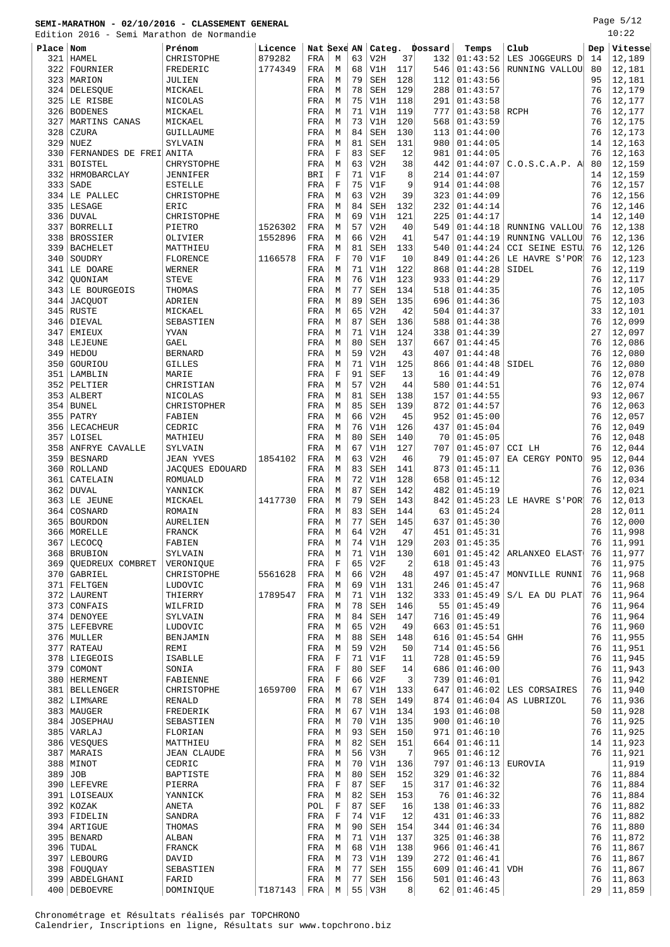Page 5/12

|            | Edition 2016 - Semi Marathon de Normandie |                         |         |             |             |          |            |                      |                |                      |                       |          | 10:22            |
|------------|-------------------------------------------|-------------------------|---------|-------------|-------------|----------|------------|----------------------|----------------|----------------------|-----------------------|----------|------------------|
| Place Nom  |                                           | Prénom                  | Licence | Nat Sexe AN |             |          |            |                      | Categ. Dossard | Temps                | Club                  | Dep      | Vitesse          |
| 321        | HAMEL                                     | CHRISTOPHE              | 879282  | FRA         | М           | 63       | V2H        | 37                   | 132            | 01:43:52             | LES JOGGEURS D        | 14       | 12,189           |
| 322        | FOURNIER                                  | FREDERIC                | 1774349 | FRA         | M           | 68       | V1H        | 117                  | 546            | 01:43:56             | RUNNING VALLOU        | 80       | 12,181           |
| 323        | MARION                                    | JULIEN                  |         | FRA         | M           | 79       | <b>SEH</b> | 128                  | 112            | 01:43:56             |                       | 95       | 12,181           |
|            | 324 DELESQUE                              | MICKAEL                 |         | FRA         | М           | 78       | <b>SEH</b> | 129                  | 288            | 01:43:57             |                       | 76       | 12,179           |
| 325        | LE RISBE                                  | <b>NICOLAS</b>          |         | FRA         | М           | 75       | V1H        | 118                  | 291<br>777     | 01:43:58             |                       | 76       | 12,177           |
| 326<br>327 | <b>BODENES</b><br>MARTINS CANAS           | MICKAEL<br>MICKAEL      |         | FRA<br>FRA  | М<br>М      | 71<br>73 | V1H<br>V1H | 119<br>120           | 568            | 01:43:58<br>01:43:59 | <b>RCPH</b>           | 76<br>76 | 12,177<br>12,175 |
| 328        | CZURA                                     | GUILLAUME               |         | FRA         | M           | 84       | <b>SEH</b> | 130                  | 113            | 01:44:00             |                       | 76       | 12,173           |
| 329        | <b>NUEZ</b>                               | SYLVAIN                 |         | FRA         | М           | 81       | <b>SEH</b> | 131                  | 980            | 01:44:05             |                       | 14       | 12,163           |
| 330        | FERNANDES DE FREI ANITA                   |                         |         | FRA         | F           | 83       | <b>SEF</b> | 12                   | 981            | 01:44:05             |                       | 76       | 12,163           |
| 331        | <b>BOISTEL</b>                            | CHRYSTOPHE              |         | FRA         | M           | 63       | V2H        | 38                   | 442            | 01:44:07             | C.O.S.C.A.P. A        | 80       | 12,159           |
| 332        | HRMOBARCLAY                               | JENNIFER                |         | <b>BRI</b>  | $\mathbf F$ | 71       | V1F        | 8                    | 214            | 01:44:07             |                       | 14       | 12,159           |
| 333        | SADE                                      | <b>ESTELLE</b>          |         | FRA         | F           | 75       | V1F        | 9                    | 914            | 01:44:08             |                       | 76       | 12,157           |
| 334        | LE PALLEC                                 | CHRISTOPHE              |         | FRA         | М           | 63       | V2H        | 39                   | 323            | 01:44:09             |                       | 76       | 12,156           |
| 335        | LESAGE                                    | ERIC                    |         | FRA         | М           | 84       | <b>SEH</b> | 132                  | 232            | 01:44:14             |                       | 76       | 12,146           |
| 336        | <b>DUVAL</b>                              | CHRISTOPHE              |         | FRA         | М           | 69       | V1H        | 121                  | 225            | 01:44:17             |                       | 14       | 12,140           |
| 337        | <b>BORRELLI</b>                           | PIETRO                  | 1526302 | FRA         | М           | 57       | V2H        | 40                   | 549            | 01:44:18             | RUNNING VALLOU        | 76       | 12,138           |
| 338        | <b>BROSSIER</b>                           | OLIVIER                 | 1552896 | FRA         | М           | 66       | V2H        | 41                   | 547            | 01:44:19             | RUNNING VALLOU        | 76       | 12,136           |
| 339        | <b>BACHELET</b>                           | MATTHIEU                |         | FRA         | М           | 81       | <b>SEH</b> | 133                  | 540            | 01:44:24             | <b>CCI SEINE ESTU</b> | 76       | 12,126           |
| 340        | SOUDRY                                    | FLORENCE                | 1166578 | FRA         | $\mathbf F$ | 70       | V1F        | 10                   | 849            | 01:44:26             | LE HAVRE S'POR        | 76<br>76 | 12,123           |
| 341<br>342 | LE DOARE<br>OUONIAM                       | WERNER<br><b>STEVE</b>  |         | FRA<br>FRA  | М<br>М      | 71<br>76 | V1H<br>V1H | 122<br>123           | 868<br>933     | 01:44:28<br>01:44:29 | SIDEL                 | 76       | 12,119<br>12,117 |
| 343        | LE BOURGEOIS                              | THOMAS                  |         | FRA         | М           | 77       | <b>SEH</b> | 134                  | 518            | 01:44:35             |                       | 76       | 12,105           |
| 344        | <b>JACQUOT</b>                            | ADRIEN                  |         | FRA         | M           | 89       | <b>SEH</b> | 135                  | 696            | 01:44:36             |                       | 75       | 12,103           |
|            | 345 RUSTE                                 | MICKAEL                 |         | FRA         | М           | 65       | V2H        | 42                   | 504            | 01:44:37             |                       | 33       | 12,101           |
| 346        | DIEVAL                                    | SEBASTIEN               |         | FRA         | М           | 87       | <b>SEH</b> | 136                  | 588            | 01:44:38             |                       | 76       | 12,099           |
| 347        | <b>EMIEUX</b>                             | YVAN                    |         | FRA         | M           | 71       | V1H        | 124                  | 338            | 01:44:39             |                       | 27       | 12,097           |
| 348        | LEJEUNE                                   | GAEL                    |         | FRA         | M           | 80       | <b>SEH</b> | 137                  | 667            | 01:44:45             |                       | 76       | 12,086           |
| 349        | HEDOU                                     | <b>BERNARD</b>          |         | FRA         | M           | 59       | V2H        | 43                   | 407            | 01:44:48             |                       | 76       | 12,080           |
| 350        | GOURIOU                                   | <b>GILLES</b>           |         | FRA         | М           | 71       | V1H        | 125                  | 866            | 01:44:48             | SIDEL                 | 76       | 12,080           |
| 351        | LAMBLIN                                   | MARIE                   |         | FRA         | $\mathbf F$ | 91       | <b>SEF</b> | 13                   | 16             | 01:44:49             |                       | 76       | 12,078           |
| 352        | PELTIER                                   | CHRISTIAN               |         | FRA         | М           | 57       | V2H        | 44                   | 580            | 01:44:51             |                       | 76       | 12,074           |
| 353        | ALBERT                                    | NICOLAS                 |         | FRA         | M           | 81       | <b>SEH</b> | 138                  | 157            | 01:44:55             |                       | 93       | 12,067           |
| 354        | <b>BUNEL</b>                              | CHRISTOPHER             |         | FRA         | М           | 85       | <b>SEH</b> | 139                  | 872            | 01:44:57             |                       | 76       | 12,063           |
| 355<br>356 | PATRY<br>LECACHEUR                        | FABIEN<br>CEDRIC        |         | FRA<br>FRA  | М<br>M      | 66<br>76 | V2H<br>V1H | 45<br>126            | 952<br>437     | 01:45:00<br>01:45:04 |                       | 76<br>76 | 12,057<br>12,049 |
| 357        | LOISEL                                    | MATHIEU                 |         | FRA         | М           | 80       | <b>SEH</b> | 140                  | 70             | 01:45:05             |                       | 76       | 12,048           |
| 358        | ANFRYE CAVALLE                            | SYLVAIN                 |         | FRA         | М           | 67       | V1H        | 127                  | 707            | 01:45:07             | CCI LH                | 76       | 12,044           |
| 359        | <b>BESNARD</b>                            | <b>JEAN YVES</b>        | 1854102 | FRA         | М           | 63       | V2H        | 46                   | 79             | 01:45:07             | EA CERGY PONTO        | 95       | 12,044           |
| 360        | ROLLAND                                   | JACQUES EDOUARD         |         | FRA         | М           | 83       | <b>SEH</b> | 141                  | 873            | 01:45:11             |                       | 76       | 12,036           |
| 361        | CATELAIN                                  | <b>ROMUALD</b>          |         | FRA         | М           | 72       | V1H        | 128                  | 658            | 01:45:12             |                       | 76       | 12,034           |
| 362        | <b>DUVAL</b>                              | YANNICK                 |         | FRA         | М           | 87       | <b>SEH</b> | 142                  | 482            | 01:45:19             |                       | 76       | 12,021           |
| 363        | LE JEUNE                                  | MICKAEL                 | 1417730 | FRA         | М           | 79       | <b>SEH</b> | 143                  | 842            | 01:45:23             | LE HAVRE S'POR        | 76       | 12,013           |
| 364        | COSNARD                                   | ROMAIN                  |         | FRA         | M           | 83       | <b>SEH</b> | 144                  | 63             | 01:45:24             |                       | 28       | 12,011           |
|            | 365 BOURDON                               | AURELIEN                |         | FRA         | M           | 77       | <b>SEH</b> | 145                  | 637            | 01:45:30             |                       | 76       | 12,000           |
|            | 366   MORELLE                             | FRANCK                  |         | FRA         | M           |          | $64$ V2H   | 47                   |                | 451   01:45:31       |                       |          | 76   11,998      |
| 367        | LECOCQ                                    | FABIEN                  |         | FRA         | М           | 74       | V1H        | 129                  | 203            | 01:45:35             |                       | 76       | 11,991           |
| 368        | <b>BRUBION</b>                            | SYLVAIN                 |         | FRA         | М           | 71       | V1H        | 130                  | 601            | 01:45:42             | ARLANXEO ELAST        | 76       | 11,977           |
| 369<br>370 | <b>OUEDREUX COMBRET</b><br>GABRIEL        | VERONIQUE<br>CHRISTOPHE | 5561628 | FRA<br>FRA  | F<br>М      | 65<br>66 | V2F<br>V2H | $\overline{c}$<br>48 | 618<br>497     | 01:45:43<br>01:45:47 | MONVILLE RUNNI        | 76<br>76 | 11,975<br>11,968 |
|            | 371 FELTGEN                               | LUDOVIC                 |         | FRA         | М           | 69       | V1H        | 131                  | 246            | 01:45:47             |                       | 76       | 11,968           |
|            | 372 LAURENT                               | THIERRY                 | 1789547 | FRA         | М           | 71       | V1H        | 132                  | 333            | 01:45:49             | S/L EA DU PLAT        | 76       | 11,964           |
| 373        | CONFAIS                                   | WILFRID                 |         | FRA         | М           | 78       | <b>SEH</b> | 146                  | 55             | 01:45:49             |                       | 76       | 11,964           |
|            | 374 DENOYEE                               | SYLVAIN                 |         | FRA         | М           | 84       | SEH        | 147                  | 716            | 01:45:49             |                       | 76       | 11,964           |
|            | 375   LEFEBVRE                            | LUDOVIC                 |         | FRA         | М           | 65       | V2H        | 49                   | 663            | 01:45:51             |                       | 76       | 11,960           |
|            | 376 MULLER                                | BENJAMIN                |         | FRA         | М           | 88       | <b>SEH</b> | 148                  | 616            | 01:45:54             | <b>GHH</b>            | 76       | 11,955           |
| 377        | <b>RATEAU</b>                             | REMI                    |         | FRA         | М           | 59       | V2H        | 50                   | 714            | 01:45:56             |                       | 76       | 11,951           |
| 378        | LIEGEOIS                                  | ISABLLE                 |         | FRA         | F           | 71       | V1F        | 11                   | 728            | 01:45:59             |                       | 76       | 11,945           |
| 379        | COMONT                                    | SONIA                   |         | FRA         | $\mathbf F$ | 80       | SEF        | 14                   | 686            | 01:46:00             |                       | 76       | 11,943           |
| 380        | <b>HERMENT</b>                            | FABIENNE                |         | FRA         | F           | 66       | V2F        | 3                    | 739            | 01:46:01             |                       | 76       | 11,942           |
|            | 381   BELLENGER                           | CHRISTOPHE              | 1659700 | FRA         | М           | 67       | V1H        | 133                  | 647            | 01:46:02             | LES CORSAIRES         | 76       | 11,940           |
|            | 382 LIM&ARE<br>383   MAUGER               | RENALD<br>FREDERIK      |         | FRA<br>FRA  | М<br>М      | 78<br>67 | SEH<br>V1H | 149<br>134           | 874<br>193     | 01:46:04<br>01:46:08 | AS LUBRIZOL           | 76<br>50 | 11,936<br>11,928 |
|            | 384 JOSEPHAU                              | SEBASTIEN               |         | FRA         | М           | 70       | V1H        | 135                  | 900            | 01:46:10             |                       | 76       | 11,925           |
|            | 385 VARLAJ                                | FLORIAN                 |         | FRA         | M           | 93       | <b>SEH</b> | 150                  | 971            | 01:46:10             |                       | 76       | 11,925           |
|            | 386   VESQUES                             | MATTHIEU                |         | FRA         | М           | 82       | SEH        | 151                  | 664            | 01:46:11             |                       | 14       | 11,923           |
|            | 387   MARAIS                              | JEAN CLAUDE             |         | FRA         | М           | 56       | V3H        | 7                    | 965            | 01:46:12             |                       | 76       | 11,921           |
|            | 388   MINOT                               | CEDRIC                  |         | FRA         | М           | 70       | V1H        | 136                  | 797            | 01:46:13             | EUROVIA               |          | 11,919           |
| 389        | <b>JOB</b>                                | BAPTISTE                |         | FRA         | M           | 80       | <b>SEH</b> | 152                  | 329            | 01:46:32             |                       | 76       | 11,884           |
|            | 390 LEFEVRE                               | PIERRA                  |         | FRA         | $\mathbf F$ | 87       | SEF        | 15                   | 317            | 01:46:32             |                       | 76       | 11,884           |
|            | 391 LOISEAUX                              | YANNICK                 |         | FRA         | М           | 82       | SEH        | 153                  | 76             | 01:46:32             |                       | 76       | 11,884           |
|            | 392 KOZAK                                 | ANETA                   |         | POL         | F           | 87       | SEF        | 16                   | 138            | 01:46:33             |                       | 76       | 11,882           |
|            | 393 FIDELIN                               | SANDRA                  |         | FRA         | F           | 74       | V1F        | 12                   | 431            | 01:46:33             |                       | 76       | 11,882           |
|            | 394 ARTIGUE                               | THOMAS                  |         | FRA         | М           | 90       | <b>SEH</b> | 154                  | 344            | 01:46:34             |                       | 76       | 11,880           |
| 395        | <b>BENARD</b>                             | ALBAN                   |         | FRA         | М           | 71       | V1H        | 137                  | 325            | 01:46:38             |                       | 76       | 11,872           |
| 396        | TUDAL<br>397 LEBOURG                      | FRANCK<br>DAVID         |         | FRA<br>FRA  | М<br>М      | 68<br>73 | V1H<br>V1H | 138<br>139           | 966<br>272     | 01:46:41<br>01:46:41 |                       | 76<br>76 | 11,867<br>11,867 |
| 398        | FOUQUAY                                   | SEBASTIEN               |         | FRA         | М           | 77       | SEH        | 155                  | 609            | 01:46:41             | <b>VDH</b>            | 76       | 11,867           |
|            | 399   ABDELGHANI                          | FARID                   |         | FRA         | М           | 77       | SEH        | 156                  | 501            | 01:46:43             |                       | 76       | 11,863           |
|            |                                           |                         |         |             |             |          |            |                      |                |                      |                       |          |                  |

400 DEBOEVRE DOMINIQUE | T187143 | FRA | M | 55 | V3H 8 | 62 | 01:46:45 | 29 | 11,859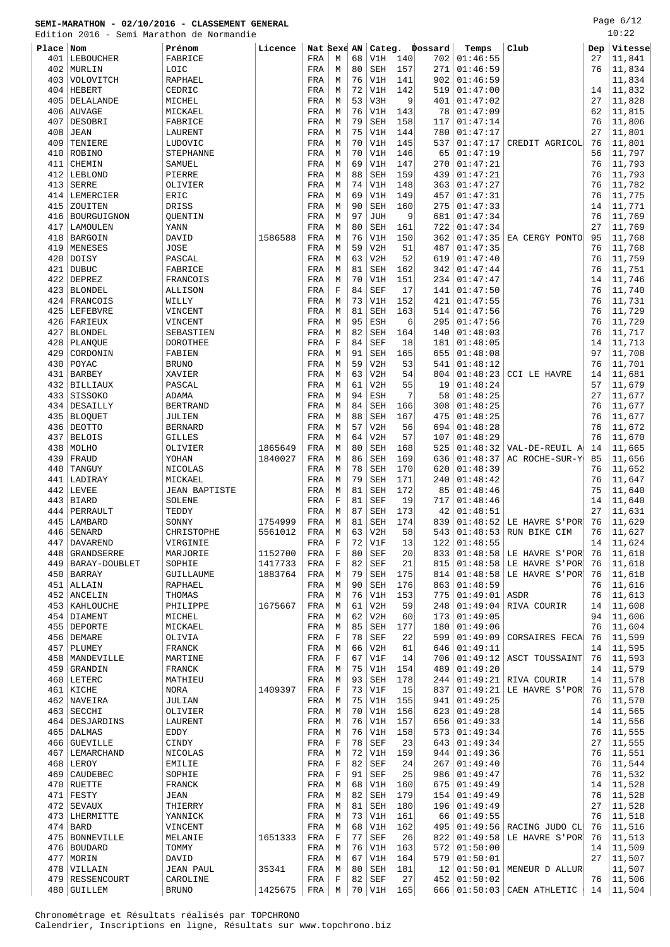Page 6/12

|       | Edition 2016 - Semi Marathon de Normandie |                      |                    |             |             |    |                 |           |                |                |                                                        |          | 10:22             |
|-------|-------------------------------------------|----------------------|--------------------|-------------|-------------|----|-----------------|-----------|----------------|----------------|--------------------------------------------------------|----------|-------------------|
| Place | Nom                                       | Prénom               | Licence            | Nat Sexe AN |             |    |                 |           | Categ. Dossard | Temps          | Club                                                   | Dep      | Vitesse           |
| 401   | LEBOUCHER                                 | FABRICE              |                    | FRA         | M           | 68 | V1H             | 140       | 702            | 01:46:55       |                                                        | 27       | 11,841            |
| 402   | MURLIN                                    | LOIC                 |                    | FRA         | M           | 80 | <b>SEH</b>      | 157       | 271            | 01:46:59       |                                                        | 76       | 11,834            |
| 403   | VOLOVITCH                                 | RAPHAEL              |                    | FRA         | М           | 76 | V1H             | 141       | 902            | 01:46:59       |                                                        |          | 11,834            |
| 404   | HEBERT                                    | CEDRIC               |                    | FRA         | M           | 72 | V1H             | 142       | 519            | 01:47:00       |                                                        | 14       | 11,832            |
| 405   | DELALANDE                                 | MICHEL               |                    | FRA         | М           | 53 | V3H             | 9         | 401            | 01:47:02       |                                                        | 27       | 11,828            |
| 406   | <b>AUVAGE</b>                             | MICKAEL              |                    | FRA         | M           | 76 | V1H             | 143       | 78             | 01:47:09       |                                                        | 62       | 11,815            |
| 407   | DESOBRI                                   | FABRICE              |                    | FRA         | М           | 79 | <b>SEH</b>      | 158       | 117            | 01:47:14       |                                                        | 76       | 11,806            |
| 408   | JEAN                                      | LAURENT              |                    | FRA         | M           | 75 | V1H             | 144       | 780            | 01:47:17       |                                                        | 27       | 11,801            |
| 409   | TENIERE                                   | LUDOVIC              |                    | FRA         | М           | 70 | V1H             | 145       | 537            | 01:47:17       | CREDIT AGRICOL                                         | 76       | 11,801            |
| 410   | ROBINO                                    | <b>STEPHANNE</b>     |                    | FRA         | М           | 70 | V1H             | 146       | 65             | 01:47:19       |                                                        | 56       | 11,797            |
| 411   | CHEMIN                                    | SAMUEL               |                    | FRA         | М           | 69 | V1H             | 147       | 270            | 01:47:21       |                                                        | 76       | 11,793            |
| 412   | LEBLOND                                   | PIERRE               |                    | FRA         | M           | 88 | <b>SEH</b>      | 159       | 439            | 01:47:21       |                                                        | 76       | 11,793            |
| 413   | <b>SERRE</b>                              | OLIVIER              |                    | FRA         | M           | 74 | V1H             | 148       | 363            | 01:47:27       |                                                        | 76       | 11,782            |
| 414   | LEMERCIER                                 | ERIC                 |                    | FRA         | М           | 69 | V1H             | 149       | 457            | 01:47:31       |                                                        | 76       | 11,775            |
| 415   | ZOUITEN                                   | DRISS                |                    | FRA         | М           | 90 | <b>SEH</b>      | 160       | 275            | 01:47:33       |                                                        | 14       | 11,771            |
| 416   | BOURGUIGNON                               | QUENTIN              |                    | FRA         | М           | 97 | <b>JUH</b>      | 9         | 681            | 01:47:34       |                                                        | 76       | 11,769            |
| 417   | LAMOULEN                                  | YANN                 |                    | FRA         | М           | 80 | <b>SEH</b>      | 161       | 722            | 01:47:34       |                                                        | 27       | 11,769            |
| 418   | BARGOIN                                   | DAVID                | 1586588            | FRA         | M           | 76 | V1H             | 150       | 362            | 01:47:35       | EA CERGY PONTO                                         | 95       | 11,768            |
| 419   | MENESES                                   | <b>JOSE</b>          |                    | FRA         | М           | 59 | V2H             | 51        | 487            | 01:47:35       |                                                        | 76       | 11,768            |
| 420   | DOISY                                     | PASCAL               |                    | FRA         | M           | 63 | V2H             | 52        | 619            | 01:47:40       |                                                        | 76       | 11,759            |
| 421   | <b>DUBUC</b>                              | FABRICE              |                    | FRA         | М           | 81 | SEH             | 162       | 342            | 01:47:44       |                                                        | 76       | 11,751            |
| 422   | DEPREZ                                    | FRANCOIS             |                    | FRA         | M           | 70 | V1H             | 151       | 234            | 01:47:47       |                                                        | 14       | 11,746            |
| 423   | BLONDEL                                   | ALLISON              |                    | FRA         | $\mathbf F$ | 84 | <b>SEF</b>      | 17        | 141            | 01:47:50       |                                                        | 76       | 11,740            |
| 424   | FRANCOIS                                  | WILLY                |                    | FRA         | М           | 73 | V1H             | 152       | 421            | 01:47:55       |                                                        | 76       | 11,731            |
| 425   | LEFEBVRE                                  | VINCENT              |                    | FRA         | M           | 81 | <b>SEH</b>      | 163       | 514            | 01:47:56       |                                                        | 76       | 11,729            |
| 426   | FARIEUX                                   | VINCENT              |                    | FRA         | М           | 95 | ESH             | 6         | 295            | 01:47:56       |                                                        | 76       | 11,729            |
| 427   | <b>BLONDEL</b>                            | SEBASTIEN            |                    | FRA         | М           | 82 | <b>SEH</b>      | 164       | 140            | 01:48:03       |                                                        | 76       | 11,717            |
| 428   | PLANQUE                                   | DOROTHEE             |                    | FRA         | F           | 84 | <b>SEF</b>      | 18        | 181            | 01:48:05       |                                                        | 14       | 11,713            |
| 429   | CORDONIN                                  | FABIEN               |                    | FRA         | M           | 91 | <b>SEH</b>      | 165       | 655            | 01:48:08       |                                                        | 97       | 11,708            |
| 430   | POYAC                                     | <b>BRUNO</b>         |                    | FRA         | М           | 59 | V2H             | 53        | 541            | 01:48:12       |                                                        | 76       | 11,701            |
| 431   | <b>BARBEY</b>                             | XAVIER               |                    | FRA         | M           | 63 | V2H             | 54        | 804            | 01:48:23       | <b>CCI LE HAVRE</b>                                    | 14       | 11,681            |
| 432   | BILLIAUX                                  | PASCAL               |                    | FRA         | М           | 61 | V2H             | 55        | 19             | 01:48:24       |                                                        | 57       | 11,679            |
| 433   | SISSOKO                                   | ADAMA                |                    | FRA         | М           | 94 | ESH             | 7         | 58             | 01:48:25       |                                                        | 27       | 11,677            |
| 434   | DESAILLY                                  | <b>BERTRAND</b>      |                    | FRA         | М           | 84 | <b>SEH</b>      | 166       | 308            | 01:48:25       |                                                        | 76       | 11,677            |
| 435   | <b>BLOQUET</b>                            | JULIEN               |                    | FRA         | М           | 88 | <b>SEH</b>      | 167       | 475            | 01:48:25       |                                                        | 76       | 11,677            |
| 436   | DEOTTO                                    | <b>BERNARD</b>       |                    | FRA         | M           | 57 | V2H             | 56        | 694            | 01:48:28       |                                                        | 76       | 11,672            |
| 437   | <b>BELOIS</b>                             | <b>GILLES</b>        |                    | FRA         | М           | 64 | V2H             | 57        | 107            | 01:48:29       |                                                        | 76       | 11,670            |
| 438   | MOLHO                                     | OLIVIER              | 1865649            | FRA         | M           | 80 | SEH             | 168       | 525            | 01:48:32       | VAL-DE-REUIL A                                         | 14       | 11,665            |
| 439   | FRAUD                                     | YOHAN                | 1840027            | FRA         | М           | 86 | <b>SEH</b>      | 169       | 636            | 01:48:37       | AC ROCHE-SUR-Y                                         | 85       | 11,656            |
| 440   | TANGUY                                    | NICOLAS              |                    | FRA         | М           | 78 | <b>SEH</b>      | 170       | 620            | 01:48:39       |                                                        | 76       | 11,652            |
| 441   | LADIRAY                                   | MICKAEL              |                    | FRA         | М           | 79 | SEH             | 171       | 240            | 01:48:42       |                                                        | 76       | 11,647            |
| 442   | LEVEE                                     | <b>JEAN BAPTISTE</b> |                    | FRA         | М           | 81 | <b>SEH</b>      | 172       | 85             | 01:48:46       |                                                        | 75       | 11,640            |
| 443   | BIARD                                     | SOLENE               |                    | FRA         | $\mathbf F$ | 81 | <b>SEF</b>      | 19        | 717            | 01:48:46       |                                                        | 14       | 11,640            |
| 444   | PERRAULT                                  | TEDDY                |                    | FRA         | M           | 87 | <b>SEH</b>      | 173       | 42             | 01:48:51       |                                                        | 27       | 11,631            |
|       | 445   LAMBARD<br>446 SENARD               | SONNY<br>CHRISTOPHE  | 1754999<br>5561012 | FRA<br>FRA  | M<br>М      | 81 | SEH<br>$63$ V2H | 174<br>58 | 839            |                | $01:48:52$ LE HAVRE S'POR<br>543 01:48:53 RUN BIKE CIM | 76<br>76 | 11,629<br> 11,627 |
| 447   | DAVAREND                                  | VIRGINIE             |                    | FRA         | $\mathbf F$ | 72 | V1F             | 13        | 122            | 01:48:55       |                                                        | 14       | 11,624            |
| 448   | GRANDSERRE                                | MARJORIE             | 1152700            | FRA         | $\mathbf F$ | 80 | <b>SEF</b>      | 20        | 833            | 01:48:58       | LE HAVRE S'POR                                         | 76       | 11,618            |
| 449   | <b>BARAY-DOUBLET</b>                      | SOPHIE               | 1417733            | FRA         | $\mathbf F$ | 82 | <b>SEF</b>      | 21        | 815            | 01:48:58       | LE HAVRE S'POR                                         | 76       | 11,618            |
|       | 450 BARRAY                                | GUILLAUME            | 1883764            | FRA         | М           | 79 | SEH             | 175       | 814            | 01:48:58       | LE HAVRE S'POR                                         | 76       | 11,618            |
| 451   | ALLAIN                                    | RAPHAEL              |                    | FRA         | M           | 90 | SEH             | 176       | 863            | 01:48:59       |                                                        | 76       | 11,616            |
|       | 452 ANCELIN                               | THOMAS               |                    | FRA         | М           | 76 | V1H             | 153       | 775            | 01:49:01       | ASDR                                                   | 76       | 11,613            |
|       | 453   KAHLOUCHE                           | PHILIPPE             | 1675667            | FRA         | M           | 61 | V2H             | 59        | 248            | 01:49:04       | RIVA COURIR                                            | 14       | 11,608            |
|       | 454 DIAMENT                               | MICHEL               |                    | FRA         | М           | 62 | V2H             | 60        | 173            | 01:49:05       |                                                        | 94       | 11,606            |
|       | 455   DEPORTE                             | MICKAEL              |                    | FRA         | М           | 85 | SEH             | 177       | 180            | 01:49:06       |                                                        | 76       | 11,604            |
|       | 456   DEMARE                              | OLIVIA               |                    | FRA         | $\mathbf F$ | 78 | SEF             | 22        | 599            | 01:49:09       | CORSAIRES FECA                                         | 76       | 11,599            |
|       | $457$ PLUMEY                              | FRANCK               |                    | FRA         | М           | 66 | V2H             | 61        | 646            | 01:49:11       |                                                        | 14       | 11,595            |
|       | 458   MANDEVILLE                          | MARTINE              |                    | FRA         | F           | 67 | V1F             | 14        | 706            | 01:49:12       | ASCT TOUSSAINT                                         | 76       | 11,593            |
|       | 459 GRANDIN                               | FRANCK               |                    | FRA         | M           | 75 | V1H             | 154       | 489            | 01:49:20       |                                                        | 14       | 11,579            |
|       | 460 LETERC                                | MATHIEU              |                    | FRA         | М           | 93 | SEH             | 178       | 244            | 01:49:21       | RIVA COURIR                                            | 14       | 11,578            |
|       | 461 KICHE                                 | NORA                 | 1409397            | FRA         | $\mathbf F$ | 73 | V1F             | 15        | 837            | 01:49:21       | LE HAVRE S'POR                                         | 76       | 11,578            |
|       | 462 NAVEIRA                               | JULIAN               |                    | FRA         | М           | 75 | V1H             | 155       | 941            | 01:49:25       |                                                        | 76       | 11,570            |
|       | $463$ SECCHI                              | OLIVIER              |                    | FRA         | M           | 70 | V1H             | 156       | 623            | 01:49:28       |                                                        | 14       | 11,565            |
|       | 464   DESJARDINS                          | LAURENT              |                    | FRA         | M           | 76 | V1H             | 157       | 656            | 01:49:33       |                                                        | 14       | 11,556            |
|       | 465 DALMAS                                | EDDY                 |                    | FRA         | M           | 76 | V1H             | 158       | 573            | 01:49:34       |                                                        | 76       | 11,555            |
|       | 466 GUEVILLE                              | CINDY                |                    | FRA         | $\mathbf F$ | 78 | SEF             | 23        | 643            | 01:49:34       |                                                        | 27       | 11,555            |
|       | 467   LEMARCHAND                          | NICOLAS              |                    | FRA         | M           | 72 | V1H             | 159       | 944            | 01:49:36       |                                                        | 76       | 11,551            |
|       | $468$ LEROY                               | <b>EMILIE</b>        |                    | FRA         | $\mathbf F$ | 82 | <b>SEF</b>      | 24        | 267            | 01:49:40       |                                                        | 76       | 11,544            |
|       | 469   CAUDEBEC                            | SOPHIE               |                    | FRA         | $\mathbf F$ | 91 | SEF             | 25        | 986            | 01:49:47       |                                                        | 76       | 11,532            |
|       | $470$ RUETTE                              | FRANCK               |                    | FRA         | М           | 68 | V1H             | 160       | 675            | 01:49:49       |                                                        | 14       | 11,528            |
|       | $471$ FESTY                               | JEAN                 |                    | FRA         | М           | 82 | SEH             | 179       | 154            | 01:49:49       |                                                        | 76       | 11,528            |
|       | 472   SEVAUX                              | THIERRY              |                    | FRA         | М           | 81 | <b>SEH</b>      | 180       | 196            | 01:49:49       |                                                        | 27       | 11,528            |
|       | 473 LHERMITTE                             | YANNICK              |                    | FRA         | M           | 73 | V1H             | 161       | 66             | 01:49:55       |                                                        | 76       | 11,518            |
|       | $474$ BARD                                | VINCENT              |                    | FRA         | М           | 68 | V1H             | 162       | 495            | 01:49:56       | RACING JUDO CL                                         | 76       | 11,516            |
|       | 475   BONNEVILLE                          | MELANIE              | 1651333            | FRA         | $\mathbf F$ | 77 | SEF             | 26        | 822            | 01:49:58       | LE HAVRE S'POR                                         | 76       | 11,513            |
|       | 476   BOUDARD                             | TOMMY                |                    | FRA         | M           | 76 | V1H             | 163       | 572            | 01:50:00       |                                                        | 14       | 11,509            |
|       | 477   MORIN                               | DAVID                |                    | FRA         | М           | 67 | V1H             | 164       | 579            | 01:50:01       |                                                        | 27       | 11,507            |
|       | 478 VILLAIN                               | <b>JEAN PAUL</b>     | 35341              | FRA         | M           | 80 | SEH             | 181       | 12             |                | $01:50:01$ MENEUR D ALLUR                              |          | 11,507            |
|       | 479 RESSENCOURT                           | CAROLINE             |                    | FRA         | $\mathbf F$ |    | $82$ SEF        | 27        |                | 452   01:50:02 |                                                        |          | $76$   11,506     |

480 GUILLEM BRUNO 1425675 FRA M 70 V1H 165 666 01:50:03 CAEN ATHLETIC 14 11,504

Chronométrage et Résultats réalisés par TOPCHRONO Calendrier, Inscriptions en ligne, Résultats sur www.topchrono.biz

 $\overline{\phantom{a}}$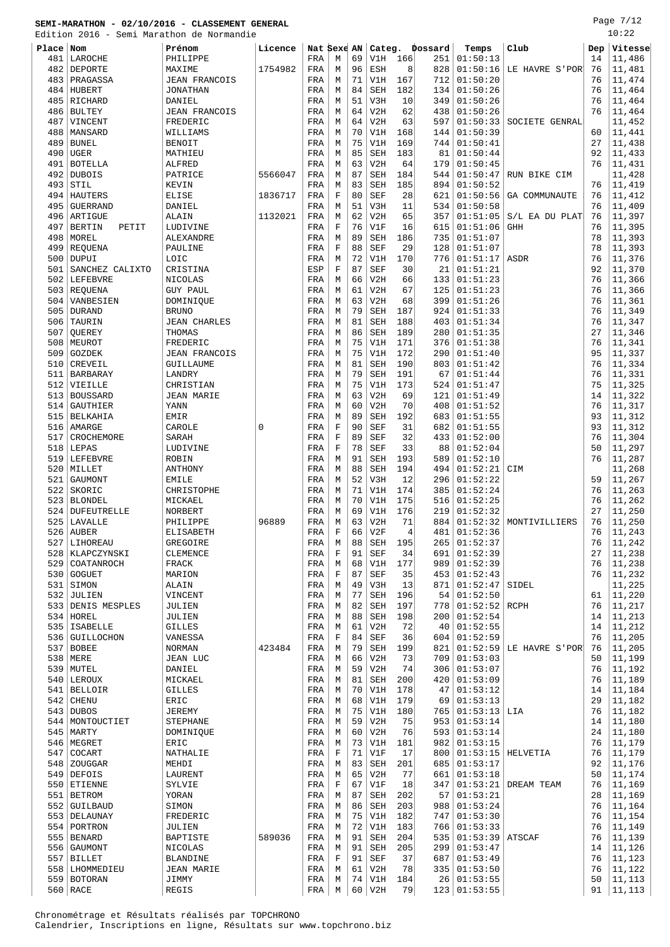Edition 2016 - Semi Marathon de Normandie

Page 7/12  $10:22$ 

|           |                        | Edition 2016 - Semi Marathon de Normandie |              |             |             |    |            |     |         |          |                     |     | 10:75   |
|-----------|------------------------|-------------------------------------------|--------------|-------------|-------------|----|------------|-----|---------|----------|---------------------|-----|---------|
| Place Nom |                        | Prénom                                    | Licence      | Nat Sexe AN |             |    | Categ.     |     | Dossard | Temps    | Club                | Dep | Vitesse |
| 481       | LAROCHE                | PHILIPPE                                  |              | <b>FRA</b>  | M           | 69 | V1H        | 166 | 251     | 01:50:13 |                     | 14  | 11,486  |
| 482       | DEPORTE                | MAXIME                                    | 1754982      | FRA         | M           | 96 | ESH        | 8   | 828     | 01:50:16 | LE HAVRE S'POR'     | 76  | 11,481  |
|           |                        |                                           |              |             | M           | 71 | V1H        | 167 | 712     | 01:50:20 |                     | 76  | 11,474  |
| 483       | PRAGASSA               | <b>JEAN FRANCOIS</b>                      |              | FRA         |             |    |            |     |         |          |                     |     |         |
| 484       | HUBERT                 | <b>JONATHAN</b>                           |              | FRA         | М           | 84 | <b>SEH</b> | 182 | 134     | 01:50:26 |                     | 76  | 11,464  |
| 485       | RICHARD                | DANIEL                                    |              | FRA         | M           | 51 | V3H        | 10  | 349     | 01:50:26 |                     | 76  | 11,464  |
| 486       | <b>BULTEY</b>          | <b>JEAN FRANCOIS</b>                      |              | FRA         | M           | 64 | V2H        | 62  | 438     | 01:50:26 |                     | 76  | 11,464  |
| 487       | VINCENT                | FREDERIC                                  |              | FRA         | M           | 64 | V2H        | 63  | 597     | 01:50:33 | SOCIETE GENRAL      |     | 11,452  |
| 488       | MANSARD                | WILLIAMS                                  |              | FRA         | М           | 70 | V1H        | 168 | 144     | 01:50:39 |                     | 60  | 11,441  |
| 489       | <b>BUNEL</b>           | <b>BENOIT</b>                             |              | FRA         | М           | 75 | V1H        | 169 | 744     | 01:50:41 |                     | 27  | 11,438  |
| 490       | UGER                   | MATHIEU                                   |              | FRA         | M           | 85 | <b>SEH</b> | 183 | 81      | 01:50:44 |                     | 92  | 11,433  |
| 491       | <b>BOTELLA</b>         | ALFRED                                    |              | FRA         | M           | 63 | V2H        | 64  | 179     | 01:50:45 |                     | 76  | 11,431  |
|           |                        |                                           |              |             |             |    |            |     |         |          |                     |     |         |
| 492       | <b>DUBOIS</b>          | PATRICE                                   | 5566047      | FRA         | M           | 87 | <b>SEH</b> | 184 | 544     | 01:50:47 | RUN BIKE CIM        |     | 11,428  |
| 493       | STIL                   | KEVIN                                     |              | FRA         | М           | 83 | <b>SEH</b> | 185 | 894     | 01:50:52 |                     | 76  | 11,419  |
| 494       | HAUTERS                | ELISE                                     | 1836717      | FRA         | $\mathbf F$ | 80 | <b>SEF</b> | 28  | 621     | 01:50:56 | GA COMMUNAUTE       | 76  | 11,412  |
| 495       | <b>GUERRAND</b>        | DANIEL                                    |              | FRA         | M           | 51 | V3H        | 11  | 534     | 01:50:58 |                     | 76  | 11,409  |
| 496       | ARTIGUE                | ALAIN                                     | 1132021      | FRA         | M           | 62 | V2H        | 65  | 357     | 01:51:05 | S/L EA DU PLAT      | 76  | 11,397  |
| 497       | <b>BERTIN</b><br>PETIT | LUDIVINE                                  |              | FRA         | $\mathbf F$ | 76 | V1F        | 16  | 615     | 01:51:06 | <b>GHH</b>          | 76  | 11,395  |
| 498       | MOREL                  | ALEXANDRE                                 |              | FRA         | M           | 89 | <b>SEH</b> | 186 | 735     | 01:51:07 |                     | 78  | 11,393  |
| 499       |                        |                                           |              |             | $\mathbf F$ | 88 | <b>SEF</b> | 29  | 128     | 01:51:07 |                     | 78  | 11,393  |
|           | REQUENA                | PAULINE                                   |              | FRA         |             |    |            |     |         |          |                     |     |         |
| 500       | DUPUI                  | LOIC                                      |              | FRA         | M           | 72 | V1H        | 170 | 776     | 01:51:17 | ASDR                | 76  | 11,376  |
| 501       | SANCHEZ CALIXTO        | CRISTINA                                  |              | ESP         | F           | 87 | <b>SEF</b> | 30  | 21      | 01:51:21 |                     | 92  | 11,370  |
| 502       | <b>LEFEBVRE</b>        | NICOLAS                                   |              | FRA         | M           | 66 | V2H        | 66  | 133     | 01:51:23 |                     | 76  | 11,366  |
| 503       | REQUENA                | <b>GUY PAUL</b>                           |              | FRA         | М           | 61 | V2H        | 67  | 125     | 01:51:23 |                     | 76  | 11,366  |
| 504       | VANBESIEN              | DOMINIQUE                                 |              | FRA         | М           | 63 | V2H        | 68  | 399     | 01:51:26 |                     | 76  | 11,361  |
| 505       | <b>DURAND</b>          | <b>BRUNO</b>                              |              | FRA         | М           | 79 | <b>SEH</b> | 187 | 924     | 01:51:33 |                     | 76  | 11,349  |
| 506       | TAURIN                 | <b>JEAN CHARLES</b>                       |              | FRA         | M           | 81 | <b>SEH</b> | 188 | 403     | 01:51:34 |                     | 76  | 11,347  |
| 507       | <b>QUEREY</b>          | THOMAS                                    |              |             | М           | 86 | <b>SEH</b> | 189 | 280     | 01:51:35 |                     | 27  | 11,346  |
|           |                        |                                           |              | FRA         |             |    |            |     |         |          |                     |     |         |
| 508       | MEUROT                 | FREDERIC                                  |              | FRA         | M           | 75 | V1H        | 171 | 376     | 01:51:38 |                     | 76  | 11,341  |
| 509       | GOZDEK                 | <b>JEAN FRANCOIS</b>                      |              | FRA         | М           | 75 | V1H        | 172 | 290     | 01:51:40 |                     | 95  | 11,337  |
| 510       | CREVEIL                | GUILLAUME                                 |              | FRA         | М           | 81 | <b>SEH</b> | 190 | 803     | 01:51:42 |                     | 76  | 11,334  |
| 511       | <b>BARBARAY</b>        | LANDRY                                    |              | FRA         | М           | 79 | <b>SEH</b> | 191 | 67      | 01:51:44 |                     | 76  | 11,331  |
| 512       | VIEILLE                | CHRISTIAN                                 |              | FRA         | М           | 75 | V1H        | 173 | 524     | 01:51:47 |                     | 75  | 11,325  |
| 513       | <b>BOUSSARD</b>        | <b>JEAN MARIE</b>                         |              | FRA         | М           | 63 | V2H        | 69  | 121     | 01:51:49 |                     | 14  | 11,322  |
| 514       | GAUTHIER               | YANN                                      |              | FRA         | М           | 60 | V2H        | 70  | 408     | 01:51:52 |                     | 76  | 11,317  |
| 515       | <b>BELKAHIA</b>        | <b>EMIR</b>                               |              | FRA         | M           | 89 | SEH        | 192 | 683     | 01:51:55 |                     | 93  | 11,312  |
|           |                        |                                           |              |             |             |    |            |     |         |          |                     |     |         |
| 516       | AMARGE                 | CAROLE                                    | $\mathbf{0}$ | FRA         | $\mathbf F$ | 90 | <b>SEF</b> | 31  | 682     | 01:51:55 |                     | 93  | 11,312  |
| 517       | CROCHEMORE             | SARAH                                     |              | FRA         | $\mathbf F$ | 89 | <b>SEF</b> | 32  | 433     | 01:52:00 |                     | 76  | 11,304  |
| 518       | LEPAS                  | LUDIVINE                                  |              | FRA         | F           | 78 | <b>SEF</b> | 33  | 88      | 01:52:04 |                     | 50  | 11,297  |
| 519       | LEFEBVRE               | ROBIN                                     |              | FRA         | M           | 91 | SEH        | 193 | 589     | 01:52:10 |                     | 76  | 11,287  |
| 520       | MILLET                 | ANTHONY                                   |              | FRA         | М           | 88 | <b>SEH</b> | 194 | 494     | 01:52:21 | CIM                 |     | 11,268  |
| 521       | GAUMONT                | <b>EMILE</b>                              |              | FRA         | M           | 52 | V3H        | 12  | 296     | 01:52:22 |                     | 59  | 11,267  |
| 522       | SKORIC                 | CHRISTOPHE                                |              | FRA         | М           | 71 | V1H        | 174 | 385     | 01:52:24 |                     | 76  | 11,263  |
|           |                        |                                           |              |             |             | 70 |            | 175 | 516     | 01:52:25 |                     | 76  |         |
| 523       | BLONDEL                | MICKAEL                                   |              | FRA         | М           |    | V1H        |     |         |          |                     |     | 11,262  |
| 524       | <b>DUFEUTRELLE</b>     | NORBERT                                   |              | FRA         | M           | 69 | V1H        | 176 | 219     | 01:52:32 |                     | 27  | 11,250  |
| 525       | LAVALLE                | PHILIPPE                                  | 96889        | FRA         | M           | 63 | V2H        | 71  | 884     | 01:52:32 | MONTIVILLIERS       | 76  | 11,250  |
| 526       | <b>AUBER</b>           | <b>ELISABETH</b>                          |              | FRA         | $\mathbf F$ | 66 | V2F        | 4   | 481     | 01:52:36 |                     | 76  | 11,243  |
| 527       | LIHOREAU               | GREGOIRE                                  |              | FRA         | М           | 88 | SEH        | 195 | 265     | 01:52:37 |                     | 76  | 11,242  |
|           | 528   KLAPCZYNSKI      | CLEMENCE                                  |              | FRA         | $\mathbf F$ | 91 | <b>SEF</b> | 34  | 691     | 01:52:39 |                     | 27  | 11,238  |
|           | 529 COATANROCH         | FRACK                                     |              | FRA         | М           | 68 | V1H        | 177 | 989     | 01:52:39 |                     | 76  | 11,238  |
|           | 530 GOGUET             | MARION                                    |              | FRA         | F           | 87 | SEF        | 35  | 453     | 01:52:43 |                     | 76  | 11,232  |
| 531       | SIMON                  | ALAIN                                     |              | FRA         | М           | 49 | V3H        | 13  | 871     | 01:52:47 | SIDEL               |     | 11,225  |
| 532       | JULIEN                 | VINCENT                                   |              | FRA         | М           | 77 | SEH        | 196 | 54      | 01:52:50 |                     | 61  | 11,220  |
|           |                        |                                           |              |             |             |    |            |     |         |          |                     |     |         |
|           | 533 DENIS MESPLES      | JULIEN                                    |              | FRA         | М           | 82 | SEH        | 197 | 778     | 01:52:52 | RCPH                | 76  | 11,217  |
|           | 534 HOREL              | JULIEN                                    |              | FRA         | М           | 88 | SEH        | 198 | 200     | 01:52:54 |                     | 14  | 11,213  |
|           | 535   ISABELLE         | <b>GILLES</b>                             |              | FRA         | М           | 61 | V2H        | 72  | 40      | 01:52:55 |                     | 14  | 11,212  |
|           | 536 GUILLOCHON         | VANESSA                                   |              | FRA         | $\mathbf F$ | 84 | <b>SEF</b> | 36  | 604     | 01:52:59 |                     | 76  | 11,205  |
|           | $537$ BOBEE            | <b>NORMAN</b>                             | 423484       | FRA         | М           | 79 | SEH        | 199 | 821     | 01:52:59 | LE HAVRE S'POR      | 76  | 11,205  |
|           | 538   MERE             | <b>JEAN LUC</b>                           |              | FRA         | М           | 66 | V2H        | 73  | 709     | 01:53:03 |                     | 50  | 11,199  |
| 539       | MUTEL                  | DANIEL                                    |              | FRA         | М           | 59 | V2H        | 74  | 306     | 01:53:07 |                     | 76  | 11,192  |
|           | 540 LEROUX             | MICKAEL                                   |              | FRA         | М           | 81 | SEH        | 200 | 420     | 01:53:09 |                     | 76  | 11,189  |
|           |                        |                                           |              |             |             |    |            |     |         |          |                     |     |         |
|           | 541 BELLOIR            | <b>GILLES</b>                             |              | FRA         | M           | 70 | V1H        | 178 | 47      | 01:53:12 |                     | 14  | 11,184  |
|           | $542$ CHENU            | ERIC                                      |              | FRA         | М           | 68 | V1H        | 179 | 69      | 01:53:13 |                     | 29  | 11,182  |
|           | $543$ DUBOS            | <b>JEREMY</b>                             |              | FRA         | М           | 75 | V1H        | 180 | 765     | 01:53:13 | LIA                 | 76  | 11,182  |
|           | 544   MONTOUCTIET      | <b>STEPHANE</b>                           |              | FRA         | М           | 59 | V2H        | 75  | 953     | 01:53:14 |                     | 14  | 11,180  |
|           | $545$ MARTY            | DOMINIQUE                                 |              | FRA         | М           | 60 | V2H        | 76  | 593     | 01:53:14 |                     | 24  | 11,180  |
|           | 546   MEGRET           | ERIC                                      |              | FRA         | М           | 73 | V1H        | 181 | 982     | 01:53:15 |                     | 76  | 11,179  |
|           | $547$ COCART           | NATHALIE                                  |              | FRA         | $\mathbf F$ | 71 | V1F        | 17  | 800     |          | $01:53:15$ HELVETIA | 76  | 11,179  |
|           | 548 ZOUGGAR            | MEHDI                                     |              | FRA         | М           | 83 | SEH        | 201 | 685     | 01:53:17 |                     | 92  | 11,176  |
|           | 549 DEFOIS             | LAURENT                                   |              | FRA         | М           | 65 | V2H        | 77  | 661     | 01:53:18 |                     | 50  | 11,174  |
|           |                        |                                           |              |             |             |    |            |     |         |          |                     |     |         |
|           | 550 ETIENNE            | SYLVIE                                    |              | FRA         | F           | 67 | V1F        | 18  | 347     | 01:53:21 | DREAM TEAM          | 76  | 11,169  |
|           | 551   BETROM           | YORAN                                     |              | FRA         | М           | 87 | SEH        | 202 | 57      | 01:53:21 |                     | 28  | 11,169  |
|           | 552 GUILBAUD           | SIMON                                     |              | FRA         | М           | 86 | SEH        | 203 | 988     | 01:53:24 |                     | 76  | 11,164  |
|           | 553   DELAUNAY         | FREDERIC                                  |              | FRA         | M           | 75 | V1H        | 182 | 747     | 01:53:30 |                     | 76  | 11,154  |
|           | 554   PORTRON          | JULIEN                                    |              | FRA         | М           | 72 | V1H        | 183 | 766     | 01:53:33 |                     | 76  | 11,149  |
|           | 555   BENARD           | BAPTISTE                                  | 589036       | FRA         | М           | 91 | SEH        | 204 | 535     | 01:53:39 | ATSCAF              | 76  | 11,139  |
|           | 556 GAUMONT            | NICOLAS                                   |              | FRA         | М           | 91 | <b>SEH</b> | 205 | 299     | 01:53:47 |                     | 14  | 11,126  |
|           | $557$ BILLET           | <b>BLANDINE</b>                           |              | FRA         | F           | 91 | <b>SEF</b> | 37  | 687     | 01:53:49 |                     | 76  | 11,123  |
|           |                        |                                           |              |             |             |    |            |     |         |          |                     |     |         |
|           | 558   LHOMMEDIEU       | <b>JEAN MARIE</b>                         |              | FRA         | М           | 61 | V2H        | 78  | 335     | 01:53:50 |                     | 76  | 11,122  |
|           | 559 BOTORAN            | JIMMY                                     |              | FRA         | М           | 74 | V1H        | 184 | 26      | 01:53:55 |                     | 50  | 11,113  |

560 RACE REGIS REGIS REGIS REGISTER REGISTER REGISTER REGISTER REGISTER REGISTER REGISTER REGISTER REGISTER REGISTER REGISTER REGISTER REGISTER REGISTER REGISTER REGISTER REGISTER REGISTER REGISTER REGISTER REGISTER REGIST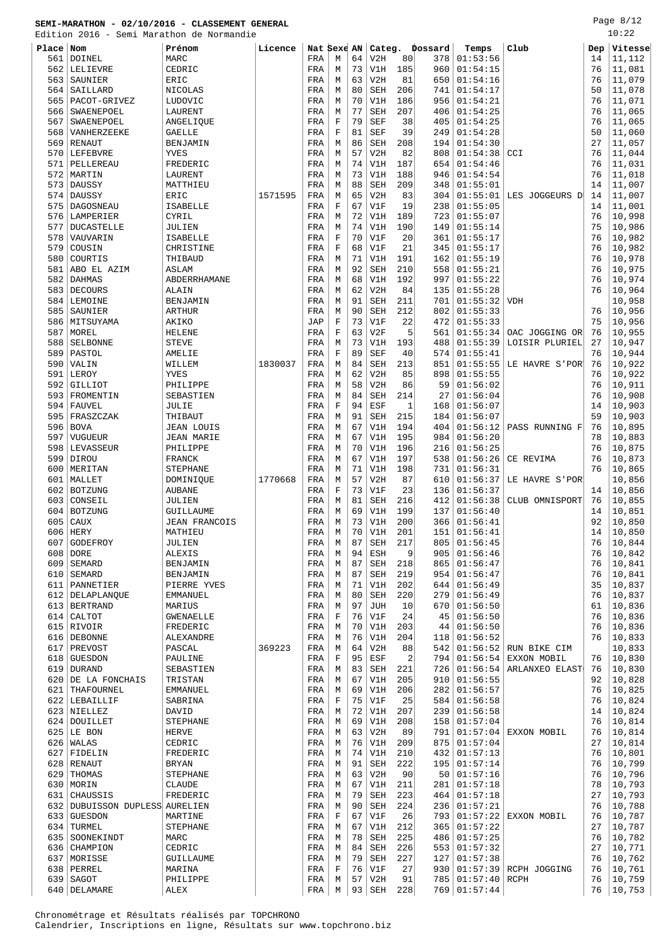Edition 2016 - Semi Marathon de Normandie

Page 8/12 10:22

| <b>FOTCTON</b> |                            | 2016 - Semi Marachon de Normandie |         |             |             |    |            |     |         |                 |                         |     | ⊥∪ •∠∠  |
|----------------|----------------------------|-----------------------------------|---------|-------------|-------------|----|------------|-----|---------|-----------------|-------------------------|-----|---------|
| Place Nom      |                            | Prénom                            | Licence | Nat Sexe AN |             |    | Categ.     |     | Dossard | Temps           | Club                    | Dep | Vitesse |
| 561            | <b>DOINEL</b>              | MARC                              |         | FRA         | M           | 64 | V2H        | 80  | 378     | 01:53:56        |                         | 14  | 11,112  |
| 562            | LELIEVRE                   | CEDRIC                            |         | FRA         | М           | 73 | V1H        | 185 | 960     | 01:54:15        |                         | 76  | 11,081  |
| 563            | SAUNIER                    | ERIC                              |         | FRA         | М           | 63 | V2H        | 81  | 650     | 01:54:16        |                         | 76  | 11,079  |
|                |                            |                                   |         |             |             |    |            |     |         |                 |                         |     |         |
| 564            | SAILLARD                   | NICOLAS                           |         | FRA         | М           | 80 | <b>SEH</b> | 206 | 741     | 01:54:17        |                         | 50  | 11,078  |
| 565            | PACOT-GRIVEZ               | LUDOVIC                           |         | FRA         | M           | 70 | V1H        | 186 | 956     | 01:54:21        |                         | 76  | 11,071  |
| 566            | SWAENEPOEL                 | LAURENT                           |         | FRA         | M           | 77 | <b>SEH</b> | 207 | 406     | 01:54:25        |                         | 76  | 11,065  |
| 567            | SWAENEPOEL                 | ANGELIQUE                         |         | FRA         | $\mathbf F$ | 79 | <b>SEF</b> | 38  | 405     | 01:54:25        |                         | 76  | 11,065  |
| 568            | VANHERZEEKE                | <b>GAELLE</b>                     |         | FRA         | F           | 81 | <b>SEF</b> | 39  | 249     | 01:54:28        |                         | 50  | 11,060  |
| 569            | <b>RENAUT</b>              | BENJAMIN                          |         | FRA         | М           | 86 | <b>SEH</b> | 208 | 194     | 01:54:30        |                         | 27  | 11,057  |
| 570            | LEFEBVRE                   | <b>YVES</b>                       |         | FRA         | M           | 57 | V2H        | 82  | 808     | 01:54:38        | CCI                     | 76  | 11,044  |
|                |                            |                                   |         |             |             | 74 |            |     |         |                 |                         | 76  |         |
| 571            | PELLEREAU                  | FREDERIC                          |         | FRA         | М           |    | V1H        | 187 | 654     | 01:54:46        |                         |     | 11,031  |
| 572            | MARTIN                     | LAURENT                           |         | FRA         | М           | 73 | V1H        | 188 | 946     | 01:54:54        |                         | 76  | 11,018  |
| 573            | DAUSSY                     | MATTHIEU                          |         | FRA         | М           | 88 | <b>SEH</b> | 209 | 348     | 01:55:01        |                         | 14  | 11,007  |
| 574            | <b>DAUSSY</b>              | ERIC                              | 1571595 | FRA         | M           | 65 | V2H        | 83  | 304     | 01:55:01        | LES JOGGEURS D          | 14  | 11,007  |
| 575            | DAGOSNEAU                  | ISABELLE                          |         | FRA         | $\mathbf F$ | 67 | V1F        | 19  | 238     | 01:55:05        |                         | 14  | 11,001  |
| 576            | LAMPERIER                  | CYRIL                             |         | FRA         | M           | 72 | V1H        | 189 | 723     | 01:55:07        |                         | 76  | 10,998  |
| 577            | <b>DUCASTELLE</b>          | JULIEN                            |         | FRA         | М           | 74 | V1H        | 190 | 149     | 01:55:14        |                         | 75  | 10,986  |
| 578            | VAUVARIN                   | ISABELLE                          |         | FRA         | $\mathbf F$ | 70 | V1F        | 20  | 361     | 01:55:17        |                         | 76  | 10,982  |
|                |                            |                                   |         |             |             |    |            |     |         |                 |                         |     |         |
| 579            | COUSIN                     | CHRISTINE                         |         | FRA         | $\mathbf F$ | 68 | V1F        | 21  | 345     | 01:55:17        |                         | 76  | 10,982  |
| 580            | COURTIS                    | THIBAUD                           |         | FRA         | M           | 71 | V1H        | 191 | 162     | 01:55:19        |                         | 76  | 10,978  |
| 581            | ABO EL AZIM                | <b>ASLAM</b>                      |         | FRA         | М           | 92 | <b>SEH</b> | 210 | 558     | 01:55:21        |                         | 76  | 10,975  |
| 582            | <b>DAHMAS</b>              | ABDERRHAMANE                      |         | FRA         | М           | 68 | V1H        | 192 | 997     | 01:55:22        |                         | 76  | 10,974  |
| 583            | <b>DECOURS</b>             | ALAIN                             |         | FRA         | M           | 62 | V2H        | 84  | 135     | 01:55:28        |                         | 76  | 10,964  |
| 584            | LEMOINE                    | BENJAMIN                          |         | FRA         | М           | 91 | <b>SEH</b> | 211 | 701     | 01:55:32        | <b>VDH</b>              |     | 10,958  |
|                |                            |                                   |         |             |             |    |            |     |         |                 |                         |     |         |
| 585            | SAUNIER                    | <b>ARTHUR</b>                     |         | FRA         | M           | 90 | <b>SEH</b> | 212 | 802     | 01:55:33        |                         | 76  | 10,956  |
| 586            | MITSUYAMA                  | AKIKO                             |         | JAP         | $\mathbf F$ | 73 | V1F        | 22  | 472     | 01:55:33        |                         | 75  | 10,956  |
| 587            | MOREL                      | <b>HELENE</b>                     |         | FRA         | F           | 63 | V2F        | 5   | 561     | 01:55:34        | OAC JOGGING OR          | 76  | 10,955  |
| 588            | SELBONNE                   | <b>STEVE</b>                      |         | FRA         | М           | 73 | V1H        | 193 | 488     | 01:55:39        | LOISIR PLURIEL          | 27  | 10,947  |
| 589            | PASTOL                     | AMELIE                            |         | FRA         | $\mathbf F$ | 89 | <b>SEF</b> | 40  | 574     | 01:55:41        |                         | 76  | 10,944  |
| 590            | VALIN                      | WILLEM                            | 1830037 | FRA         | М           | 84 | <b>SEH</b> | 213 | 851     | 01:55:55        | LE HAVRE S'POR          | 76  | 10,922  |
| 591            | LEROY                      | YVES                              |         | FRA         | M           | 62 | V2H        | 85  | 898     | 01:55:55        |                         | 76  | 10,922  |
|                |                            |                                   |         |             |             |    |            |     |         |                 |                         |     |         |
| 592            | GILLIOT                    | PHILIPPE                          |         | FRA         | M           | 58 | V2H        | 86  | 59      | 01:56:02        |                         | 76  | 10,911  |
| 593            | FROMENTIN                  | SEBASTIEN                         |         | FRA         | М           | 84 | <b>SEH</b> | 214 | 27      | 01:56:04        |                         | 76  | 10,908  |
| 594            | FAUVEL                     | JULIE                             |         | FRA         | F           | 94 | ESF        | 1   | 168     | 01:56:07        |                         | 14  | 10,903  |
| 595            | FRASZCZAK                  | THIBAUT                           |         | FRA         | М           | 91 | <b>SEH</b> | 215 | 184     | 01:56:07        |                         | 59  | 10,903  |
| 596            | <b>BOVA</b>                | JEAN LOUIS                        |         | FRA         | М           | 67 | V1H        | 194 | 404     | 01:56:12        | PASS RUNNING F          | 76  | 10,895  |
| 597            | VUGUEUR                    | <b>JEAN MARIE</b>                 |         | FRA         | М           | 67 | V1H        | 195 | 984     | 01:56:20        |                         | 78  | 10,883  |
| 598            | LEVASSEUR                  | PHILIPPE                          |         | FRA         | М           | 70 | V1H        | 196 | 216     | 01:56:25        |                         | 76  | 10,875  |
|                |                            |                                   |         |             |             |    |            |     |         |                 |                         |     |         |
| 599            | <b>DIROU</b>               | FRANCK                            |         | FRA         | M           | 67 | V1H        | 197 | 538     | 01:56:26        | CE REVIMA               | 76  | 10,873  |
| 600            | MERITAN                    | <b>STEPHANE</b>                   |         | FRA         | М           | 71 | V1H        | 198 | 731     | 01:56:31        |                         | 76  | 10,865  |
| 601            | MALLET                     | DOMINIQUE                         | 1770668 | FRA         | M           | 57 | V2H        | 87  | 610     | 01:56:37        | LE HAVRE S'POR'         |     | 10,856  |
| 602            | <b>BOTZUNG</b>             | <b>AUBANE</b>                     |         | FRA         | F           | 73 | V1F        | 23  | 136     | 01:56:37        |                         | 14  | 10,856  |
| 603            | CONSEIL                    | JULIEN                            |         | FRA         | М           | 81 | <b>SEH</b> | 216 | 412     | 01:56:38        | CLUB OMNISPORT          | 76  | 10,855  |
| 604            | BOTZUNG                    | GUILLAUME                         |         | FRA         | М           | 69 | V1H        | 199 | 137     | 01:56:40        |                         | 14  | 10,851  |
| 605            | CAUX                       | <b>JEAN FRANCOIS</b>              |         | FRA         | М           | 73 | V1H        | 200 | 366     | 01:56:41        |                         | 92  | 10,850  |
|                |                            |                                   |         |             |             |    |            |     |         |                 |                         |     |         |
| 606            | <b>HERY</b>                | MATHIEU                           |         | FRA         | M           | 70 | V1H        | 201 | 151     | 01:56:41        |                         | 14  | 10,850  |
| 607            | GODEFROY                   | JULIEN                            |         | FRA         | М           | 87 | SEH        | 217 | 805     | 01:56:45        |                         | 76  | 10,844  |
| 608            | DORE                       | ALEXIS                            |         | FRA         | M           | 94 | ESH        | 9   | 905     | 01:56:46        |                         | 76  | 10,842  |
| 609            | SEMARD                     | BENJAMIN                          |         | FRA         | М           | 87 | <b>SEH</b> | 218 | 865     | 01:56:47        |                         | 76  | 10,841  |
| 610            | SEMARD                     | BENJAMIN                          |         | FRA         | М           | 87 | <b>SEH</b> | 219 | 954     | 01:56:47        |                         | 76  | 10,841  |
| 611            | PANNETIER                  | PIERRE YVES                       |         | FRA         | М           | 71 | V1H        | 202 | 644     | 01:56:49        |                         | 35  | 10,837  |
| 612            | DELAPLANQUE                | EMMANUEL                          |         | FRA         | M           | 80 | <b>SEH</b> | 220 | 279     | 01:56:49        |                         | 76  | 10,837  |
|                |                            |                                   |         |             |             |    |            |     |         |                 |                         |     |         |
|                | 613   BERTRAND             | MARIUS                            |         | FRA         | М           | 97 | <b>JUH</b> | 10  | 670     | 01:56:50        |                         | 61  | 10,836  |
| 614            | CALTOT                     | <b>GWENAELLE</b>                  |         | FRA         | $\mathbf F$ | 76 | V1F        | 24  | 45      | 01:56:50        |                         | 76  | 10,836  |
|                | 615 RIVOIR                 | FREDERIC                          |         | FRA         | М           | 70 | V1H        | 203 | 44      | 01:56:50        |                         | 76  | 10,836  |
| 616            | <b>DEBONNE</b>             | ALEXANDRE                         |         | FRA         | M           | 76 | V1H        | 204 | 118     | 01:56:52        |                         | 76  | 10,833  |
| 617            | PREVOST                    | PASCAL                            | 369223  | FRA         | M           | 64 | V2H        | 88  | 542     | 01:56:52        | RUN BIKE CIM            |     | 10,833  |
| 618            | <b>GUESDON</b>             | PAULINE                           |         | FRA         | F           | 95 | ESF        | 2   | 794     | 01:56:54        | EXXON MOBIL             | 76  | 10,830  |
|                | 619 DURAND                 | SEBASTIEN                         |         | FRA         | М           | 83 | <b>SEH</b> | 221 | 726     | 01:56:54        | ARLANXEO ELAST          | 76  | 10,830  |
| 620            |                            |                                   |         |             |             |    |            | 205 |         |                 |                         |     |         |
|                | DE LA FONCHAIS             | TRISTAN                           |         | FRA         | М           | 67 | V1H        |     | 910     | 01:56:55        |                         | 92  | 10,828  |
| 621            | THAFOURNEL                 | EMMANUEL                          |         | FRA         | M           | 69 | V1H        | 206 | 282     | 01:56:57        |                         | 76  | 10,825  |
|                | 622 LEBAILLIF              | SABRINA                           |         | FRA         | $\mathbf F$ | 75 | V1F        | 25  | 584     | 01:56:58        |                         | 76  | 10,824  |
|                | 623 NIELLEZ                | DAVID                             |         | FRA         | М           | 72 | V1H        | 207 | 239     | 01:56:58        |                         | 14  | 10,824  |
|                | 624   DOUILLET             | STEPHANE                          |         | FRA         | М           | 69 | V1H        | 208 | 158     | 01:57:04        |                         | 76  | 10,814  |
|                | $625$ LE BON               | <b>HERVE</b>                      |         | FRA         | M           | 63 | V2H        | 89  | 791     | 01:57:04        | EXXON MOBIL             | 76  | 10,814  |
|                | $626$ <i>WALAS</i>         | CEDRIC                            |         | FRA         | М           | 76 | V1H        | 209 | 875     | 01:57:04        |                         | 27  | 10,814  |
|                |                            |                                   |         |             |             |    |            |     |         |                 |                         |     |         |
| 627            | FIDELIN                    | FREDERIC                          |         | FRA         | М           | 74 | V1H        | 210 | 432     | 01:57:13        |                         | 76  | 10,801  |
| 628            | RENAUT                     | <b>BRYAN</b>                      |         | FRA         | M           | 91 | <b>SEH</b> | 222 | 195     | 01:57:14        |                         | 76  | 10,799  |
| 629            | THOMAS                     | STEPHANE                          |         | FRA         | М           | 63 | V2H        | 90  | 50      | 01:57:16        |                         | 76  | 10,796  |
|                | 630 MORIN                  | CLAUDE                            |         | FRA         | М           | 67 | V1H        | 211 | 281     | 01:57:18        |                         | 78  | 10,793  |
| 631            | CHAUSSIS                   | FREDERIC                          |         | FRA         | М           | 79 | <b>SEH</b> | 223 | 464     | 01:57:18        |                         | 27  | 10,793  |
| 632            | DUBUISSON DUPLESS AURELIEN |                                   |         | FRA         | M           | 90 | <b>SEH</b> | 224 | 236     | 01:57:21        |                         | 76  | 10,788  |
| 633            | <b>GUESDON</b>             | MARTINE                           |         | FRA         | $\mathbf F$ | 67 | V1F        | 26  | 793     | 01:57:22        | EXXON MOBIL             | 76  | 10,787  |
|                |                            |                                   |         |             |             |    |            |     |         |                 |                         |     |         |
| 634            | TURMEL                     | STEPHANE                          |         | FRA         | М           | 67 | V1H        | 212 | 365     | 01:57:22        |                         | 27  | 10,787  |
| 635            | SOONEKINDT                 | MARC                              |         | FRA         | М           | 78 | SEH        | 225 | 486     | 01:57:25        |                         | 76  | 10,782  |
| 636            | CHAMPION                   | CEDRIC                            |         | FRA         | М           | 84 | <b>SEH</b> | 226 | 553     | 01:57:32        |                         | 27  | 10,771  |
| 637            | MORISSE                    | GUILLAUME                         |         | FRA         | M           | 79 | <b>SEH</b> | 227 | 127     | 01:57:38        |                         | 76  | 10,762  |
| 638            | PERREL                     | MARINA                            |         | FRA         | F           | 76 | V1F        | 27  | 930     |                 | $01:57:39$ RCPH JOGGING | 76  | 10,761  |
| 639            | SAGOT                      | PHILIPPE                          |         | FRA         | М           | 57 | V2H        | 91  | 785     | $01:57:40$ RCPH |                         | 76  | 10,759  |
|                |                            |                                   |         |             |             |    |            |     |         |                 |                         |     |         |

640 DELAMARE ALEX REALER ALEX FRA M 93 SEH 228 769 01:57:44 76 10,753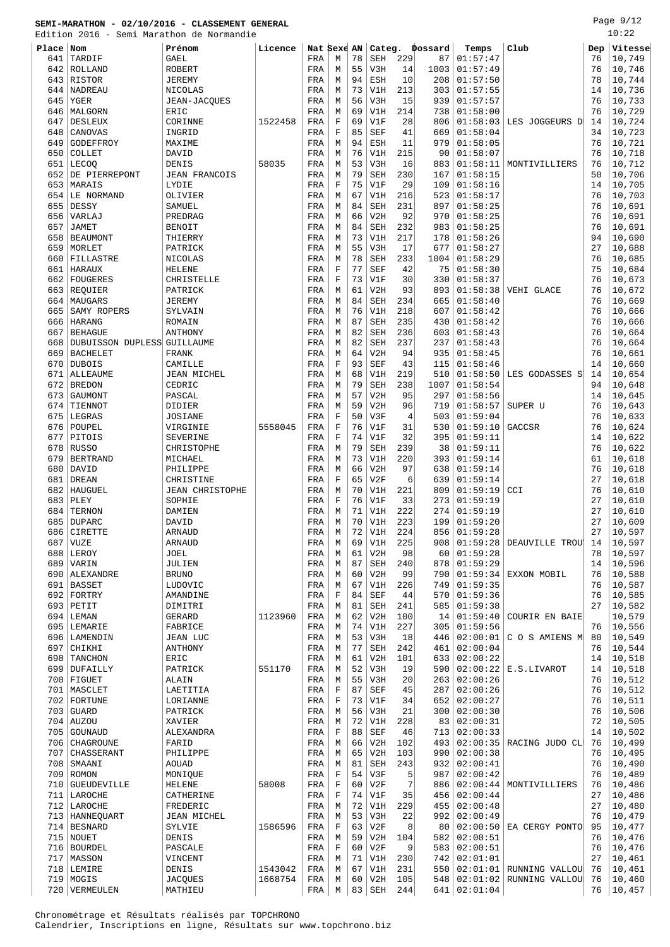Edition 2016 - Semi Marathon de Normandie

Page 9/12  $10:22$ 

|           | Edition 2016 - Semi Marathon de Normandie |                        |         |             |             |    |            |                |         |                |                           |     | 10:75   |
|-----------|-------------------------------------------|------------------------|---------|-------------|-------------|----|------------|----------------|---------|----------------|---------------------------|-----|---------|
| Place Nom |                                           | Prénom                 | Licence | Nat Sexe AN |             |    | Categ.     |                | Dossard | Temps          | Club                      | Dep | Vitesse |
| 641       | TARDIF                                    | <b>GAEL</b>            |         | FRA         | M           | 78 | <b>SEH</b> | 229            | 87      | 01:57:47       |                           | 76  | 10,749  |
| 642       | ROLLAND                                   | <b>ROBERT</b>          |         | FRA         | М           | 55 | V3H        | 14             | 1003    | 01:57:49       |                           | 76  | 10,746  |
|           | 643 RISTOR                                | <b>JEREMY</b>          |         | FRA         | M           | 94 | <b>ESH</b> | 10             | 208     | 01:57:50       |                           | 78  | 10,744  |
| 644       | NADREAU                                   | NICOLAS                |         | FRA         | М           | 73 | V1H        | 213            | 303     | 01:57:55       |                           | 14  | 10,736  |
| 645       | YGER                                      | JEAN-JACQUES           |         | FRA         | M           | 56 | V3H        | 15             | 939     | 01:57:57       |                           | 76  | 10,733  |
| 646       | MALGORN                                   | ERIC                   |         | FRA         | M           | 69 | V1H        | 214            | 738     | 01:58:00       |                           | 76  | 10,729  |
| 647       | <b>DESLEUX</b>                            | CORINNE                | 1522458 | FRA         | $\mathbf F$ | 69 | V1F        | 28             | 806     | 01:58:03       | LES JOGGEURS D            | 14  | 10,724  |
| 648       | CANOVAS                                   | INGRID                 |         | FRA         | F           | 85 | <b>SEF</b> | 41             | 669     | 01:58:04       |                           | 34  | 10,723  |
| 649       | GODEFFROY                                 | MAXIME                 |         | FRA         | М           | 94 | ESH        | 11             | 979     | 01:58:05       |                           | 76  | 10,721  |
| 650       | COLLET                                    | DAVID                  |         | FRA         | M           | 76 | V1H        | 215            | 90      | 01:58:07       |                           | 76  | 10,718  |
| 651       | <b>LECOO</b>                              | DENIS                  | 58035   | FRA         | M           | 53 | V3H        | 16             | 883     | 01:58:11       | MONTIVILLIERS             | 76  | 10,712  |
| 652       | DE PIERREPONT                             | <b>JEAN FRANCOIS</b>   |         | FRA         | M           | 79 | <b>SEH</b> | 230            | 167     | 01:58:15       |                           | 50  | 10,706  |
| 653       | MARAIS                                    | LYDIE                  |         | FRA         | F           | 75 | V1F        | 29             | 109     | 01:58:16       |                           | 14  | 10,705  |
| 654       | LE NORMAND                                | OLIVIER                |         | FRA         | М           | 67 | V1H        | 216            | 523     | 01:58:17       |                           | 76  | 10,703  |
| 655       | DESSY                                     | SAMUEL                 |         | FRA         | M           | 84 | <b>SEH</b> | 231            | 897     | 01:58:25       |                           | 76  | 10,691  |
| 656       | VARLAJ                                    | PREDRAG                |         | FRA         | М           | 66 | V2H        | 92             | 970     | 01:58:25       |                           | 76  | 10,691  |
| 657       | <b>JAMET</b>                              | BENOIT                 |         | FRA         | М           | 84 | SEH        | 232            | 983     | 01:58:25       |                           | 76  | 10,691  |
| 658       | <b>BEAUMONT</b>                           | THIERRY                |         | FRA         | М           | 73 | V1H        | 217            | 178     | 01:58:26       |                           | 94  | 10,690  |
| 659       | MORLET                                    | PATRICK                |         | FRA         | M           | 55 | V3H        | 17             | 677     | 01:58:27       |                           | 27  | 10,688  |
| 660       | FILLASTRE                                 | NICOLAS                |         | FRA         | М           | 78 | <b>SEH</b> | 233            | 1004    | 01:58:29       |                           | 76  | 10,685  |
| 661       | HARAUX                                    | HELENE                 |         | FRA         | $\mathbf F$ | 77 | <b>SEF</b> | 42             | 75      | 01:58:30       |                           | 75  | 10,684  |
| 662       | <b>FOUGERES</b>                           | CHRISTELLE             |         | FRA         | F           | 73 | V1F        | 30             | 330     | 01:58:37       |                           | 76  | 10,673  |
| 663       | REQUIER                                   | PATRICK                |         | FRA         | М           | 61 | V2H        | 93             | 893     | 01:58:38       | VEHI GLACE                | 76  | 10,672  |
| 664       | MAUGARS                                   | <b>JEREMY</b>          |         | FRA         | М           | 84 | <b>SEH</b> | 234            | 665     | 01:58:40       |                           | 76  | 10,669  |
| 665       | SAMY ROPERS                               | SYLVAIN                |         | FRA         | М           | 76 | V1H        | 218            | 607     | 01:58:42       |                           | 76  | 10,666  |
| 666       | <b>HARANG</b>                             | ROMAIN                 |         | FRA         | М           | 87 | <b>SEH</b> | 235            | 430     | 01:58:42       |                           | 76  | 10,666  |
| 667       | <b>BEHAGUE</b>                            | ANTHONY                |         | FRA         | М           | 82 | <b>SEH</b> | 236            | 603     | 01:58:43       |                           | 76  | 10,664  |
| 668       | DUBUISSON DUPLESS GUILLAUME               |                        |         | FRA         | M           | 82 | <b>SEH</b> | 237            | 237     | 01:58:43       |                           | 76  | 10,664  |
| 669       | <b>BACHELET</b>                           | <b>FRANK</b>           |         | FRA         | М           | 64 | V2H        | 94             | 935     | 01:58:45       |                           | 76  | 10,661  |
| 670       | <b>DUBOIS</b>                             | CAMILLE                |         | FRA         | $\mathbf F$ | 93 | <b>SEF</b> | 43             | 115     | 01:58:46       |                           | 14  | 10,660  |
| 671       | <b>ALLEAUME</b>                           | JEAN MICHEL            |         | FRA         | М           | 68 | V1H        | 219            | 510     | 01:58:50       | LES GODASSES S            | 14  | 10,654  |
| 672       | <b>BREDON</b>                             | CEDRIC                 |         | FRA         | М           | 79 | <b>SEH</b> | 238            | 1007    | 01:58:54       |                           | 94  | 10,648  |
| 673       | GAUMONT                                   | PASCAL                 |         | FRA         | М           | 57 | V2H        | 95             | 297     | 01:58:56       |                           | 14  | 10,645  |
| 674       | TIENNOT                                   | DIDIER                 |         | FRA         | M           | 59 | V2H        | 96             | 719     | 01:58:57       | SUPER U                   | 76  | 10,643  |
| 675       | LEGRAS                                    | <b>JOSIANE</b>         |         | FRA         | $\mathbf F$ | 50 | V3F        | $\overline{4}$ | 503     | 01:59:04       |                           | 76  | 10,633  |
| 676       | POUPEL                                    | VIRGINIE               | 5558045 | FRA         | $\mathbf F$ | 76 | V1F        | 31             | 530     | 01:59:10       | GACCSR                    | 76  | 10,624  |
| 677       | PITOIS                                    | SEVERINE               |         | FRA         | $\mathbf F$ | 74 | V1F        | 32             | 395     | 01:59:11       |                           | 14  | 10,622  |
| 678       | <b>RUSSO</b>                              | CHRISTOPHE             |         | FRA         | М           | 79 | <b>SEH</b> | 239            | 38      | 01:59:11       |                           | 76  | 10,622  |
| 679       | <b>BERTRAND</b>                           | MICHAEL                |         | FRA         | M           | 73 | V1H        | 220            | 393     | 01:59:14       |                           | 61  | 10,618  |
| 680       | DAVID                                     | PHILIPPE               |         | FRA         | М           | 66 | V2H        | 97             | 638     | 01:59:14       |                           | 76  | 10,618  |
| 681       | <b>DREAN</b>                              | CHRISTINE              |         | FRA         | F           | 65 | V2F        | 6              | 639     | 01:59:14       |                           | 27  | 10,618  |
| 682       | HAUGUEL                                   | <b>JEAN CHRISTOPHE</b> |         | FRA         | М           | 70 | V1H        | 221            | 809     | 01:59:19       | CCI                       | 76  | 10,610  |
| 683       | PLEY                                      | SOPHIE                 |         | FRA         | F           | 76 | V1F        | 33             | 273     | 01:59:19       |                           | 27  | 10,610  |
| 684       | TERNON                                    | DAMIEN                 |         | FRA         | M           | 71 | V1H        | 222            | 274     | 01:59:19       |                           | 27  | 10,610  |
| 685       | <b>DUPARC</b>                             | DAVID                  |         | FRA         | М           | 70 | V1H        | 223            | 199     | 01:59:20       |                           | 27  | 10,609  |
| 686       | CIRETTE                                   | <b>ARNAUD</b>          |         | FRA         | M           | 72 | V1H        | 224            | 856     | 01:59:28       |                           | 27  | 10,597  |
| 687       | VUZE                                      | ARNAUD                 |         | FRA         | М           | 69 | V1H        | 225            | 908     | 01:59:28       | DEAUVILLE TROU            | 14  | 10,597  |
|           | 688 LEROY                                 | JOEL                   |         | FRA         | М           | 61 | V2H        | 98             | 60      | 01:59:28       |                           | 78  | 10,597  |
| 689       | VARIN                                     | JULIEN                 |         | FRA         | М           | 87 | SEH        | 240            | 878     | 01:59:29       |                           | 14  | 10,596  |
|           | 690   ALEXANDRE                           | <b>BRUNO</b>           |         | FRA         | М           | 60 | V2H        | 99             | 790     | 01:59:34       | EXXON MOBIL               | 76  | 10,588  |
|           | 691 BASSET                                | LUDOVIC                |         | FRA         | М           | 67 | V1H        | 226            | 749     | 01:59:35       |                           | 76  | 10,587  |
| 692       | FORTRY                                    | AMANDINE               |         | FRA         | F           | 84 | <b>SEF</b> | 44             | 570     | 01:59:36       |                           | 76  | 10,585  |
|           | 693 PETIT                                 | DIMITRI                |         | FRA         | М           | 81 | SEH        | 241            | 585     | 01:59:38       |                           | 27  | 10,582  |
|           | $694$ LEMAN                               | GERARD                 | 1123960 | FRA         | М           | 62 | V2H        | 100            | 14      | 01:59:40       | COURIR EN BAIE            |     | 10,579  |
|           | 695 LEMARIE                               | FABRICE                |         | FRA         | М           | 74 | V1H        | 227            | 305     | 01:59:56       |                           | 76  | 10,556  |
|           | 696 LAMENDIN                              | <b>JEAN LUC</b>        |         | FRA         | М           | 53 | V3H        | 18             | 446     | 02:00:01       | C O S AMIENS M            | 80  | 10,549  |
| 697       | CHIKHI                                    | ANTHONY                |         | FRA         | М           | 77 | SEH        | 242            | 461     | 02:00:04       |                           | 76  | 10,544  |
| 698       | TANCHON                                   | ERIC                   |         | FRA         | М           | 61 | V2H        | 101            | 633     | 02:00:22       |                           | 14  | 10,518  |
|           | 699   DUFAILLY                            | PATRICK                | 551170  | FRA         | М           | 52 | V3H        | 19             | 590     | 02:00:22       | E.S.LIVAROT               | 14  | 10,518  |
|           | $700$ FIGUET                              | ALAIN                  |         | FRA         | М           | 55 | V3H        | 20             | 263     | 02:00:26       |                           | 76  | 10,512  |
|           | 701   MASCLET                             | LAETITIA               |         | FRA         | F           | 87 | SEF        | 45             | 287     | 02:00:26       |                           | 76  | 10,512  |
|           | 702 FORTUNE                               | LORIANNE               |         | FRA         | F           | 73 | V1F        | 34             | 652     | 02:00:27       |                           | 76  | 10,511  |
|           | $703$ GUARD                               | PATRICK                |         | FRA         | М           | 56 | V3H        | 21             | 300     | 02:00:30       |                           | 76  | 10,506  |
|           | 704   AUZOU                               | XAVIER                 |         | FRA         | М           | 72 | V1H        | 228            | 83      | 02:00:31       |                           | 72  | 10,505  |
|           | 705 GOUNAUD                               | ALEXANDRA              |         | FRA         | F           | 88 | SEF        | 46             | 713     | 02:00:33       |                           | 14  | 10,502  |
|           | 706   CHAGROUNE                           | FARID                  |         | FRA         | М           | 66 | V2H        | 102            | 493     | 02:00:35       | RACING JUDO CL            | 76  | 10,499  |
| 707       | CHASSERANT                                | PHILIPPE               |         | FRA         | М           | 65 | V2H        | 103            | 990     | 02:00:38       |                           | 76  | 10,495  |
| 708       | SMAANI                                    | AOUAD                  |         | FRA         | М           | 81 | <b>SEH</b> | 243            | 932     | 02:00:41       |                           | 76  | 10,490  |
|           | $709$ ROMON                               | MONIQUE                |         | FRA         | $\mathbf F$ | 54 | V3F        | 5              | 987     | 02:00:42       |                           | 76  | 10,489  |
| 710       | <b>GUEUDEVILLE</b>                        | <b>HELENE</b>          | 58008   | FRA         | F           | 60 | V2F        | 7              | 886     | 02:00:44       | MONTIVILLIERS             | 76  | 10,486  |
|           | 711 LAROCHE                               | CATHERINE              |         | FRA         | $\mathbf F$ | 74 | V1F        | 35             | 456     | 02:00:44       |                           | 27  | 10,486  |
|           | 712 LAROCHE                               | FREDERIC               |         | FRA         | М           | 72 | V1H        | 229            | 455     | 02:00:48       |                           | 27  | 10,480  |
|           | 713   HANNEQUART                          | JEAN MICHEL            |         | FRA         | М           | 53 | V3H        | 22             | 992     | 02:00:49       |                           | 76  | 10,479  |
|           | 714 BESNARD                               | SYLVIE                 | 1586596 | FRA         | F           | 63 | V2F        | 8              | 80      | 02:00:50       | EA CERGY PONTO            | 95  | 10,477  |
|           | 715 NOUET                                 | DENIS                  |         | FRA         | М           | 59 | V2H        | 104            | 582     | 02:00:51       |                           | 76  | 10,476  |
|           | 716   BOURDEL                             | PASCALE                |         | FRA         | F           | 60 | V2F        | 9              | 583     | 02:00:51       |                           | 76  | 10,476  |
|           | 717   MASSON                              | VINCENT                |         | FRA         | М           | 71 | V1H        | 230            | 742     | 02:01:01       |                           | 27  | 10,461  |
|           | $718$ LEMIRE                              | DENIS                  | 1543042 | FRA         | М           | 67 | V1H        | 231            | 550     |                | $02:01:01$ RUNNING VALLOU | 76  | 10,461  |
|           | 719 MOGIS                                 | <b>JACQUES</b>         | 1668754 | FRA         | М           | 60 | V2H        | 105            |         | 548   02:01:02 | RUNNING VALLOU            | 76  | 10,460  |
|           | 720   VERMEULEN                           | MATHIEU                |         | FRA         | М           | 83 | SEH        | 244            |         | 641   02:01:04 |                           | 76  | 10,457  |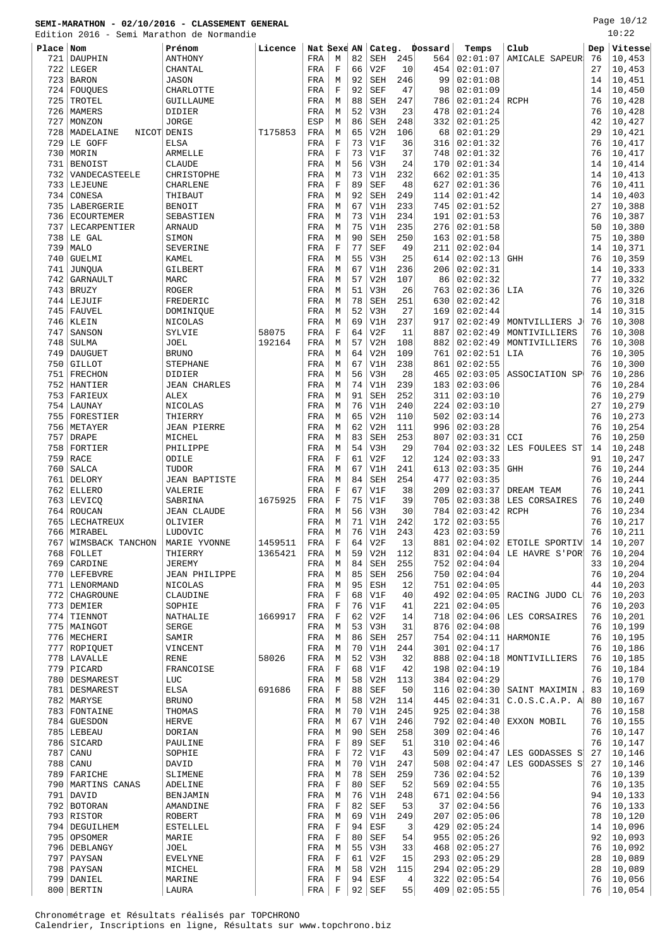Edition 2016 - Semi Marathon de Normandie

Page 10/12 10:22

| EQITION   | ZUIP -            | semi Maratnon de Normandie |         |             |             |    |            |     |         |                |                                 |     | ⊥∪∙∠∠   |
|-----------|-------------------|----------------------------|---------|-------------|-------------|----|------------|-----|---------|----------------|---------------------------------|-----|---------|
| Place Nom |                   | Prénom                     | Licence | Nat Sexe AN |             |    | Categ.     |     | Dossard | Temps          | Club                            | Dep | Vitesse |
| 721       | DAUPHIN           | ANTHONY                    |         | FRA         | М           | 82 | SEH        | 245 | 564     | 02:01:07       | <b>AMICALE SAPEUR</b>           | 76  | 10,453  |
| 722       | LEGER             | CHANTAL                    |         | FRA         | F           | 66 | V2F        | 10  | 454     | 02:01:07       |                                 | 27  | 10,453  |
| 723       | <b>BARON</b>      | <b>JASON</b>               |         | FRA         | М           | 92 | <b>SEH</b> | 246 | 99      | 02:01:08       |                                 | 14  | 10,451  |
| 724       | FOUOUES           | CHARLOTTE                  |         | FRA         | F           | 92 | <b>SEF</b> | 47  | 98      | 02:01:09       |                                 | 14  | 10,450  |
| 725       | TROTEL            | GUILLAUME                  |         | FRA         | M           | 88 | <b>SEH</b> | 247 | 786     | 02:01:24       | RCPH                            | 76  | 10,428  |
| 726       | MAMERS            | DIDIER                     |         | FRA         | М           | 52 | V3H        | 23  | 478     | 02:01:24       |                                 | 76  | 10,428  |
| 727       | MONZON            | <b>JORGE</b>               |         | ESP         | М           | 86 | <b>SEH</b> | 248 | 332     | 02:01:25       |                                 | 42  | 10,427  |
| 728       | MADELAINE         | NICOT DENIS                | T175853 | FRA         | М           | 65 | V2H        | 106 | 68      | 02:01:29       |                                 | 29  | 10,421  |
| 729       | LE GOFF           |                            |         |             | F           | 73 | V1F        | 36  | 316     | 02:01:32       |                                 | 76  | 10,417  |
|           |                   | ELSA                       |         | FRA         |             |    |            |     |         |                |                                 |     |         |
| 730       | MORIN             | ARMELLE                    |         | FRA         | $\mathbf F$ | 73 | V1F        | 37  | 748     | 02:01:32       |                                 | 76  | 10,417  |
| 731       | <b>BENOIST</b>    | <b>CLAUDE</b>              |         | FRA         | М           | 56 | V3H        | 24  | 170     | 02:01:34       |                                 | 14  | 10,414  |
| 732       | VANDECASTEELE     | CHRISTOPHE                 |         | FRA         | М           | 73 | V1H        | 232 | 662     | 02:01:35       |                                 | 14  | 10,413  |
| 733       | LEJEUNE           | CHARLENE                   |         | FRA         | $\mathbf F$ | 89 | <b>SEF</b> | 48  | 627     | 02:01:36       |                                 | 76  | 10,411  |
| 734       | CONESA            | THIBAUT                    |         | FRA         | M           | 92 | <b>SEH</b> | 249 | 114     | 02:01:42       |                                 | 14  | 10,403  |
| 735       | LABERGERIE        | <b>BENOIT</b>              |         | FRA         | М           | 67 | V1H        | 233 | 745     | 02:01:52       |                                 | 27  | 10,388  |
| 736       | <b>ECOURTEMER</b> | SEBASTIEN                  |         | FRA         | М           | 73 | V1H        | 234 | 191     | 02:01:53       |                                 | 76  | 10,387  |
| 737       | LECARPENTIER      | <b>ARNAUD</b>              |         | FRA         | М           | 75 | V1H        | 235 | 276     | 02:01:58       |                                 | 50  | 10,380  |
| 738       | LE GAL            | SIMON                      |         | FRA         | М           | 90 | <b>SEH</b> | 250 | 163     | 02:01:58       |                                 | 75  | 10,380  |
| 739       | <b>MALO</b>       | SEVERINE                   |         | FRA         | $\mathbf F$ | 77 | <b>SEF</b> | 49  | 211     | 02:02:04       |                                 | 14  | 10,371  |
| 740       | <b>GUELMI</b>     | KAMEL                      |         | FRA         | М           | 55 | V3H        | 25  | 614     | 02:02:13       | <b>GHH</b>                      | 76  | 10,359  |
| 741       | <b>JUNQUA</b>     | GILBERT                    |         | FRA         | M           | 67 | V1H        | 236 | 206     | 02:02:31       |                                 | 14  | 10,333  |
| 742       | GARNAULT          | MARC                       |         | FRA         | М           | 57 | V2H        | 107 | 86      | 02:02:32       |                                 | 77  | 10,332  |
| 743       | <b>BRUZY</b>      | <b>ROGER</b>               |         | FRA         | M           | 51 | V3H        | 26  | 763     | 02:02:36       | LIA                             | 76  | 10,326  |
| 744       | LEJUIF            | FREDERIC                   |         | FRA         | М           | 78 | <b>SEH</b> | 251 | 630     | 02:02:42       |                                 | 76  | 10,318  |
| 745       | FAUVEL            | DOMINIQUE                  |         | FRA         | М           | 52 | V3H        | 27  | 169     | 02:02:44       |                                 | 14  | 10,315  |
|           | 746   KLEIN       | NICOLAS                    |         |             | М           | 69 | V1H        | 237 | 917     | 02:02:49       |                                 | 76  | 10,308  |
|           |                   |                            |         | FRA         | $\mathbf F$ | 64 |            | 11  |         |                | MONTVILLIERS J<br>MONTIVILLIERS |     |         |
| 747       | SANSON            | SYLVIE                     | 58075   | FRA         |             |    | V2F        |     | 887     | 02:02:49       | MONTIVILLIERS                   | 76  | 10,308  |
| 748       | SULMA             | JOEL                       | 192164  | FRA         | М           | 57 | V2H        | 108 | 882     | 02:02:49       |                                 | 76  | 10,308  |
| 749       | <b>DAUGUET</b>    | <b>BRUNO</b>               |         | FRA         | М           | 64 | V2H        | 109 | 761     | 02:02:51       | LIA                             | 76  | 10,305  |
| 750       | <b>GILLOT</b>     | <b>STEPHANE</b>            |         | FRA         | M           | 67 | V1H        | 238 | 861     | 02:02:55       |                                 | 76  | 10,300  |
| 751       | FRECHON           | DIDIER                     |         | FRA         | М           | 56 | V3H        | 28  | 465     | 02:03:05       | ASSOCIATION SP                  | 76  | 10,286  |
| 752       | HANTIER           | <b>JEAN CHARLES</b>        |         | FRA         | M           | 74 | V1H        | 239 | 183     | 02:03:06       |                                 | 76  | 10,284  |
| 753       | FARIEUX           | <b>ALEX</b>                |         | FRA         | М           | 91 | <b>SEH</b> | 252 | 311     | 02:03:10       |                                 | 76  | 10,279  |
| 754       | LAUNAY            | NICOLAS                    |         | FRA         | М           | 76 | V1H        | 240 | 224     | 02:03:10       |                                 | 27  | 10,279  |
| 755       | FORESTIER         | THIERRY                    |         | FRA         | М           | 65 | V2H        | 110 | 502     | 02:03:14       |                                 | 76  | 10,273  |
| 756       | METAYER           | <b>JEAN PIERRE</b>         |         | FRA         | М           | 62 | V2H        | 111 | 996     | 02:03:28       |                                 | 76  | 10,254  |
| 757       | DRAPE             | MICHEL                     |         | FRA         | М           | 83 | <b>SEH</b> | 253 | 807     | 02:03:31       | CCI                             | 76  | 10,250  |
| 758       | FORTIER           | PHILIPPE                   |         | FRA         | M           | 54 | V3H        | 29  | 704     | 02:03:32       | LES FOULEES ST                  | 14  | 10,248  |
| 759       | RACE              | ODILE                      |         | FRA         | $\mathbf F$ | 61 | V2F        | 12  | 124     | 02:03:33       |                                 | 91  | 10,247  |
| 760       | SALCA             | TUDOR                      |         | FRA         | М           | 67 | V1H        | 241 | 613     | 02:03:35       | <b>GHH</b>                      | 76  | 10,244  |
| 761       | DELORY            | <b>JEAN BAPTISTE</b>       |         | FRA         | М           | 84 | <b>SEH</b> | 254 | 477     | 02:03:35       |                                 | 76  | 10,244  |
| 762       | <b>ELLERO</b>     | VALERIE                    |         | FRA         | $\mathbf F$ | 67 | V1F        | 38  | 209     | 02:03:37       | DREAM TEAM                      | 76  | 10,241  |
|           | 763   LEVICQ      | SABRINA                    | 1675925 | FRA         | $\mathbf F$ | 75 | V1F        | 39  | 705     | 02:03:38       | LES CORSAIRES                   | 76  | 10,240  |
| 764       | ROUCAN            | <b>JEAN CLAUDE</b>         |         | FRA         | М           | 56 | V3H        | 30  | 784     | 02:03:42       | <b>RCPH</b>                     | 76  | 10,234  |
| 765       | LECHATREUX        | OLIVIER                    |         | FRA         | М           | 71 | V1H        | 242 | 172     | 02:03:55       |                                 | 76  | 10,217  |
|           |                   |                            |         |             |             | 76 |            |     |         |                |                                 | 76  |         |
|           | 766   MIRABEL     | LUDOVIC                    |         | FRA         | M           |    | V1H        | 243 |         | 423   02:03:59 |                                 |     | 10,211  |
| 767       | WIMSBACK TANCHON  | MARIE YVONNE               | 1459511 | FRA         | F           | 64 | V2F        | 13  | 881     | 02:04:02       | ETOILE SPORTIV                  | 14  | 10,207  |
|           | 768   FOLLET      | THIERRY                    | 1365421 | FRA         | М           | 59 | V2H        | 112 | 831     | 02:04:04       | LE HAVRE S'POR                  | 76  | 10,204  |
| 769       | CARDINE           | JEREMY                     |         | FRA         | М           | 84 | <b>SEH</b> | 255 | 752     | 02:04:04       |                                 | 33  | 10,204  |
|           | 770   LEFEBVRE    | <b>JEAN PHILIPPE</b>       |         | FRA         | М           | 85 | <b>SEH</b> | 256 | 750     | 02:04:04       |                                 | 76  | 10,204  |
|           | 771   LENORMAND   | NICOLAS                    |         | FRA         | М           | 95 | <b>ESH</b> | 12  | 751     | 02:04:05       |                                 | 44  | 10,203  |
|           | 772   CHAGROUNE   | CLAUDINE                   |         | FRA         | $\mathbf F$ | 68 | V1F        | 40  | 492     | 02:04:05       | RACING JUDO CL                  | 76  | 10,203  |
|           | 773 DEMIER        | SOPHIE                     |         | FRA         | $\mathbf F$ | 76 | V1F        | 41  | 221     | 02:04:05       |                                 | 76  | 10,203  |
|           | 774 TIENNOT       | NATHALIE                   | 1669917 | FRA         | $\mathbf F$ | 62 | V2F        | 14  | 718     | 02:04:06       | LES CORSAIRES                   | 76  | 10,201  |
|           | 775   MAINGOT     | SERGE                      |         | FRA         | М           | 53 | V3H        | 31  | 876     | 02:04:08       |                                 | 76  | 10,199  |
|           | 776   MECHERI     | SAMIR                      |         | FRA         | M           | 86 | SEH        | 257 | 754     | 02:04:11       | HARMONIE                        | 76  | 10,195  |
|           | 777 ROPIQUET      | VINCENT                    |         | FRA         | М           | 70 | V1H        | 244 | 301     | 02:04:17       |                                 | 76  | 10,186  |
|           | 778   LAVALLE     | <b>RENE</b>                | 58026   | FRA         | М           | 52 | V3H        | 32  | 888     | 02:04:18       | MONTIVILLIERS                   | 76  | 10,185  |
|           | 779   PICARD      | FRANCOISE                  |         | FRA         | $\mathbf F$ | 68 | V1F        | 42  | 198     | 02:04:19       |                                 | 76  | 10,184  |
|           | 780   DESMAREST   | LUC                        |         | FRA         | М           | 58 | V2H        | 113 | 384     | 02:04:29       |                                 | 76  | 10,170  |
|           | 781   DESMAREST   | ELSA                       | 691686  | FRA         | F           | 88 | <b>SEF</b> | 50  | 116     | 02:04:30       | SAINT MAXIMIN                   | 83  | 10,169  |
|           | 782   MARYSE      | <b>BRUNO</b>               |         | FRA         | М           | 58 | V2H        | 114 | 445     | 02:04:31       | C.O.S.C.A.P. A                  | 80  | 10,167  |
|           | 783 FONTAINE      | THOMAS                     |         | FRA         | M           | 70 | V1H        | 245 | 925     | 02:04:38       |                                 | 76  | 10,158  |
|           |                   |                            |         |             |             | 67 |            |     |         |                |                                 |     |         |
|           | 784 GUESDON       | HERVE                      |         | FRA         | М           |    | V1H        | 246 | 792     | 02:04:40       | EXXON MOBIL                     | 76  | 10,155  |
|           | 785   LEBEAU      | DORIAN                     |         | FRA         | М           | 90 | SEH        | 258 | 309     | 02:04:46       |                                 | 76  | 10,147  |
|           | 786 SICARD        | PAULINE                    |         | FRA         | F           | 89 | SEF        | 51  | 310     | 02:04:46       |                                 | 76  | 10,147  |
| 787       | CANU              | SOPHIE                     |         | FRA         | $\mathbf F$ | 72 | V1F        | 43  | 509     | 02:04:47       | LES GODASSES S                  | 27  | 10,146  |
|           | 788 CANU          | DAVID                      |         | FRA         | М           | 70 | V1H        | 247 | 508     | 02:04:47       | LES GODASSES S                  | 27  | 10,146  |
|           | 789   FARICHE     | SLIMENE                    |         | FRA         | М           | 78 | SEH        | 259 | 736     | 02:04:52       |                                 | 76  | 10,139  |
|           | 790 MARTINS CANAS | ADELINE                    |         | FRA         | F           | 80 | <b>SEF</b> | 52  | 569     | 02:04:55       |                                 | 76  | 10,135  |
|           | 791   DAVID       | BENJAMIN                   |         | FRA         | М           | 76 | V1H        | 248 | 671     | 02:04:56       |                                 | 94  | 10,133  |
|           | 792 BOTORAN       | AMANDINE                   |         | FRA         | $\mathbf F$ | 82 | <b>SEF</b> | 53  | 37      | 02:04:56       |                                 | 76  | 10,133  |
|           | $793$ RISTOR      | ROBERT                     |         | FRA         | М           | 69 | V1H        | 249 | 207     | 02:05:06       |                                 | 78  | 10,120  |
|           | 794   DEGUILHEM   | <b>ESTELLEL</b>            |         | FRA         | F           | 94 | ESF        | 3   | 429     | 02:05:24       |                                 | 14  | 10,096  |
|           | 795   OPSOMER     | MARIE                      |         | FRA         | F           | 80 | SEF        | 54  | 955     | 02:05:26       |                                 | 92  | 10,093  |
|           | 796   DEBLANGY    | <b>JOEL</b>                |         | FRA         | М           | 55 | V3H        | 33  | 468     | 02:05:27       |                                 | 76  | 10,092  |
|           | 797   PAYSAN      | <b>EVELYNE</b>             |         | FRA         | F           | 61 | V2F        | 15  | 293     | 02:05:29       |                                 | 28  | 10,089  |
|           | 798   PAYSAN      | MICHEL                     |         | FRA         | М           | 58 | V2H        | 115 | 294     | 02:05:29       |                                 | 28  | 10,089  |
|           | 799 DANIEL        | MARINE                     |         | FRA         | F           | 94 | ESF        | 4   |         | 322   02:05:54 |                                 | 76  | 10,056  |
|           |                   |                            |         |             |             |    |            |     |         |                |                                 |     |         |

800 BERTIN | LAURA | FRA F 92 SEF 55 409 02:05:55 76 10,054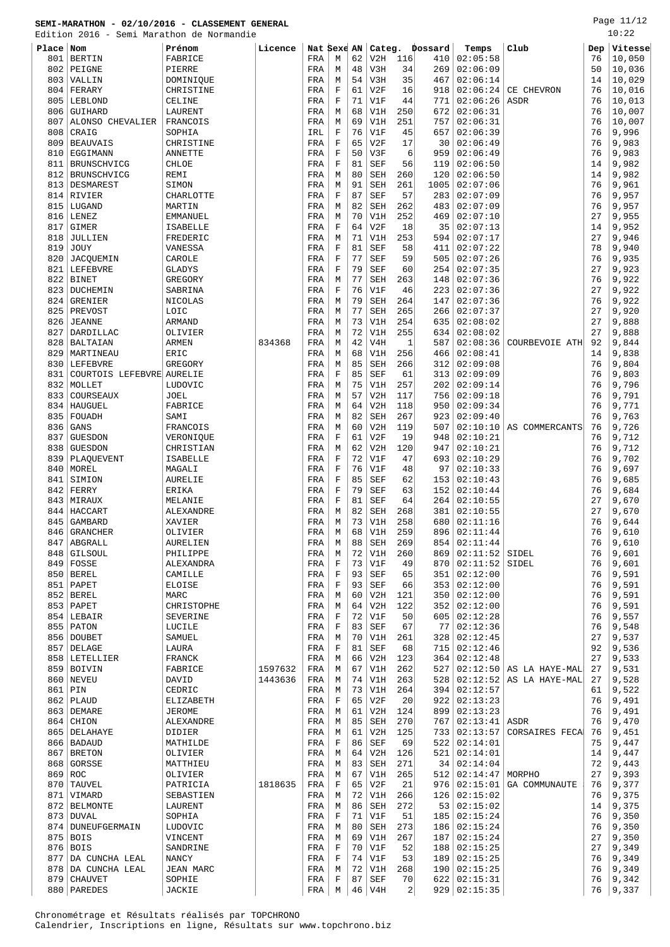Edition 2016 - Semi Marathon de Normandie

Page 11/12  $10:22$ 

|             |                                  | Edition 2016 - Semi Marathon de Normandie |         |             |                  |          |                   |            |            |                      |                                  |          | 10:75          |
|-------------|----------------------------------|-------------------------------------------|---------|-------------|------------------|----------|-------------------|------------|------------|----------------------|----------------------------------|----------|----------------|
| Place Nom   |                                  | Prénom                                    | Licence | Nat Sexe AN |                  |          | Categ.            |            | Dossard    | Temps                | Club                             | Dep      | Vitesse        |
| 801         | <b>BERTIN</b>                    | FABRICE                                   |         | FRA         | М                | 62       | V2H               | 116        | 410        | 02:05:58             |                                  | 76       | 10,050         |
| 802         | PEIGNE                           | PIERRE                                    |         | FRA         | М                | 48       | V3H               | 34         | 269        | 02:06:09             |                                  | 50       | 10,036         |
| 803         | VALLIN                           | DOMINIQUE                                 |         | FRA         | М                | 54       | V3H               | 35         | 467        | 02:06:14             |                                  | 14       | 10,029         |
| 804         | FERARY                           | CHRISTINE                                 |         | FRA         | F                | 61       | V2F               | 16         | 918        | 02:06:24             | CE CHEVRON                       | 76       | 10,016         |
| 805         | LEBLOND                          | CELINE                                    |         | FRA         | $\mathbf F$      | 71       | V1F               | 44         | 771        | 02:06:26             | ASDR                             | 76       | 10,013         |
| 806         | GUIHARD                          | LAURENT                                   |         | FRA         | M                | 68       | V1H               | 250        | 672        | 02:06:31             |                                  | 76       | 10,007         |
| 807         | ALONSO CHEVALIER                 | FRANCOIS                                  |         | FRA         | М                | 69       | V1H               | 251        | 757        | 02:06:31             |                                  | 76       | 10,007         |
| 808<br>809  | CRAIG<br><b>BEAUVAIS</b>         | SOPHIA<br>CHRISTINE                       |         | IRL<br>FRA  | $\mathbf F$<br>F | 76<br>65 | V1F<br>V2F        | 45<br>17   | 657<br>30  | 02:06:39<br>02:06:49 |                                  | 76<br>76 | 9,996<br>9,983 |
| 810         | EGGIMANN                         | <b>ANNETTE</b>                            |         | FRA         | $\mathbf F$      | 50       | V3F               | 6          | 959        | 02:06:49             |                                  | 76       | 9,983          |
| 811         | BRUNSCHVICG                      | CHLOE                                     |         | FRA         | F                | 81       | <b>SEF</b>        | 56         | 119        | 02:06:50             |                                  | 14       | 9,982          |
| 812         | BRUNSCHVICG                      | REMI                                      |         | FRA         | M                | 80       | <b>SEH</b>        | 260        | 120        | 02:06:50             |                                  | 14       | 9,982          |
| 813         | DESMAREST                        | SIMON                                     |         | FRA         | М                | 91       | SEH               | 261        | 1005       | 02:07:06             |                                  | 76       | 9,961          |
| 814         | <b>RIVIER</b>                    | CHARLOTTE                                 |         | FRA         | $\mathbf F$      | 87       | <b>SEF</b>        | 57         | 283        | 02:07:09             |                                  | 76       | 9,957          |
| 815         | LUGAND                           | MARTIN                                    |         | FRA         | М                | 82       | <b>SEH</b>        | 262        | 483        | 02:07:09             |                                  | 76       | 9,957          |
| 816         | LENEZ                            | EMMANUEL                                  |         | FRA         | М                | 70       | V1H               | 252        | 469        | 02:07:10             |                                  | 27       | 9,955          |
| 817         | <b>GIMER</b>                     | ISABELLE                                  |         | FRA         | F                | 64       | V2F               | 18         | 35         | 02:07:13             |                                  | 14       | 9,952          |
| 818         | <b>JULLIEN</b>                   | FREDERIC                                  |         | FRA         | М                | 71       | V1H               | 253        | 594        | 02:07:17             |                                  | 27       | 9,946          |
| 819         | <b>JOUY</b>                      | VANESSA                                   |         | FRA         | $\mathbf F$      | 81       | <b>SEF</b>        | 58         | 411        | 02:07:22             |                                  | 78       | 9,940          |
| 820         | <b>JACQUEMIN</b>                 | CAROLE                                    |         | FRA         | F                | 77       | <b>SEF</b>        | 59         | 505        | 02:07:26             |                                  | 76       | 9,935          |
| 821         | LEFEBVRE                         | <b>GLADYS</b>                             |         | FRA         | F                | 79       | <b>SEF</b>        | 60         | 254        | 02:07:35             |                                  | 27       | 9,923          |
| 822         | <b>BINET</b>                     | GREGORY                                   |         | FRA         | М                | 77       | SEH               | 263        | 148        | 02:07:36             |                                  | 76       | 9,922          |
| 823         | DUCHEMIN                         | SABRINA                                   |         | FRA         | $\mathbf F$      | 76       | V1F               | 46         | 223        | 02:07:36             |                                  | 27       | 9,922          |
| 824         | GRENIER                          | NICOLAS                                   |         | FRA         | М                | 79       | <b>SEH</b>        | 264        | 147        | 02:07:36             |                                  | 76       | 9,922          |
| 825         | PREVOST                          | LOIC                                      |         | FRA         | М                | 77       | <b>SEH</b>        | 265        | 266        | 02:07:37             |                                  | 27       | 9,920          |
| 826         | <b>JEANNE</b>                    | <b>ARMAND</b>                             |         | FRA         | М                | 73<br>72 | V1H               | 254        | 635        | 02:08:02             |                                  | 27<br>27 | 9,888          |
| 827<br>828  | DARDILLAC<br><b>BALTAIAN</b>     | OLIVIER<br><b>ARMEN</b>                   | 834368  | FRA<br>FRA  | М<br>M           | 42       | V1H<br>V4H        | 255<br>1   | 634<br>587 | 02:08:02<br>02:08:36 | COURBEVOIE ATH                   | 92       | 9,888<br>9,844 |
| 829         | MARTINEAU                        | ERIC                                      |         | FRA         | М                | 68       | V1H               | 256        | 466        | 02:08:41             |                                  | 14       | 9,838          |
| 830         | LEFEBVRE                         | GREGORY                                   |         | FRA         | M                | 85       | <b>SEH</b>        | 266        | 312        | 02:09:08             |                                  | 76       | 9,804          |
| 831         | COURTOIS LEFEBVRE AURELIE        |                                           |         | FRA         | $\mathbf F$      | 85       | <b>SEF</b>        | 61         | 313        | 02:09:09             |                                  | 76       | 9,803          |
| 832         | MOLLET                           | LUDOVIC                                   |         | FRA         | М                | 75       | V1H               | 257        | 202        | 02:09:14             |                                  | 76       | 9,796          |
| 833         | COURSEAUX                        | <b>JOEL</b>                               |         | FRA         | М                | 57       | V2H               | 117        | 756        | 02:09:18             |                                  | 76       | 9,791          |
| 834         | HAUGUEL                          | FABRICE                                   |         | FRA         | М                | 64       | V2H               | 118        | 950        | 02:09:34             |                                  | 76       | 9,771          |
| 835         | FOUADH                           | SAMI                                      |         | FRA         | М                | 82       | <b>SEH</b>        | 267        | 923        | 02:09:40             |                                  | 76       | 9,763          |
| 836         | GANS                             | FRANCOIS                                  |         | FRA         | M                | 60       | V2H               | 119        | 507        | 02:10:10             | AS COMMERCANTS                   | 76       | 9,726          |
| 837         | <b>GUESDON</b>                   | VERONIQUE                                 |         | FRA         | $\mathbf F$      | 61       | V2F               | 19         | 948        | 02:10:21             |                                  | 76       | 9,712          |
| 838         | <b>GUESDON</b>                   | CHRISTIAN                                 |         | FRA         | M                | 62       | V2H               | 120        | 947        | 02:10:21             |                                  | 76       | 9,712          |
| 839         | PLAQUEVENT                       | ISABELLE                                  |         | FRA         | F                | 72       | V1F               | 47         | 693        | 02:10:29             |                                  | 76       | 9,702          |
| 840         | MOREL                            | MAGALI                                    |         | FRA         | $\mathbf F$      | 76       | V1F               | 48         | 97         | 02:10:33             |                                  | 76       | 9,697          |
| 841         | SIMION                           | AURELIE                                   |         | FRA         | F                | 85       | SEF               | 62         | 153        | 02:10:43             |                                  | 76       | 9,685          |
| 842         | FERRY                            | ERIKA                                     |         | FRA         | $\mathbf F$      | 79       | <b>SEF</b>        | 63         | 152        | 02:10:44             |                                  | 76       | 9,684          |
| 843         | MIRAUX                           | MELANIE                                   |         | FRA         | F                | 81<br>82 | <b>SEF</b>        | 64         | 264        | 02:10:55             |                                  | 27<br>27 | 9,670          |
| 844<br>845  | HACCART<br>GAMBARD               | ALEXANDRE<br>XAVIER                       |         | FRA<br>FRA  | М<br>М           | 73       | <b>SEH</b><br>V1H | 268<br>258 | 381<br>680 | 02:10:55<br>02:11:16 |                                  | 76       | 9,670<br>9,644 |
| 846         | <b>GRANCHER</b>                  | OLIVIER                                   |         | FRA         | M                | 68       | V1H               | 259        | 896        | 02:11:44             |                                  | 76       | 9,610          |
| 847         | ABGRALL                          | AURELIEN                                  |         | FRA         | М                | 88       | SEH               | 269        | 854        | 02:11:44             |                                  | 76       | 9,610          |
| 848         | <b>GILSOUL</b>                   | PHILIPPE                                  |         | FRA         | М                | 72       | V1H               | 260        | 869        | 02:11:52             | SIDEL                            | 76       | 9,601          |
|             | 849 FOSSE                        | ALEXANDRA                                 |         | FRA         | F                | 73       | V1F               | 49         | 870        | 02:11:52             | SIDEL                            | 76       | 9,601          |
|             | 850 BEREL                        | CAMILLE                                   |         | FRA         | F                | 93       | SEF               | 65         | 351        | 02:12:00             |                                  | 76       | 9,591          |
|             | 851   PAPET                      | <b>ELOISE</b>                             |         | FRA         | F                | 93       | <b>SEF</b>        | 66         | 353        | 02:12:00             |                                  | 76       | 9,591          |
| 852         | <b>BEREL</b>                     | MARC                                      |         | FRA         | М                | 60       | V2H               | 121        | 350        | 02:12:00             |                                  | 76       | 9,591          |
|             | 853 PAPET                        | CHRISTOPHE                                |         | FRA         | M                | 64       | V2H               | 122        | 352        | 02:12:00             |                                  | 76       | 9,591          |
|             | 854 LEBAIR                       | SEVERINE                                  |         | FRA         | F                | 72       | V1F               | 50         | 605        | 02:12:28             |                                  | 76       | 9,557          |
|             | 855 PATON                        | LUCILE                                    |         | FRA         | F                | 83       | <b>SEF</b>        | 67         | 77         | 02:12:36             |                                  | 76       | 9,548          |
|             | 856 DOUBET                       | SAMUEL                                    |         | FRA         | М                | 70       | V1H               | 261        | 328        | 02:12:45             |                                  | 27       | 9,537          |
| 857         | DELAGE                           | LAURA                                     |         | FRA         | F                | 81       | <b>SEF</b>        | 68         | 715        | 02:12:46             |                                  | 92       | 9,536<br>9,533 |
| 859         | 858   LETELLIER<br><b>BOIVIN</b> | FRANCK<br>FABRICE                         | 1597632 | FRA<br>FRA  | М<br>М           | 66<br>67 | V2H<br>V1H        | 123<br>262 | 364<br>527 | 02:12:48<br>02:12:50 |                                  | 27<br>27 | 9,531          |
|             | 860   NEVEU                      | DAVID                                     | 1443636 | FRA         | М                | 74       | V1H               | 263        | 528        | 02:12:52             | AS LA HAYE-MAL<br>AS LA HAYE-MAL | 27       | 9,528          |
| 861         | PIN                              | CEDRIC                                    |         | FRA         | М                | 73       | V1H               | 264        | 394        | 02:12:57             |                                  | 61       | 9,522          |
|             | $862$ PLAUD                      | ELIZABETH                                 |         | FRA         | F                | 65       | V2F               | 20         | 922        | 02:13:23             |                                  | 76       | 9,491          |
|             | 863 DEMARE                       | <b>JEROME</b>                             |         | FRA         | М                | 61       | V2H               | 124        | 899        | 02:13:23             |                                  | 76       | 9,491          |
| 864         | CHION                            | ALEXANDRE                                 |         | FRA         | М                | 85       | <b>SEH</b>        | 270        | 767        | 02:13:41             | ASDR                             | 76       | 9,470          |
|             | 865   DELAHAYE                   | DIDIER                                    |         | FRA         | М                | 61       | V2H               | 125        | 733        | 02:13:57             | CORSAIRES FECA                   | 76       | 9,451          |
|             | 866   BADAUD                     | MATHILDE                                  |         | FRA         | F                | 86       | SEF               | 69         | 522        | 02:14:01             |                                  | 75       | 9,447          |
| 867         | <b>BRETON</b>                    | OLIVIER                                   |         | FRA         | М                | 64       | V2H               | 126        | 521        | 02:14:01             |                                  | 14       | 9,447          |
| 868         | GORSSE                           | MATTHIEU                                  |         | FRA         | М                | 83       | <b>SEH</b>        | 271        | 34         | 02:14:04             |                                  | 72       | 9,443          |
| 869 ROC     |                                  | OLIVIER                                   |         | FRA         | М                | 67       | V1H               | 265        | 512        | 02:14:47             | MORPHO                           | 27       | 9,393          |
| 870         | TAUVEL                           | PATRICIA                                  | 1818635 | FRA         | F                | 65       | V2F               | 21         | 976        | 02:15:01             | GA COMMUNAUTE                    | 76       | 9,377          |
|             | 871   VIMARD                     | SEBASTIEN                                 |         | FRA         | М                | 72       | V1H               | 266        | 126        | 02:15:02             |                                  | 76       | 9,375          |
| 872         | <b>BELMONTE</b>                  | LAURENT                                   |         | FRA         | М                | 86       | <b>SEH</b>        | 272        | 53         | 02:15:02             |                                  | 14       | 9,375          |
| 873         | <b>DUVAL</b>                     | SOPHIA                                    |         | FRA         | F                | 71       | V1F               | 51         | 185        | 02:15:24             |                                  | 76       | 9,350          |
| 874         | DUNEUFGERMAIN                    | LUDOVIC                                   |         | FRA         | М                | 80       | SEH               | 273        | 186        | 02:15:24             |                                  | 76       | 9,350          |
| 875 <br>876 | <b>BOIS</b>                      | VINCENT                                   |         | FRA         | М<br>$\mathbf F$ | 69<br>70 | V1H               | 267        | 187        | 02:15:24             |                                  | 27       | 9,350          |
| 877         | <b>BOIS</b><br>DA CUNCHA LEAL    | SANDRINE<br><b>NANCY</b>                  |         | FRA<br>FRA  | F                | 74       | V1F<br>V1F        | 52<br>53   | 188<br>189 | 02:15:25<br>02:15:25 |                                  | 27<br>76 | 9,349<br>9,349 |
|             | 878   DA CUNCHA LEAL             | <b>JEAN MARC</b>                          |         | FRA         | М                | 72       | V1H               | 268        | 190        | 02:15:25             |                                  | 76       | 9,349          |
| 879         | <b>CHAUVET</b>                   | SOPHIE                                    |         | FRA         | F                | 87       | SEF               | 70         | 622        | 02:15:31             |                                  | 76       | 9,342          |
|             | 880   PAREDES                    | JACKIE                                    |         | FRA         | М                |          | $46$   $V4H$      | 2          |            | 929   02:15:35       |                                  | 76       | 9,337          |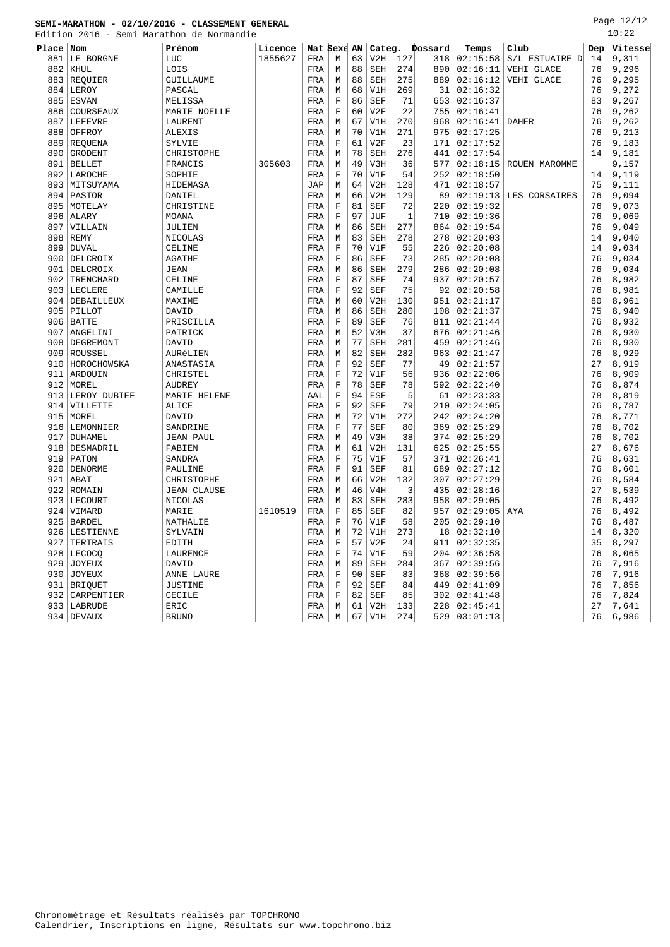Edition 2016 - Semi Marathon de Normandie

Page 12/12  $10:22$ 

| RAT CI | <b>ZUID</b><br>$\overline{\phantom{0}}$ | semi maratnon de normandie |         |             |              |    |            |     |                |                |                |     | . <i>. .</i> |
|--------|-----------------------------------------|----------------------------|---------|-------------|--------------|----|------------|-----|----------------|----------------|----------------|-----|--------------|
| Place  | Nom                                     | Prénom                     | Licence | Nat Sexe AN |              |    |            |     | Categ. Dossard | Temps          | Club           | Dep | Vitesse      |
| 881    | LE BORGNE                               | LUC                        | 1855627 | FRA         | M            | 63 | V2H        | 127 | 318            | 02:15:58       | S/L ESTUAIRE D | 14  | 9,311        |
| 882    | <b>KHUL</b>                             | LOIS                       |         | FRA         | M            | 88 | SEH        | 274 | 890            | 02:16:11       | VEHI GLACE     | 76  | 9,296        |
| 883    | REQUIER                                 | GUILLAUME                  |         | FRA         | М            | 88 | SEH        | 275 | 889            | 02:16:12       | VEHI GLACE     | 76  | 9,295        |
| 884    | LEROY                                   | PASCAL                     |         | FRA         | М            | 68 | V1H        | 269 | 31             | 02:16:32       |                | 76  | 9,272        |
| 885    | <b>ESVAN</b>                            | MELISSA                    |         | FRA         | $\mathbf F$  | 86 | <b>SEF</b> | 71  | 653            | 02:16:37       |                | 83  | 9,267        |
| 886    | COURSEAUX                               | MARIE NOELLE               |         | FRA         | $\mathbf F$  | 60 | V2F        | 22  | 755            | 02:16:41       |                | 76  | 9,262        |
| 887    | <b>LEFEVRE</b>                          | LAURENT                    |         | FRA         | M            | 67 | V1H        | 270 | 968            | 02:16:41       | <b>DAHER</b>   | 76  | 9,262        |
| 888    | OFFROY                                  | <b>ALEXIS</b>              |         | FRA         | М            | 70 | V1H        | 271 | 975            | 02:17:25       |                | 76  | 9,213        |
| 889    | REQUENA                                 | SYLVIE                     |         | FRA         | $\mathbf F$  | 61 | V2F        | 23  | 171            | 02:17:52       |                | 76  | 9,183        |
| 890    | GRODENT                                 | CHRISTOPHE                 |         | FRA         | M            | 78 | <b>SEH</b> | 276 | 441            | 02:17:54       |                | 14  | 9,181        |
| 891    | <b>BELLET</b>                           | FRANCIS                    | 305603  | FRA         | M            | 49 | V3H        | 36  | 577            | 02:18:15       | ROUEN MAROMME  |     | 9,157        |
| 892    | LAROCHE                                 | SOPHIE                     |         | FRA         | $\mathbf F$  | 70 | V1F        | 54  | 252            | 02:18:50       |                | 14  | 9,119        |
| 893    | MITSUYAMA                               | HIDEMASA                   |         | <b>JAP</b>  | M            | 64 | V2H        | 128 | 471            | 02:18:57       |                | 75  | 9,111        |
| 894    | <b>PASTOR</b>                           | DANIEL                     |         | FRA         | M            | 66 | V2H        | 129 | 89             | 02:19:13       | LES CORSAIRES  | 76  | 9,094        |
| 895    | MOTELAY                                 | CHRISTINE                  |         | FRA         | $\mathbf F$  | 81 | SEF        | 72  | 220            | 02:19:32       |                | 76  | 9,073        |
| 896    | ALARY                                   | <b>MOANA</b>               |         | FRA         | $\mathbf F$  | 97 | JUF        | 1   | 710            | 02:19:36       |                | 76  | 9,069        |
| 897    | VILLAIN                                 | JULIEN                     |         | FRA         | М            | 86 | SEH        | 277 | 864            | 02:19:54       |                | 76  | 9,049        |
| 898    | <b>REMY</b>                             | NICOLAS                    |         | FRA         | M            | 83 | <b>SEH</b> | 278 | 278            | 02:20:03       |                | 14  | 9,040        |
| 899    | <b>DUVAL</b>                            | CELINE                     |         | FRA         | $\mathbf F$  | 70 | V1F        | 55  | 226            | 02:20:08       |                | 14  | 9,034        |
| 900    | DELCROIX                                | <b>AGATHE</b>              |         | FRA         | $\mathbf F$  | 86 | <b>SEF</b> | 73  | 285            | 02:20:08       |                | 76  | 9,034        |
| 901    | DELCROIX                                | <b>JEAN</b>                |         | FRA         | М            | 86 | <b>SEH</b> | 279 | 286            | 02:20:08       |                | 76  | 9,034        |
| 902    | TRENCHARD                               | CELINE                     |         | FRA         | $\mathbf F$  | 87 | <b>SEF</b> | 74  | 937            | 02:20:57       |                | 76  | 8,982        |
| 903    | LECLERE                                 | CAMILLE                    |         | FRA         | $\mathbf F$  | 92 | <b>SEF</b> | 75  | 92             | 02:20:58       |                | 76  | 8,981        |
| 904    | DEBAILLEUX                              | MAXIME                     |         | FRA         | M            | 60 | V2H        | 130 | 951            | 02:21:17       |                | 80  | 8,961        |
| 905    | PILLOT                                  | DAVID                      |         | FRA         | M            | 86 | <b>SEH</b> | 280 | 108            | 02:21:37       |                | 75  | 8,940        |
| 906    | <b>BATTE</b>                            | PRISCILLA                  |         | FRA         | $\mathbf F$  | 89 | <b>SEF</b> | 76  | 811            | 02:21:44       |                | 76  | 8,932        |
| 907    | ANGELINI                                | PATRICK                    |         | FRA         | M            | 52 | V3H        | 37  | 676            | 02:21:46       |                | 76  | 8,930        |
| 908    | DEGREMONT                               | DAVID                      |         | FRA         | M            | 77 | SEH        | 281 | 459            | 02:21:46       |                | 76  | 8,930        |
| 909    | ROUSSEL                                 | AURÉLIEN                   |         | FRA         | М            | 82 | <b>SEH</b> | 282 | 963            | 02:21:47       |                | 76  | 8,929        |
| 910    | HOROCHOWSKA                             | ANASTASIA                  |         | FRA         | $\mathbf F$  | 92 | <b>SEF</b> | 77  | 49             | 02:21:57       |                | 27  | 8,919        |
| 911    | ARDOUIN                                 | CHRISTEL                   |         | FRA         | F            | 72 | V1F        | 56  | 936            | 02:22:06       |                | 76  | 8,909        |
| 912    | MOREL                                   | <b>AUDREY</b>              |         | FRA         | $\mathbf F$  | 78 | <b>SEF</b> | 78  | 592            | 02:22:40       |                | 76  | 8,874        |
| 913    | LEROY DUBIEF                            | MARIE HELENE               |         | AAL         | $\mathbf F$  | 94 | ESF        | 5   | 61             | 02:23:33       |                | 78  | 8,819        |
| 914    | VILLETTE                                | ALICE                      |         | FRA         | $\mathbf F$  | 92 | <b>SEF</b> | 79  | 210            | 02:24:05       |                | 76  | 8,787        |
| 915    | MOREL                                   | DAVID                      |         | FRA         | M            | 72 | V1H        | 272 | 242            | 02:24:20       |                | 76  | 8,771        |
| 916    | LEMONNIER                               | SANDRINE                   |         | FRA         | $\mathbf F$  | 77 | <b>SEF</b> | 80  | 369            | 02:25:29       |                | 76  | 8,702        |
| 917    | DUHAMEL                                 | <b>JEAN PAUL</b>           |         | FRA         | M            | 49 | V3H        | 38  | 374            | 02:25:29       |                | 76  | 8,702        |
| 918    | DESMADRIL                               | FABIEN                     |         | FRA         | М            | 61 | V2H        | 131 | 625            | 02:25:55       |                | 27  | 8,676        |
| 919    | <b>PATON</b>                            | SANDRA                     |         | FRA         | $\mathbf F$  | 75 | V1F        | 57  | 371            | 02:26:41       |                | 76  | 8,631        |
| 920    | DENORME                                 | PAULINE                    |         | FRA         | $\mathbf F$  | 91 | <b>SEF</b> | 81  | 689            | 02:27:12       |                | 76  | 8,601        |
| 921    | ABAT                                    | CHRISTOPHE                 |         | FRA         | M            | 66 | V2H        | 132 | 307            | 02:27:29       |                | 76  | 8,584        |
| 922    | ROMAIN                                  | <b>JEAN CLAUSE</b>         |         | FRA         | M            | 46 | V4H        | 3   | 435            | 02:28:16       |                | 27  | 8,539        |
| 923    | LECOURT                                 | NICOLAS                    |         | FRA         | M            | 83 | <b>SEH</b> | 283 | 958            | 02:29:05       |                | 76  | 8,492        |
| 924    | VIMARD                                  | MARIE                      | 1610519 | FRA         | $\mathbf F$  | 85 | <b>SEF</b> | 82  | 957            | 02:29:05       | AYA            | 76  | 8,492        |
| 925    | <b>BARDEL</b>                           | NATHALIE                   |         | FRA         | $\mathbf F$  | 76 | V1F        | 58  | 205            | 02:29:10       |                | 76  | 8,487        |
| 926    | LESTIENNE                               | SYLVAIN                    |         | FRA         | M            | 72 | V1H        | 273 | 18             | 02:32:10       |                | 14  | 8,320        |
| 927    | TERTRAIS                                | EDITH                      |         | FRA         | $\mathbf{F}$ | 57 | V2F        | 24  | 911            | 02:32:35       |                | 35  | 8,297        |
| 928    | LECOCO                                  | LAURENCE                   |         | FRA         | $\mathbf F$  | 74 | V1F        | 59  | 204            | 02:36:58       |                | 76  | 8,065        |
| 929    | <b>JOYEUX</b>                           | DAVID                      |         | FRA         | М            | 89 | <b>SEH</b> | 284 | 367            | 02:39:56       |                | 76  | 7,916        |
| 930    | <b>JOYEUX</b>                           | ANNE LAURE                 |         | FRA         | $\mathbf F$  | 90 | <b>SEF</b> | 83  | 368            | 02:39:56       |                | 76  | 7,916        |
| 931    | <b>BRIQUET</b>                          | <b>JUSTINE</b>             |         | FRA         | $\mathbf F$  | 92 | <b>SEF</b> | 84  | 449            | 02:41:09       |                | 76  | 7,856        |
| 932    | CARPENTIER                              | CECILE                     |         | FRA         | $\mathbf F$  | 82 | <b>SEF</b> | 85  | 302            | 02:41:48       |                | 76  | 7,824        |
| 933    | LABRUDE                                 | ERIC                       |         | FRA         | M            | 61 | V2H        | 133 | 228            | 02:45:41       |                | 27  | 7,641        |
|        |                                         | <b>BRUNO</b>               |         | FRA         | M            | 67 | V1H        | 274 |                | 529   03:01:13 |                | 76  |              |
|        | 934 DEVAUX                              |                            |         |             |              |    |            |     |                |                |                |     | 6,986        |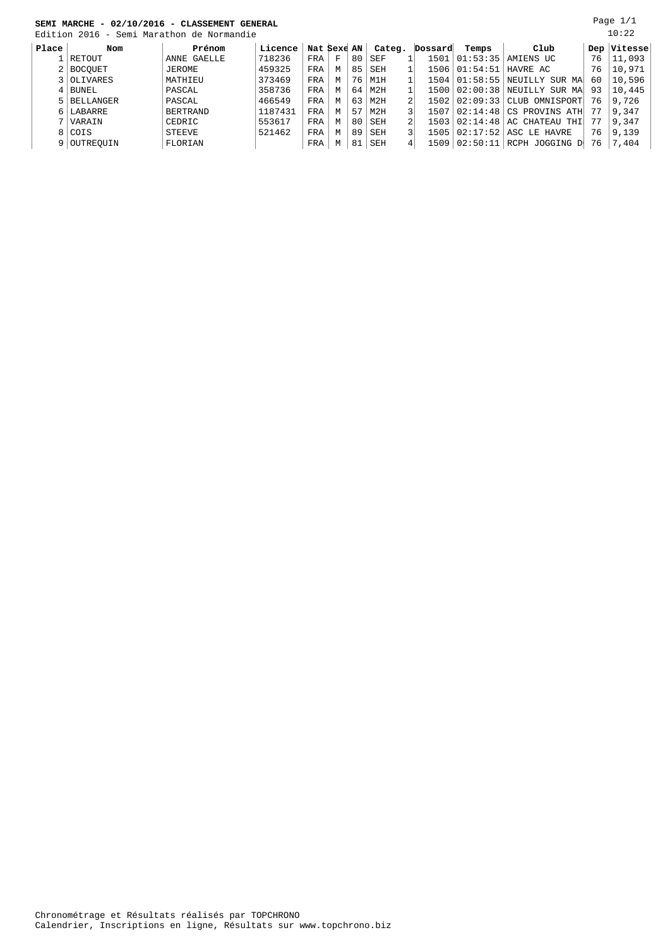|       | овлі плісін<br>,,,,,,,,,,,                | controverent controver |         |             |   |    |        |         |                            |                                    |    |             |
|-------|-------------------------------------------|------------------------|---------|-------------|---|----|--------|---------|----------------------------|------------------------------------|----|-------------|
|       | Edition 2016 - Semi Marathon de Normandie |                        |         |             |   |    |        |         |                            |                                    |    | 10:22       |
| Place | Nom                                       | Prénom                 | Licence | Nat Sexe AN |   |    | Categ. | Dossard | Temps                      | Club                               |    | Dep Vitesse |
|       | RETOUT                                    | ANNE GAELLE            | 718236  | FRA         | F | 80 | SEF    |         | 1501   01:53:35            | AMIENS UC                          | 76 | 11,093      |
|       | 2 BOCOUET                                 | JEROME                 | 459325  | FRA         | M | 85 | SEH    |         | 1506   01:54:51   HAVRE AC |                                    | 76 | 10,971      |
|       | 3 OLIVARES                                | MATHIEU                | 373469  | FRA         | M | 76 | M1H    |         |                            | 1504   01:58:55   NEUILLY SUR MA   | 60 | 10,596      |
|       | $4$   BUNEL                               | PASCAL                 | 358736  | FRA         | M | 64 | M2H    |         |                            | 1500   02:00:38   NEUILLY SUR MA   | 93 | 10,445      |
|       | 5 BELLANGER                               | PASCAL                 | 466549  | FRA         | M | 63 | M2H    |         |                            | $1502   02:09:33   CLUB$ OMNISPORT | 76 | 9,726       |
|       | 6 LABARRE                                 | <b>BERTRAND</b>        | 1187431 | FRA         | М | 57 | M2H    |         |                            | 1507 02:14:48 CS PROVINS ATH       |    | 9,347       |
|       | 7 VARAIN                                  | CEDRIC                 | 553617  | FRA         | M | 80 | SEH    | 1503    |                            | $02:14:48$ $AC$ CHATEAU THI        |    | 9,347       |
|       | 8 COIS                                    | <b>STEEVE</b>          | 521462  | FRA         | M | 89 | SEH    |         |                            | 1505 02:17:52 ASC LE HAVRE         | 76 | 9,139       |
|       | 9 OUTREOUIN                               | FLORIAN                |         | FRA         | M | 81 | SEH    | 1509    |                            | 02:50:11 RCPH JOGGING D            | 76 | 7,404       |

Page 1/1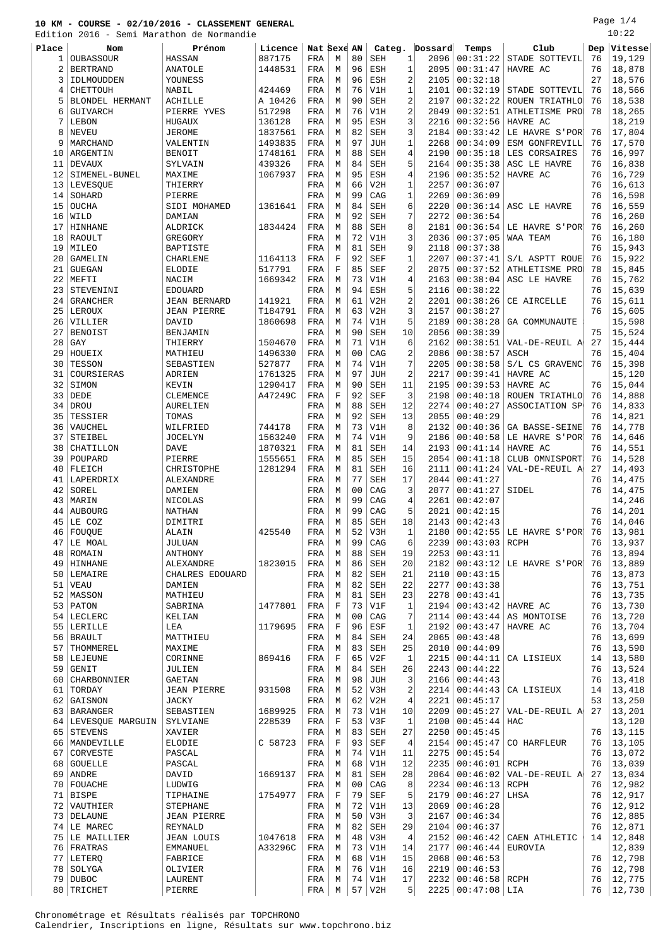Edition 2016 - Semi Marathon de Normandie

Page 1/4 10:22

|                |                        | Edition 2016 - Semi Marathon de Normandie |         |             |             |                |            |              |         |                 |                           |     | 10.ZZ   |
|----------------|------------------------|-------------------------------------------|---------|-------------|-------------|----------------|------------|--------------|---------|-----------------|---------------------------|-----|---------|
| Place          | Nom                    | Prénom                                    | Licence | Nat Sexe AN |             |                | Categ.     |              | Dossard | Temps           | Club                      | Dep | Vitesse |
|                |                        |                                           | 887175  |             |             |                |            | 1            | 2096    |                 |                           |     | 19,129  |
| 1              | OUBASSOUR              | HASSAN                                    |         | FRA         | М           | 80             | <b>SEH</b> |              |         | 00:31:22        | STADE SOTTEVIL            | 76  |         |
| $\overline{2}$ | <b>BERTRAND</b>        | <b>ANATOLE</b>                            | 1448531 | FRA         | M           | 96             | <b>ESH</b> | $\mathbf{1}$ | 2095    | 00:31:47        | HAVRE AC                  | 76  | 18,878  |
| 3              | IDLMOUDDEN             | YOUNESS                                   |         | FRA         | M           | 96             | <b>ESH</b> | 2            | 2105    | 00:32:18        |                           | 27  | 18,576  |
| 4              | <b>CHETTOUH</b>        | NABIL                                     | 424469  | FRA         | М           | 76             | V1H        | $\mathbf{1}$ | 2101    | 00:32:19        | STADE SOTTEVIL            | 76  | 18,566  |
| 5              | <b>BLONDEL HERMANT</b> | <b>ACHILLE</b>                            | A 10426 | FRA         | М           | 90             | <b>SEH</b> | 2            | 2197    | 00:32:22        | ROUEN TRIATHLO            | 76  | 18,538  |
|                |                        |                                           |         |             |             |                |            |              |         |                 |                           |     |         |
| 6              | GUIVARCH               | PIERRE YVES                               | 517298  | FRA         | М           | 76             | V1H        | 2            | 2049    | 00:32:51        | ATHLETISME PRO            | 78  | 18,265  |
| 7              | LEBON                  | <b>HUGAUX</b>                             | 136128  | FRA         | M           | 95             | <b>ESH</b> | 3            | 2216    | 00:32:56        | HAVRE AC                  |     | 18,219  |
| 8              | NEVEU                  | <b>JEROME</b>                             | 1837561 | FRA         | М           | 82             | <b>SEH</b> | 3            | 2184    | 00:33:42        | LE HAVRE S'POR            | 76  | 17,804  |
| 9              | MARCHAND               | VALENTIN                                  | 1493835 | FRA         | М           | 97             | <b>JUH</b> | 1            | 2268    | 00:34:09        | ESM GONFREVILL            | 76  | 17,570  |
|                |                        |                                           |         |             |             |                |            |              |         |                 |                           |     |         |
| 10             | ARGENTIN               | <b>BENOIT</b>                             | 1748161 | FRA         | М           | 88             | <b>SEH</b> | 4            | 2190    | 00:35:18        | LES CORSAIRES             | 76  | 16,997  |
| 11             | <b>DEVAUX</b>          | SYLVAIN                                   | 439326  | FRA         | M           | 84             | <b>SEH</b> | 5            | 2164    | 00:35:38        | ASC LE HAVRE              | 76  | 16,838  |
| 12             | SIMENEL-BUNEL          | MAXIME                                    | 1067937 | FRA         | M           | 95             | <b>ESH</b> | 4            | 2196    | 00:35:52        | HAVRE AC                  | 76  | 16,729  |
|                |                        |                                           |         |             |             |                |            | 1            |         | 00:36:07        |                           | 76  |         |
| 13             | LEVESOUE               | THIERRY                                   |         | FRA         | М           | 66             | V2H        |              | 2257    |                 |                           |     | 16,613  |
| 14             | SOHARD                 | PIERRE                                    |         | FRA         | М           | 99             | CAG        | 1            | 2269    | 00:36:09        |                           | 76  | 16,598  |
| 15             | <b>OUCHA</b>           | SIDI MOHAMED                              | 1361641 | FRA         | М           | 84             | <b>SEH</b> | 6            | 2220    | 00:36:14        | ASC LE HAVRE              | 76  | 16,559  |
| 16             | WILD                   | DAMIAN                                    |         | FRA         | M           | 92             | <b>SEH</b> | 7            | 2272    | 00:36:54        |                           | 76  | 16,260  |
|                |                        |                                           |         |             |             |                |            |              |         |                 |                           |     |         |
| 17             | HINHANE                | ALDRICK                                   | 1834424 | FRA         | M           | 88             | <b>SEH</b> | 8            | 2181    | 00:36:54        | LE HAVRE S'POR'           | 76  | 16,260  |
| 18             | <b>RAOULT</b>          | GREGORY                                   |         | FRA         | М           | 72             | V1H        | 3            | 2036    | 00:37:05        | WAA TEAM                  | 76  | 16,180  |
| 19             | MILEO                  | <b>BAPTISTE</b>                           |         | FRA         | M           | 81             | <b>SEH</b> | 9            | 2118    | 00:37:38        |                           | 76  | 15,943  |
| 20             | GAMELIN                | CHARLENE                                  | 1164113 | FRA         | $\mathbf F$ | 92             | <b>SEF</b> | 1            | 2207    | 00:37:41        | S/L ASPTT ROUE            | 76  | 15,922  |
|                | <b>GUEGAN</b>          |                                           |         |             | $\mathbf F$ |                |            |              |         |                 |                           |     |         |
| 21             |                        | ELODIE                                    | 517791  | FRA         |             | 85             | <b>SEF</b> | 2            | 2075    | 00:37:52        | ATHLETISME PRO            | 78  | 15,845  |
| 22             | MEFTI                  | NACIM                                     | 1669342 | FRA         | М           | 73             | V1H        | 4            | 2163    | 00:38:04        | ASC LE HAVRE              | 76  | 15,762  |
| 23             | STEVENINI              | <b>EDOUARD</b>                            |         | FRA         | M           | 94             | <b>ESH</b> | 5            | 2116    | 00:38:22        |                           | 76  | 15,639  |
| 24             | <b>GRANCHER</b>        | <b>JEAN BERNARD</b>                       | 141921  | FRA         | М           | 61             | V2H        | 2            | 2201    | 00:38:26        | CE AIRCELLE               | 76  | 15,611  |
|                |                        | <b>JEAN PIERRE</b>                        |         |             |             |                |            |              |         |                 |                           | 76  |         |
| 25             | LEROUX                 |                                           | T184791 | FRA         | М           | 63             | V2H        | 3            | 2157    | 00:38:27        |                           |     | 15,605  |
| 26             | VILLIER                | DAVID                                     | 1860698 | FRA         | М           | 74             | V1H        | 5            | 2189    | 00:38:28        | GA COMMUNAUTE             |     | 15,598  |
| 27             | <b>BENOIST</b>         | BENJAMIN                                  |         | FRA         | M           | 90             | <b>SEH</b> | 10           | 2056    | 00:38:39        |                           | 75  | 15,524  |
| 28             | GAY                    | THIERRY                                   | 1504670 | FRA         | M           | 71             | V1H        | 6            | 2162    | 00:38:51        | VAL-DE-REUIL A            | 27  | 15,444  |
|                |                        |                                           |         |             |             |                |            |              |         |                 |                           | 76  |         |
| 29             | HOUEIX                 | MATHIEU                                   | 1496330 | FRA         | M           | 0 <sub>0</sub> | CAG        | 2            | 2086    | 00:38:57        | ASCH                      |     | 15,404  |
| 30             | TESSON                 | SEBASTIEN                                 | 527877  | FRA         | M           | 74             | V1H        | 7            | 2205    | 00:38:58        | S/L CS GRAVENC            | 76  | 15,398  |
| 31             | COURSIERAS             | ADRIEN                                    | 1761325 | FRA         | М           | 97             | <b>JUH</b> | 2            | 2217    | 00:39:41        | HAVRE AC                  |     | 15,120  |
| 32             | SIMON                  | KEVIN                                     | 1290417 | FRA         | M           | 90             | <b>SEH</b> | 11           | 2195    | 00:39:53        | HAVRE AC                  | 76  | 15,044  |
|                |                        |                                           |         |             |             |                |            |              |         |                 |                           |     |         |
| 33             | DEDE                   | CLEMENCE                                  | A47249C | FRA         | $\mathbf F$ | 92             | <b>SEF</b> | 3            | 2198    | 00:40:18        | ROUEN TRIATHLO            | 76  | 14,888  |
| 34             | <b>DROU</b>            | AURELIEN                                  |         | FRA         | М           | 88             | <b>SEH</b> | 12           | 2274    | 00:40:27        | ASSOCIATION SP            | 76  | 14,833  |
| 35             | TESSIER                | TOMAS                                     |         | FRA         | М           | 92             | <b>SEH</b> | 13           | 2055    | 00:40:29        |                           | 76  | 14,821  |
| 36             | VAUCHEL                | WILFRIED                                  | 744178  | FRA         | M           | 73             | V1H        | 8            | 2132    | 00:40:36        | GA BASSE-SEINE            | 76  | 14,778  |
|                |                        |                                           |         |             |             |                |            |              |         |                 |                           |     |         |
| 37             | STEIBEL                | <b>JOCELYN</b>                            | 1563240 | FRA         | M           | 74             | V1H        | 9            | 2186    | 00:40:58        | LE HAVRE S'POR'           | 76  | 14,646  |
| 38             | CHATILLON              | <b>DAVE</b>                               | 1870321 | FRA         | М           | 81             | <b>SEH</b> | 14           | 2193    | 00:41:14        | HAVRE AC                  | 76  | 14,551  |
| 39             | POUPARD                | PIERRE                                    | 1555651 | FRA         | М           | 85             | <b>SEH</b> | 15           | 2054    | 00:41:18        | CLUB OMNISPORT            | 76  | 14,528  |
| 40             | FLEICH                 | CHRISTOPHE                                | 1281294 | FRA         | М           | 81             | <b>SEH</b> | 16           | 2111    | 00:41:24        | VAL-DE-REUIL A            | 27  | 14,493  |
|                |                        |                                           |         |             |             |                |            |              |         |                 |                           |     |         |
| 41             | LAPERDRIX              | ALEXANDRE                                 |         | FRA         | M           | 77             | <b>SEH</b> | 17           | 2044    | 00:41:27        |                           | 76  | 14,475  |
| 42             | SOREL                  | DAMIEN                                    |         | FRA         | M           | 0 <sub>0</sub> | CAG        | 3            | 2077    | 00:41:27        | SIDEL                     | 76  | 14,475  |
| 43             | MARIN                  | NICOLAS                                   |         | FRA         | М           | 99             | CAG        | 4            | 2261    | 00:42:07        |                           |     | 14,246  |
| 44             | <b>AUBOURG</b>         | <b>NATHAN</b>                             |         | FRA         | M           | 99             | CAG        | 5            | 2021    | 00:42:15        |                           | 76  | 14,201  |
|                |                        |                                           |         |             |             |                |            |              |         |                 |                           |     |         |
| 45             | LE COZ                 | DIMITRI                                   |         | FRA         | М           | 85             | <b>SEH</b> | 18           | 2143    | 00:42:43        |                           | 76  | 14,046  |
|                | 46   FOUQUE            | ALAIN                                     | 425540  | FRA         | М           | 52             | V3H        | 1            | 2180    |                 | $00:42:55$ LE HAVRE S'POR | -76 | 13,981  |
| 47             | LE MOAL                | JULUAN                                    |         | FRA         | М           | 99             | CAG        | 6            | 2239    | 00:43:03        | RCPH                      | 76  | 13,937  |
|                |                        |                                           |         |             |             |                |            |              |         |                 |                           | 76  | 13,894  |
| 48             | ROMAIN                 | ANTHONY                                   |         | FRA         | М           | 88             | SEH        | 19           | 2253    | 00:43:11        |                           |     |         |
|                | 49 HINHANE             | ALEXANDRE                                 | 1823015 | FRA         | М           | 86             | <b>SEH</b> | 20           | 2182    | 00:43:12        | LE HAVRE S'POR            | 76  | 13,889  |
|                | 50 LEMAIRE             | CHALRES EDOUARD                           |         | FRA         | М           | 82             | <b>SEH</b> | 21           | 2110    | 00:43:15        |                           | 76  | 13,873  |
|                | $51$ VEAU              | DAMIEN                                    |         | FRA         | М           | 82             | SEH        | 22           | 2277    | 00:43:38        |                           | 76  | 13,751  |
|                | 52 MASSON              | MATHIEU                                   |         | FRA         | М           | 81             | SEH        | 23           | 2278    | 00:43:41        |                           | 76  | 13,735  |
|                |                        |                                           |         |             |             |                |            |              |         |                 |                           |     |         |
|                | $53$ PATON             | SABRINA                                   | 1477801 | FRA         | $\mathbf F$ | 73             | V1F        | $\mathbf{1}$ | 2194    |                 | $00:43:42$ HAVRE AC       | 76  | 13,730  |
| 54             | LECLERC                | KELIAN                                    |         | FRA         | M           | 0 <sub>0</sub> | CAG        | 7            | 2114    | 00:43:44        | AS MONTOISE               | 76  | 13,720  |
|                | 55 LERILLE             | LEA                                       | 1179695 | FRA         | $\mathbf F$ | 96             | ESF        | 1            | 2192    | 00:43:47        | HAVRE AC                  | 76  | 13,704  |
| 56             | BRAULT                 | MATTHIEU                                  |         | FRA         | М           | 84             | SEH        | 24           | 2065    | 00:43:48        |                           | 76  | 13,699  |
|                |                        |                                           |         |             |             |                |            |              |         |                 |                           |     |         |
| 57             | THOMMEREL              | MAXIME                                    |         | FRA         | М           | 83             | SEH        | 25           | 2010    | 00:44:09        |                           | 76  | 13,590  |
|                | 58 LEJEUNE             | CORINNE                                   | 869416  | FRA         | $\mathbf F$ | 65             | V2F        | $\mathbf{1}$ | 2215    | 00:44:11        | CA LISIEUX                | 14  | 13,580  |
| 59             | GENIT                  | JULIEN                                    |         | FRA         | М           | 84             | SEH        | 26           | 2243    | 00:44:22        |                           | 76  | 13,524  |
| 60             | CHARBONNIER            | <b>GAETAN</b>                             |         | FRA         | М           | 98             | <b>JUH</b> | 3            | 2166    | 00:44:43        |                           | 76  | 13,418  |
|                |                        |                                           |         |             |             |                |            |              |         |                 |                           |     |         |
| 61             | TORDAY                 | <b>JEAN PIERRE</b>                        | 931508  | FRA         | M           | 52             | V3H        | 2            | 2214    | 00:44:43        | CA LISIEUX                | 14  | 13,418  |
| 62             | GAISNON                | JACKY                                     |         | FRA         | М           | 62             | V2H        | 4            | 2221    | 00:45:17        |                           | 53  | 13,250  |
| 63             | <b>BARANGER</b>        | SEBASTIEN                                 | 1689925 | FRA         | М           | 73             | V1H        | 10           | 2209    | 00:45:27        | VAL-DE-REUIL A            | 27  | 13,201  |
|                | 64   LEVESQUE MARGUIN  | SYLVIANE                                  | 228539  | FRA         | $\mathbf F$ | 53             | V3F        | 1            | 2100    | 00:45:44        | HAC                       |     | 13,120  |
|                |                        |                                           |         |             |             |                |            |              |         |                 |                           |     |         |
| 65             | <b>STEVENS</b>         | XAVIER                                    |         | FRA         | М           | 83             | SEH        | 27           | 2250    | 00:45:45        |                           | 76  | 13,115  |
|                | 66   MANDEVILLE        | ELODIE                                    | C 58723 | FRA         | $\mathbf F$ | 93             | <b>SEF</b> | 4            | 2154    | 00:45:47        | CO HARFLEUR               | 76  | 13,105  |
| 67             | CORVESTE               | PASCAL                                    |         | FRA         | М           | 74             | V1H        | 11           | 2275    | 00:45:54        |                           | 76  | 13,072  |
|                |                        |                                           |         |             |             |                |            |              |         |                 |                           | 76  |         |
| 68             | GOUELLE                | PASCAL                                    |         | FRA         | М           | 68             | V1H        | 12           | 2235    | 00:46:01        | RCPH                      |     | 13,039  |
|                | 69   ANDRE             | DAVID                                     | 1669137 | FRA         | М           | 81             | <b>SEH</b> | 28           | 2064    |                 | $00:46:02$ VAL-DE-REUIL A | 27  | 13,034  |
| 70             | FOUACHE                | LUDWIG                                    |         | FRA         | M           | 0 <sub>0</sub> | CAG        | 8            | 2234    | 00:46:13        | RCPH                      | 76  | 12,982  |
| 71             | <b>BISPE</b>           | TIPHAINE                                  | 1754977 | FRA         | $\mathbf F$ | 79             | <b>SEF</b> | 5            | 2179    | 00:46:27        | LHSA                      | 76  | 12,917  |
|                |                        |                                           |         |             |             |                |            |              |         |                 |                           |     |         |
| 72             | VAUTHIER               | STEPHANE                                  |         | FRA         | М           | 72             | V1H        | 13           | 2069    | 00:46:28        |                           | 76  | 12,912  |
| 73             | DELAUNE                | <b>JEAN PIERRE</b>                        |         | FRA         | М           | 50             | V3H        | 3            | 2167    | 00:46:34        |                           | 76  | 12,885  |
|                | 74 LE MAREC            | REYNALD                                   |         | FRA         | М           | 82             | SEH        | 29           | 2104    | 00:46:37        |                           | 76  | 12,871  |
|                | 75 LE MAILLIER         | <b>JEAN LOUIS</b>                         | 1047618 | FRA         | М           | 48             | V3H        | 4            | 2152    | 00:46:42        | CAEN ATHLETIC             | 14  | 12,848  |
|                | 76   FRATRAS           |                                           |         |             | М           | 73             |            | 14           |         | 00:46:44        |                           |     | 12,839  |
|                |                        | EMMANUEL                                  | A33296C | FRA         |             |                | V1H        |              | 2177    |                 | EUROVIA                   |     |         |
|                | 77   LETERQ            | FABRICE                                   |         | FRA         | М           | 68             | V1H        | 15           | 2068    | 00:46:53        |                           | 76  | 12,798  |
| 78             | SOLYGA                 | OLIVIER                                   |         | FRA         | М           | 76             | V1H        | 16           | 2219    | 00:46:53        |                           | 76  | 12,798  |
|                | 79 DUBOC               | LAURENT                                   |         | FRA         | М           | 74             | V1H        | 17           | 2232    | 00:46:58   RCPH |                           | 76  | 12,775  |
|                |                        |                                           |         |             |             |                |            |              |         |                 |                           |     |         |

80 TRICHET PIERRE FRA M 57 V2H 5 2225 00:47:08 LIA 76 12,730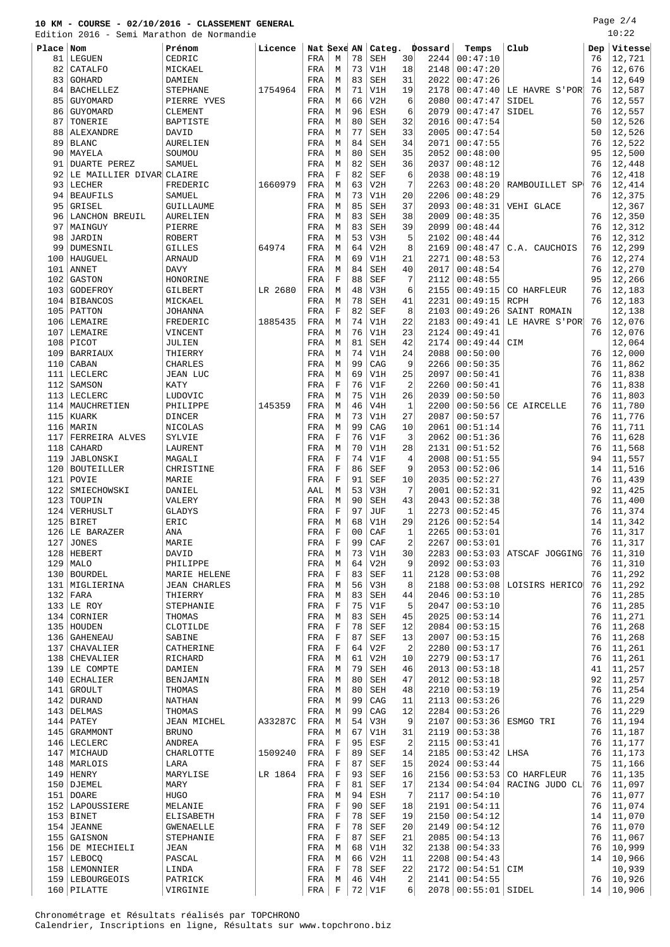Page 2/4

|            | Edition 2016 - Semi Marathon de Normandie |                          |         |             |                  |          |                          |           |              |                      |                           |          | 10:22            |
|------------|-------------------------------------------|--------------------------|---------|-------------|------------------|----------|--------------------------|-----------|--------------|----------------------|---------------------------|----------|------------------|
| Place Nom  |                                           | Prénom                   | Licence | Nat Sexe AN |                  |          | Categ.                   |           | Dossard      | Temps                | Club                      | Dep      | Vitesse          |
| 81         | LEGUEN                                    | CEDRIC                   |         | FRA         | М                | 78       | <b>SEH</b>               | 30        | 2244         | 00:47:10             |                           | 76       | 12,721           |
| 82         | CATALFO                                   | MICKAEL                  |         | FRA         | М                | 73       | V1H                      | 18        | 2148         | 00:47:20             |                           | 76       | 12,676           |
| 83         | GOHARD                                    | DAMIEN                   |         | FRA         | М                | 83       | <b>SEH</b>               | 31        | 2022         | 00:47:26             |                           | 14       | 12,649           |
| 84         | <b>BACHELLEZ</b>                          | <b>STEPHANE</b>          | 1754964 | FRA         | М                | 71       | V1H                      | 19        | 2178         | 00:47:40             | LE HAVRE S'POR            | 76       | 12,587           |
| 85         | GUYOMARD                                  | PIERRE YVES              |         | FRA         | М                | 66       | V2H                      | 6         | 2080         | 00:47:47             | SIDEL                     | 76       | 12,557           |
| 86         | GUYOMARD                                  | CLEMENT                  |         | FRA         | М                | 96       | ESH                      | 6         | 2079         | 00:47:47             | SIDEL                     | 76       | 12,557           |
| 87         | TONERIE                                   | BAPTISTE                 |         | FRA         | М                | 80       | <b>SEH</b>               | 32        | 2016         | 00:47:54             |                           | 50       | 12,526           |
| 88         | ALEXANDRE                                 | DAVID                    |         | FRA         | М                | 77       | SEH                      | 33        | 2005         | 00:47:54             |                           | 50       | 12,526           |
| 89         | <b>BLANC</b>                              | AURELIEN                 |         | FRA         | М                | 84       | <b>SEH</b>               | 34        | 2071         | 00:47:55             |                           | 76       | 12,522           |
| 90         | MAYELA                                    | SOUMOU                   |         | FRA         | М                | 80       | <b>SEH</b>               | 35        | 2052         | 00:48:00             |                           | 95       | 12,500           |
| 91<br>92   | <b>DUARTE PEREZ</b>                       | SAMUEL                   |         | FRA         | M<br>F           | 82<br>82 | <b>SEH</b><br><b>SEF</b> | 36<br>6   | 2037<br>2038 | 00:48:12<br>00:48:19 |                           | 76<br>76 | 12,448<br>12,418 |
| 93         | LE MAILLIER DIVAR CLAIRE<br>LECHER        | FREDERIC                 | 1660979 | FRA<br>FRA  | М                | 63       | V2H                      | 7         | 2263         | 00:48:20             | RAMBOUILLET SP            | 76       | 12,414           |
| 94         | <b>BEAUFILS</b>                           | SAMUEL                   |         | FRA         | М                | 73       | V1H                      | 20        | 2206         | 00:48:29             |                           | 76       | 12,375           |
| 95         | GRISEL                                    | GUILLAUME                |         | FRA         | М                | 85       | <b>SEH</b>               | 37        | 2093         | 00:48:31             | VEHI GLACE                |          | 12,367           |
| 96         | LANCHON BREUIL                            | AURELIEN                 |         | FRA         | М                | 83       | <b>SEH</b>               | 38        | 2009         | 00:48:35             |                           | 76       | 12,350           |
| 97         | MAINGUY                                   | PIERRE                   |         | FRA         | М                | 83       | <b>SEH</b>               | 39        | 2099         | 00:48:44             |                           | 76       | 12,312           |
| 98         | JARDIN                                    | <b>ROBERT</b>            |         | FRA         | М                | 53       | V3H                      | 5         | 2102         | 00:48:44             |                           | 76       | 12,312           |
| 99         | DUMESNIL                                  | <b>GILLES</b>            | 64974   | FRA         | М                | 64       | V2H                      | 8         | 2169         | 00:48:47             | C.A. CAUCHOIS             | 76       | 12,299           |
| 100        | HAUGUEL                                   | <b>ARNAUD</b>            |         | FRA         | М                | 69       | V1H                      | 21        | 2271         | 00:48:53             |                           | 76       | 12,274           |
| 101        | <b>ANNET</b>                              | <b>DAVY</b>              |         | FRA         | М                | 84       | SEH                      | 40        | 2017         | 00:48:54             |                           | 76       | 12,270           |
| 102        | <b>GASTON</b>                             | HONORINE                 |         | FRA         | F                | 88       | SEF                      | 7         | 2112         | 00:48:55             |                           | 95       | 12,266           |
| 103        | GODEFROY                                  | <b>GILBERT</b>           | LR 2680 | FRA         | М                | 48       | V3H                      | 6         | 2155         | 00:49:15             | CO HARFLEUR               | 76       | 12,183           |
| 104        | <b>BIBANCOS</b>                           | MICKAEL                  |         | FRA         | М                | 78       | <b>SEH</b>               | 41        | 2231         | 00:49:15             | <b>RCPH</b>               | 76       | 12,183           |
|            | $105$ PATTON                              | <b>JOHANNA</b>           |         | FRA         | $\mathbf F$      | 82       | <b>SEF</b>               | 8         | 2103         | 00:49:26             | SAINT ROMAIN              |          | 12,138           |
|            | 106   LEMAIRE                             | FREDERIC                 | 1885435 | FRA         | М                | 74       | V1H                      | 22        | 2183         | 00:49:41             | LE HAVRE S'POR            | 76       | 12,076           |
|            | 107 LEMAIRE                               | VINCENT                  |         | FRA         | М                | 76       | V1H                      | 23        | 2124         | 00:49:41             |                           | 76       | 12,076           |
| 108        | PICOT                                     | JULIEN                   |         | FRA         | М                | 81       | <b>SEH</b>               | 42        | 2174         | 00:49:44             | CIM                       |          | 12,064           |
| 109        | <b>BARRIAUX</b>                           | THIERRY                  |         | FRA         | М                | 74<br>99 | V1H                      | 24        | 2088         | 00:50:00             |                           | 76       | 12,000           |
| 110        | CABAN<br>LECLERC                          | <b>CHARLES</b>           |         | FRA         | М                | 69       | CAG<br>V1H               | 9<br>25   | 2266<br>2097 | 00:50:35             |                           | 76<br>76 | 11,862           |
| 111<br>112 | SAMSON                                    | JEAN LUC<br>KATY         |         | FRA<br>FRA  | М<br>F           | 76       | V1F                      | 2         | 2260         | 00:50:41<br>00:50:41 |                           | 76       | 11,838<br>11,838 |
| 113        | LECLERC                                   | LUDOVIC                  |         | FRA         | М                | 75       | V1H                      | 26        | 2039         | 00:50:50             |                           | 76       | 11,803           |
|            | 114   MAUCHRETIEN                         | PHILIPPE                 | 145359  | FRA         | М                | 46       | V4H                      | $1\,$     | 2200         | 00:50:56             | CE AIRCELLE               | 76       | 11,780           |
|            | 115 KUARK                                 | DINCER                   |         | FRA         | М                | 73       | V1H                      | 27        | 2087         | 00:50:57             |                           | 76       | 11,776           |
|            | 116   MARIN                               | NICOLAS                  |         | FRA         | M                | 99       | CAG                      | 10        | 2061         | 00:51:14             |                           | 76       | 11,711           |
| 117        | FERREIRA ALVES                            | SYLVIE                   |         | FRA         | F                | 76       | V1F                      | 3         | 2062         | 00:51:36             |                           | 76       | 11,628           |
| 118        | CAHARD                                    | LAURENT                  |         | FRA         | М                | 70       | V1H                      | 28        | 2131         | 00:51:52             |                           | 76       | 11,568           |
| 119        | JABLONSKI                                 | MAGALI                   |         | FRA         | F                | 74       | V1F                      | 4         | 2008         | 00:51:55             |                           | 94       | 11,557           |
| 120        | <b>BOUTEILLER</b>                         | CHRISTINE                |         | FRA         | F                | 86       | SEF                      | 9         | 2053         | 00:52:06             |                           | 14       | 11,516           |
| 121        | POVIE                                     | MARIE                    |         | FRA         | $\mathbf F$      | 91       | SEF                      | 10        | 2035         | 00:52:27             |                           | 76       | 11,439           |
| 122        | SMIECHOWSKI                               | DANIEL                   |         | AAL         | М                | 53       | V3H                      | 7         | 2001         | 00:52:31             |                           | 92       | 11,425           |
| 123        | TOUPIN                                    | VALERY                   |         | FRA         | M                | 90       | <b>SEH</b>               | 43        | 2043         | 00:52:38             |                           | 76       | 11,400           |
| 124        | VERHUSLT                                  | <b>GLADYS</b>            |         | FRA         | F                | 97       | JUF                      | 1         | 2273         | 00:52:45             |                           | 76       | 11,374           |
|            | $125$ BIRET                               | ERIC                     |         | FRA         | M                | 68       | V1H                      | 29        |              | 2126   00:52:54      |                           | 14       | 11,342           |
|            | 126 LE BARAZER                            | ANA                      |         | FRA         | F                | 00       | CAF                      | $\vert$ 1 |              | 2265   00:53:01      |                           |          | 76   11,317      |
| 127        | <b>JONES</b>                              | MARIE                    |         | FRA         | F                | 99       | CAF                      | 2         | 2267         | 00:53:01             |                           | 76       | 11,317           |
|            | 128   HEBERT                              | DAVID                    |         | FRA         | М                | 73       | V1H                      | 30        | 2283         |                      | $00:53:03$ ATSCAF JOGGING | 76       | 11,310           |
|            | $129$ MALO<br>130   BOURDEL               | PHILIPPE<br>MARIE HELENE |         | FRA<br>FRA  | М<br>$\mathbf F$ | 64<br>83 | V2H<br>SEF               | 9<br>11   | 2092<br>2128 | 00:53:03<br>00:53:08 |                           | 76<br>76 | 11,310<br>11,292 |
|            | 131   MIGLIERINA                          | <b>JEAN CHARLES</b>      |         | FRA         | М                | 56       | V3H                      | 8         | 2188         | 00:53:08             | LOISIRS HERICO            | 76       | 11,292           |
|            | $132$ FARA                                | THIERRY                  |         | FRA         | М                | 83       | SEH                      | 44        | 2046         | 00:53:10             |                           | 76       | 11,285           |
|            | $133$ LE ROY                              | STEPHANIE                |         | FRA         | F                | 75       | V1F                      | 5         | 2047         | 00:53:10             |                           | 76       | 11,285           |
|            | 134 CORNIER                               | THOMAS                   |         | FRA         | М                | 83       | SEH                      | 45        | 2025         | 00:53:14             |                           | 76       | 11,271           |
|            | 135 HOUDEN                                | CLOTILDE                 |         | FRA         | F                | 78       | SEF                      | 12        | 2084         | 00:53:15             |                           | 76       | 11,268           |
|            | 136   GAHENEAU                            | SABINE                   |         | FRA         | $\mathbf F$      | 87       | SEF                      | 13        | 2007         | 00:53:15             |                           | 76       | 11,268           |
| 137        | CHAVALIER                                 | CATHERINE                |         | FRA         | F                | 64       | V2F                      | 2         | 2280         | 00:53:17             |                           | 76       | 11,261           |
| 138        | CHEVALIER                                 | RICHARD                  |         | FRA         | М                | 61       | V2H                      | 10        | 2279         | 00:53:17             |                           | 76       | 11,261           |
|            | 139 LE COMPTE                             | DAMIEN                   |         | FRA         | М                | 79       | SEH                      | 46        | 2013         | 00:53:18             |                           | 41       | 11,257           |
|            | 140 ECHALIER                              | BENJAMIN                 |         | FRA         | М                | 80       | SEH                      | 47        | 2012         | 00:53:18             |                           | 92       | 11,257           |
|            | 141 GROULT                                | THOMAS                   |         | FRA         | М                | 80       | SEH                      | 48        | 2210         | 00:53:19             |                           | 76       | 11,254           |
|            | $142$ DURAND                              | NATHAN                   |         | FRA         | М                | 99       | CAG                      | 11        | 2113         | 00:53:26             |                           | 76       | 11,229           |
|            | $143$ DELMAS                              | THOMAS                   |         | FRA         | М                | 99       | CAG                      | 12        | 2284         | 00:53:26             |                           | 76       | 11,229           |
|            | $144$ PATEY                               | JEAN MICHEL              | A33287C | FRA         | М                | 54       | V3H                      | 9         | 2107         | 00:53:36             | ESMGO TRI                 | 76       | 11,194           |
|            | 145   GRAMMONT                            | <b>BRUNO</b>             |         | FRA         | М                | 67       | V1H                      | 31        | 2119         | 00:53:38             |                           | 76       | 11,187           |
|            | 146   LECLERC                             | ANDREA                   |         | FRA         | $\mathbf F$      | 95       | ESF                      | 2         | 2115         | 00:53:41             |                           | 76       | 11,177           |
|            | 147   MICHAUD                             | CHARLOTTE                | 1509240 | FRA         | F<br>$\mathbf F$ | 89<br>87 | SEF                      | 14        | 2185         | 00:53:42             | LHSA                      | 76<br>75 | 11,173           |
|            | 148   MARLOIS<br>$149$ HENRY              | LARA<br>MARYLISE         | LR 1864 | FRA<br>FRA  | F                | 93       | SEF<br>SEF               | 15<br>16  | 2024<br>2156 | 00:53:44<br>00:53:53 | CO HARFLEUR               | 76       | 11,166<br>11,135 |
|            | 150 DJEMEL                                | MARY                     |         | FRA         | $\mathbf F$      | 81       | SEF                      | 17        | 2134         |                      | $00:54:04$ RACING JUDO CL | 76       | 11,097           |
|            | 151   DOARE                               | <b>HUGO</b>              |         | FRA         | М                | 94       | ESH                      | 7         | 2117         | 00:54:10             |                           | 76       | 11,077           |
|            | 152 LAPOUSSIERE                           | MELANIE                  |         | FRA         | F                | 90       | SEF                      | 18        | 2191         | 00:54:11             |                           | 76       | 11,074           |
|            | $153$ BINET                               | ELISABETH                |         | FRA         | F                | 78       | SEF                      | 19        | 2150         | 00:54:12             |                           | 14       | 11,070           |
|            | $154$ JEANNE                              | GWENAELLE                |         | FRA         | F                | 78       | SEF                      | 20        | 2149         | 00:54:12             |                           | 76       | 11,070           |
|            | 155 GAISNON                               | STEPHANIE                |         | FRA         | F                | 87       | SEF                      | 21        | 2085         | 00:54:13             |                           | 76       | 11,067           |
|            | 156 DE MIECHIELI                          | JEAN                     |         | FRA         | М                | 68       | V1H                      | 32        | 2138         | 00:54:33             |                           | 76       | 10,999           |
|            | 157   LEBOCQ                              | PASCAL                   |         | FRA         | M                | 66       | V2H                      | 11        | 2208         | 00:54:43             |                           | 14       | 10,966           |
|            | 158   LEMONNIER                           | LINDA                    |         | FRA         | F                | 78       | SEF                      | 22        | 2172         | $00:54:51$ CIM       |                           |          | 10,939           |
|            | 159 LEBOURGEOIS                           | PATRICK                  |         | FRA         | М                |          | $46$   $V4H$             | $\vert$ 2 |              | 2141   00:54:55      |                           |          | 76   10,926      |

PILATTE VIRGINIE FRA F 72 V1F 6 2078 00:55:01 SIDEL 14 10,906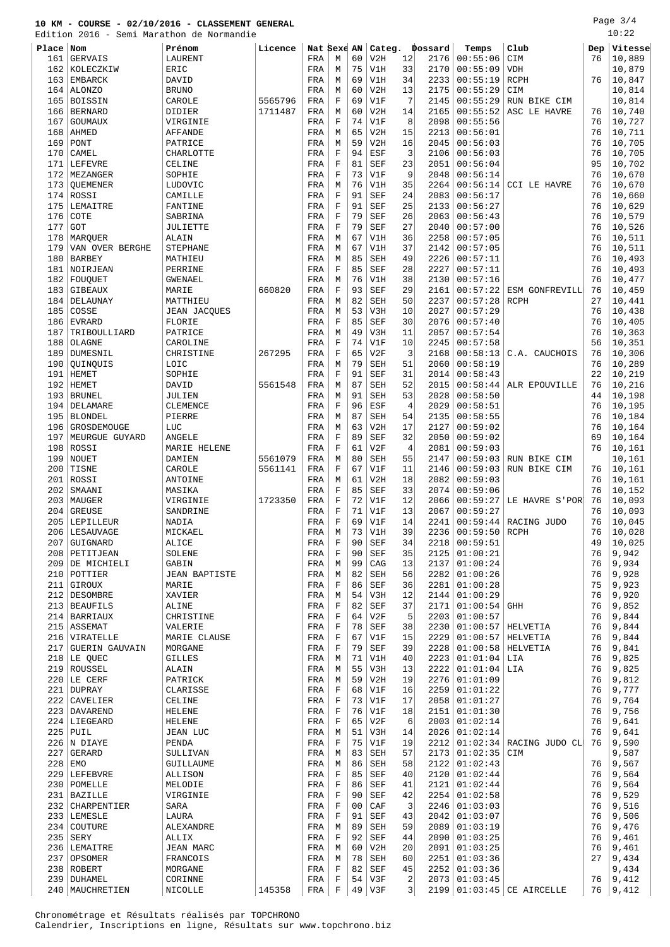Page 3/4  $10:22$ 

|           |                       | Edition 2016 - Semi Marathon de Normandie |         |             |             |                |                   |                         |         |                 |                              |     | 10:22   |
|-----------|-----------------------|-------------------------------------------|---------|-------------|-------------|----------------|-------------------|-------------------------|---------|-----------------|------------------------------|-----|---------|
| Place Nom |                       | Prénom                                    | Licence | Nat Sexe AN |             |                | Categ.            |                         | Dossard | Temps           | Club                         | Dep | Vitesse |
| 161       | <b>GERVAIS</b>        | LAURENT                                   |         | FRA         | М           | 60             | V2H               | 12                      | 2176    | 00:55:06        | CIM                          | 76  | 10,889  |
| 162       | KOLECZKIW             | ERIC                                      |         | FRA         | М           | 75             | V1H               | 33                      | 2170    | 00:55:09        | <b>VDH</b>                   |     | 10,879  |
| 163       | EMBARCK               | DAVID                                     |         | FRA         | М           | 69             | V1H               | 34                      | 2233    | 00:55:19        | RCPH                         | 76  | 10,847  |
| 164       | <b>ALONZO</b>         | <b>BRUNO</b>                              |         | FRA         | М           | 60             | V2H               | 13                      | 2175    | 00:55:29        | CIM                          |     | 10,814  |
| 165       |                       |                                           |         | FRA         | $\mathbf F$ | 69             | V1F               | 7                       | 2145    | 00:55:29        |                              |     |         |
|           | <b>BOISSIN</b>        | CAROLE                                    | 5565796 |             |             | 60             |                   | 14                      | 2165    | 00:55:52        | RUN BIKE CIM<br>ASC LE HAVRE | 76  | 10,814  |
| 166       | <b>BERNARD</b>        | DIDIER                                    | 1711487 | FRA         | М           |                | V2H               |                         |         |                 |                              |     | 10,740  |
| 167       | GOUMAUX               | VIRGINIE                                  |         | FRA         | $\mathbf F$ | 74             | V1F               | 8                       | 2098    | 00:55:56        |                              | 76  | 10,727  |
| 168       | AHMED                 | AFFANDE                                   |         | FRA         | М           | 65             | V2H               | 15                      | 2213    | 00:56:01        |                              | 76  | 10,711  |
| 169       | PONT                  | PATRICE                                   |         | FRA         | М           | 59             | V2H               | 16                      | 2045    | 00:56:03        |                              | 76  | 10,705  |
| 170       | CAMEL                 | CHARLOTTE                                 |         | FRA         | $\mathbf F$ | 94             | ESF               | 3                       | 2106    | 00:56:03        |                              | 76  | 10,705  |
| 171       | LEFEVRE               | CELINE                                    |         | FRA         | $\mathbf F$ | 81             | SEF               | 23                      | 2051    | 00:56:04        |                              | 95  | 10,702  |
| 172       | MEZANGER              | SOPHIE                                    |         | FRA         | F           | 73             | V1F               | 9                       | 2048    | 00:56:14        |                              | 76  | 10,670  |
| 173       | QUEMENER              | LUDOVIC                                   |         | FRA         | М           | 76             | V1H               | 35                      | 2264    | 00:56:14        | <b>CCI LE HAVRE</b>          | 76  | 10,670  |
| 174       | ROSSI                 | CAMILLE                                   |         | FRA         | $\mathbf F$ | 91             | <b>SEF</b>        | 24                      | 2083    | 00:56:17        |                              | 76  | 10,660  |
| 175       | LEMAITRE              | FANTINE                                   |         | FRA         | $\mathbf F$ | 91             | <b>SEF</b>        | 25                      | 2133    | 00:56:27        |                              | 76  | 10,629  |
| 176       | COTE                  | SABRINA                                   |         | FRA         | F           | 79             | <b>SEF</b>        | 26                      | 2063    | 00:56:43        |                              | 76  | 10,579  |
| 177       | GOT                   | JULIETTE                                  |         | FRA         | F           | 79             | <b>SEF</b>        | 27                      | 2040    | 00:57:00        |                              | 76  | 10,526  |
| 178       | MARQUER               | ALAIN                                     |         | FRA         | М           | 67             | V1H               | 36                      | 2258    | 00:57:05        |                              | 76  | 10,511  |
| 179       | VAN OVER BERGHE       | <b>STEPHANE</b>                           |         | FRA         | М           | 67             | V1H               | 37                      | 2142    | 00:57:05        |                              | 76  | 10,511  |
| 180       | <b>BARBEY</b>         | MATHIEU                                   |         | FRA         | М           | 85             | SEH               | 49                      | 2226    | 00:57:11        |                              | 76  | 10,493  |
| 181       | NOIRJEAN              | PERRINE                                   |         | FRA         | $\mathbf F$ | 85             | <b>SEF</b>        | 28                      | 2227    | 00:57:11        |                              | 76  | 10,493  |
| 182       | FOUQUET               | <b>GWENAEL</b>                            |         | FRA         | М           | 76             | V1H               | 38                      | 2130    | 00:57:16        |                              | 76  | 10,477  |
| 183       | GIBEAUX               | MARIE                                     | 660820  | FRA         | $\mathbf F$ | 93             | <b>SEF</b>        | 29                      | 2161    | 00:57:22        | ESM GONFREVILL               | 76  | 10,459  |
| 184       | DELAUNAY              | MATTHIEU                                  |         | FRA         | М           | 82             | <b>SEH</b>        | 50                      | 2237    | 00:57:28        | <b>RCPH</b>                  | 27  | 10,441  |
|           | COSSE                 |                                           |         |             |             |                |                   | 10                      | 2027    | 00:57:29        |                              | 76  |         |
| 185       |                       | <b>JEAN JACQUES</b>                       |         | FRA         | М           | 53             | V3H               |                         |         |                 |                              |     | 10,438  |
| 186       | <b>EVRARD</b>         | FLORIE                                    |         | FRA         | F           | 85             | <b>SEF</b>        | 30                      | 2076    | 00:57:40        |                              | 76  | 10,405  |
| 187       | TRIBOULLIARD          | PATRICE                                   |         | FRA         | М           | 49             | V3H               | 11                      | 2057    | 00:57:54        |                              | 76  | 10,363  |
| 188       | OLAGNE                | CAROLINE                                  |         | FRA         | $\mathbf F$ | 74             | V1F               | 10                      | 2245    | 00:57:58        |                              | 56  | 10,351  |
| 189       | DUMESNIL              | CHRISTINE                                 | 267295  | FRA         | F           | 65             | V2F               | 3                       | 2168    | 00:58:13        | C.A. CAUCHOIS                | 76  | 10,306  |
| 190       | QUINQUIS              | LOIC                                      |         | FRA         | M           | 79             | <b>SEH</b>        | 51                      | 2060    | 00:58:19        |                              | 76  | 10,289  |
| 191       | <b>HEMET</b>          | SOPHIE                                    |         | FRA         | $\mathbf F$ | 91             | <b>SEF</b>        | 31                      | 2014    | 00:58:43        |                              | 22  | 10,219  |
| 192       | HEMET                 | DAVID                                     | 5561548 | FRA         | М           | 87             | <b>SEH</b>        | 52                      | 2015    | 00:58:44        | ALR EPOUVILLE                | 76  | 10,216  |
| 193       | BRUNEL                | JULIEN                                    |         | FRA         | М           | 91             | <b>SEH</b>        | 53                      | 2028    | 00:58:50        |                              | 44  | 10,198  |
| 194       | DELAMARE              | CLEMENCE                                  |         | FRA         | $\mathbf F$ | 96             | ESF               | 4                       | 2029    | 00:58:51        |                              | 76  | 10,195  |
| 195       | <b>BLONDEL</b>        | PIERRE                                    |         | FRA         | М           | 87             | <b>SEH</b>        | 54                      | 2135    | 00:58:55        |                              | 76  | 10,184  |
| 196       | GROSDEMOUGE           | LUC                                       |         | FRA         | М           | 63             | V2H               | 17                      | 2127    | 00:59:02        |                              | 76  | 10,164  |
| 197       | MEURGUE GUYARD        | ANGELE                                    |         | FRA         | $\mathbf F$ | 89             | <b>SEF</b>        | 32                      | 2050    | 00:59:02        |                              | 69  | 10,164  |
| 198       | ROSSI                 | MARIE HELENE                              |         | FRA         | $\mathbf F$ | 61             | V2F               | 4                       | 2081    | 00:59:03        |                              | 76  | 10,161  |
| 199       | NOUET                 | DAMIEN                                    | 5561079 | FRA         | М           | 80             | <b>SEH</b>        | 55                      | 2147    | 00:59:03        | RUN BIKE CIM                 |     | 10,161  |
| 200       | TISNE                 | CAROLE                                    | 5561141 | FRA         | $\mathbf F$ | 67             | V1F               | 11                      | 2146    | 00:59:03        | RUN BIKE CIM                 | 76  | 10,161  |
| 201       | ROSSI                 | ANTOINE                                   |         | FRA         | M           | 61             | V2H               | 18                      | 2082    | 00:59:03        |                              | 76  | 10,161  |
| 202       | SMAANI                | MASIKA                                    |         | FRA         | F           | 85             | <b>SEF</b>        | 33                      | 2074    | 00:59:06        |                              | 76  | 10,152  |
|           | 203   MAUGER          | VIRGINIE                                  | 1723350 | FRA         | F           | 72             | V1F               | 12                      | 2066    | 00:59:27        | LE HAVRE S'POR'              | 76  | 10,093  |
| 204       | <b>GREUSE</b>         | SANDRINE                                  |         | FRA         | F           | 71             | V1F               | 13                      | 2067    | 00:59:27        |                              | 76  | 10,093  |
|           | 205   LEPILLEUR       | NADIA                                     |         | FRA         | F           | 69             | V1F               | 14                      | 2241    |                 | $00:59:44  $ RACING JUDO     | 76  | 10,045  |
|           | 206   LESAUVAGE       | MICKAEL                                   |         | FRA         | M           | 73             | V1H               | 39                      | 2236    | 00:59:50 RCPH   |                              | 76  | 10,028  |
| 207       | GUIGNARD              | ALICE                                     |         | FRA         | F           | 90             | SEF               | 34                      | 2218    | 00:59:51        |                              | 49  | 10,025  |
|           | 208   PETITJEAN       | SOLENE                                    |         | FRA         | $\mathbf F$ | 90             | <b>SEF</b>        | 35                      | 2125    | 01:00:21        |                              | 76  | 9,942   |
|           | 209 DE MICHIELI       |                                           |         |             |             | 99             |                   |                         | 2137    | 01:00:24        |                              | 76  | 9,934   |
|           |                       | GABIN<br><b>JEAN BAPTISTE</b>             |         | FRA<br>FRA  | М<br>М      | 82             | CAG<br><b>SEH</b> | 13<br>56                | 2282    | 01:00:26        |                              | 76  | 9,928   |
|           | 210   POTTIER         |                                           |         |             |             |                |                   |                         |         |                 |                              |     |         |
|           | 211 GIROUX            | MARIE                                     |         | FRA         | F           | 86             | <b>SEF</b>        | 36                      | 2281    | 01:00:28        |                              | 75  | 9,923   |
|           | 212 DESOMBRE          | XAVIER                                    |         | FRA         | М           | 54             | V3H               | 12                      | 2144    | 01:00:29        |                              | 76  | 9,920   |
|           | 213 BEAUFILS          | ALINE                                     |         | FRA         | F           | 82             | SEF               | 37                      | 2171    | 01:00:54        | GHH                          | 76  | 9,852   |
|           | 214 BARRIAUX          | CHRISTINE                                 |         | FRA         | $\mathbf F$ | 64             | V2F               | 5                       | 2203    | 01:00:57        |                              | 76  | 9,844   |
|           | 215 ASSEMAT           | VALERIE                                   |         | FRA         | $\mathbf F$ | 78             | SEF               | 38                      | 2230    | 01:00:57        | HELVETIA                     | 76  | 9,844   |
|           | 216 VIRATELLE         | MARIE CLAUSE                              |         | FRA         | $\mathbf F$ | 67             | V1F               | 15                      | 2229    | 01:00:57        | HELVETIA                     | 76  | 9,844   |
| 217       | <b>GUERIN GAUVAIN</b> | MORGANE                                   |         | FRA         | $\mathbf F$ | 79             | <b>SEF</b>        | 39                      | 2228    | 01:00:58        | HELVETIA                     | 76  | 9,841   |
|           | $218$ LE OUEC         | <b>GILLES</b>                             |         | FRA         | М           | 71             | V1H               | 40                      | 2223    | 01:01:04        | LIA                          | 76  | 9,825   |
|           | 219 ROUSSEL           | ALAIN                                     |         | FRA         | М           | 55             | V3H               | 13                      | 2222    | 01:01:04        | LIA                          | 76  | 9,825   |
|           | $220$ LE CERF         | PATRICK                                   |         | FRA         | М           | 59             | V2H               | 19                      | 2276    | 01:01:09        |                              | 76  | 9,812   |
|           | 221 DUPRAY            | CLARISSE                                  |         | FRA         | $\mathbf F$ | 68             | V1F               | 16                      | 2259    | 01:01:22        |                              | 76  | 9,777   |
|           | 222 CAVELIER          | CELINE                                    |         | FRA         | F           | 73             | V1F               | 17                      | 2058    | 01:01:27        |                              | 76  | 9,764   |
|           | 223   DAVAREND        | HELENE                                    |         | FRA         | F           | 76             | V1F               | 18                      | 2151    | 01:01:30        |                              | 76  | 9,756   |
|           | 224 LIEGEARD          | HELENE                                    |         | FRA         | $\mathbf F$ | 65             | V2F               | 6                       | 2003    | 01:02:14        |                              | 76  | 9,641   |
|           | $225$ PUIL            | <b>JEAN LUC</b>                           |         | FRA         | М           | 51             | V3H               | 14                      | 2026    | 01:02:14        |                              | 76  | 9,641   |
|           | $226$ N DIAYE         | PENDA                                     |         | FRA         | F           | 75             | V1F               | 19                      | 2212    | 01:02:34        | RACING JUDO CL               | 76  | 9,590   |
| 227       | GERARD                | SULLIVAN                                  |         | FRA         | М           | 83             | <b>SEH</b>        | 57                      | 2173    | 01:02:35        | CIM                          |     | 9,587   |
|           | $228$ EMO             | GUILLAUME                                 |         | FRA         | М           | 86             | <b>SEH</b>        | 58                      | 2122    | 01:02:43        |                              | 76  | 9,567   |
|           | 229 LEFEBVRE          | ALLISON                                   |         | FRA         | $\mathbf F$ | 85             | SEF               | 40                      | 2120    | 01:02:44        |                              | 76  | 9,564   |
|           | 230   POMELLE         | MELODIE                                   |         | FRA         | F           | 86             | SEF               | 41                      | 2121    | 01:02:44        |                              | 76  | 9,564   |
| 231       | <b>BAZILLE</b>        | VIRGINIE                                  |         | FRA         | $\mathbf F$ | 90             | <b>SEF</b>        | 42                      | 2254    | 01:02:58        |                              | 76  | 9,529   |
|           | 232 CHARPENTIER       | SARA                                      |         | FRA         | $\mathbf F$ | 0 <sub>0</sub> | CAF               | 3                       | 2246    | 01:03:03        |                              | 76  | 9,516   |
|           | 233 LEMESLE           | LAURA                                     |         | FRA         | $\mathbf F$ | 91             | <b>SEF</b>        | 43                      | 2042    | 01:03:07        |                              | 76  | 9,506   |
|           | 234 COUTURE           | ALEXANDRE                                 |         | FRA         | M           | 89             | <b>SEH</b>        | 59                      | 2089    | 01:03:19        |                              | 76  | 9,476   |
| 235       | SERY                  | ALLIX                                     |         | FRA         | $\mathbf F$ | 92             | <b>SEF</b>        | 44                      | 2090    | 01:03:25        |                              | 76  | 9,461   |
|           | 236   LEMAITRE        | JEAN MARC                                 |         | FRA         | М           | 60             | V2H               | 20                      | 2091    | 01:03:25        |                              | 76  | 9,461   |
| 237       | OPSOMER               | FRANCOIS                                  |         | FRA         | М           | 78             | <b>SEH</b>        | 60                      | 2251    | 01:03:36        |                              | 27  | 9,434   |
|           |                       |                                           |         |             | $\mathbf F$ |                |                   |                         | 2252    |                 |                              |     |         |
|           | 238 ROBERT            | MORGANE                                   |         | FRA         |             | 82             | SEF               | 45                      |         | 01:03:36        |                              |     | 9,434   |
|           | 239 DUHAMEL           | CORINNE                                   |         | FRA         | F           | 54             | V3F               | $\overline{\mathbf{c}}$ | 2073    | 01:03:45        |                              | 76  | 9,412   |
| 240       | MAUCHRETIEN           | NICOLLE                                   | 145358  | FRA         | F           | 49             | V3F               | $\overline{\mathbf{3}}$ |         | 2199   01:03:45 | CE AIRCELLE                  | 76  | 9,412   |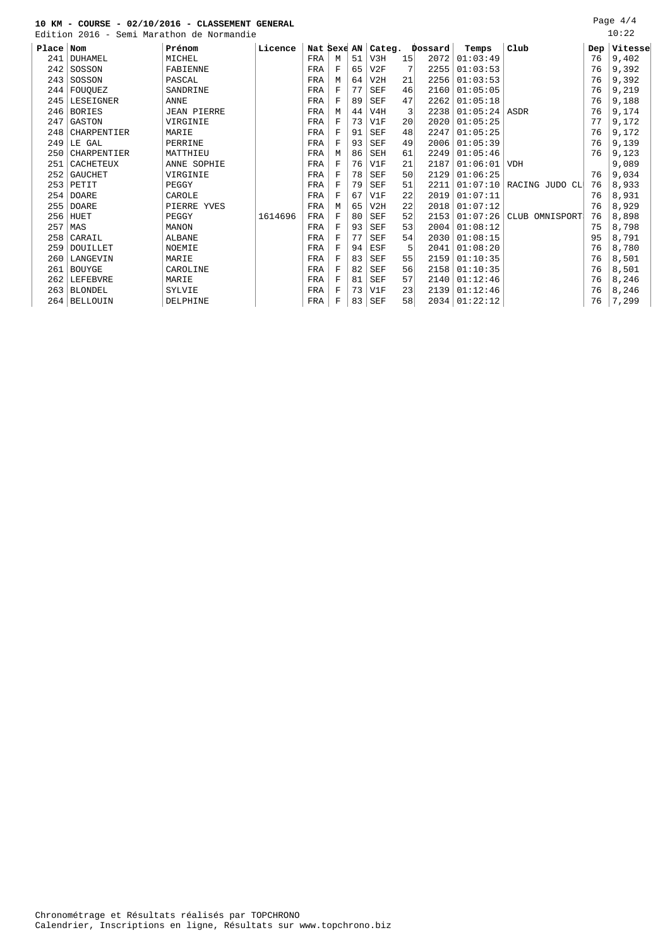Edition 2016 - Semi Marathon de Normandie

|           | RATATAN RATA<br>$\overline{\phantom{0}}$ | Semi marachon de Normandie |         |             |   |    |            |    |         |          |                          |     | - - - - - - |
|-----------|------------------------------------------|----------------------------|---------|-------------|---|----|------------|----|---------|----------|--------------------------|-----|-------------|
| Place Nom |                                          | Prénom                     | Licence | Nat Sexe AN |   |    | Categ.     |    | Dossard | Temps    | Club                     | Dep | Vitesse     |
| 241       | DUHAMEL                                  | MICHEL                     |         | FRA         | М | 51 | V3H        | 15 | 2072    | 01:03:49 |                          | 76  | 9,402       |
| 242       | SOSSON                                   | FABIENNE                   |         | FRA         | F | 65 | V2F        |    | 2255    | 01:03:53 |                          | 76  | 9,392       |
| 243       | SOSSON                                   | PASCAL                     |         | FRA         | М | 64 | V2H        | 21 | 2256    | 01:03:53 |                          | 76  | 9,392       |
| 244       | FOUOUEZ                                  | SANDRINE                   |         | FRA         | F | 77 | SEF        | 46 | 2160    | 01:05:05 |                          | 76  | 9,219       |
| 245       | LESEIGNER                                | <b>ANNE</b>                |         | FRA         | F | 89 | <b>SEF</b> | 47 | 2262    | 01:05:18 |                          | 76  | 9,188       |
| 246       | <b>BORIES</b>                            | <b>JEAN PIERRE</b>         |         | FRA         | М | 44 | V4H        | 3  | 2238    | 01:05:24 | ASDR                     | 76  | 9,174       |
| 247       | GASTON                                   | VIRGINIE                   |         | FRA         | F | 73 | V1F        | 20 | 2020    | 01:05:25 |                          | 77  | 9,172       |
| 248       | CHARPENTIER                              | MARIE                      |         | FRA         | F | 91 | <b>SEF</b> | 48 | 2247    | 01:05:25 |                          | 76  | 9,172       |
| 249       | LE GAL                                   | PERRINE                    |         | FRA         | F | 93 | <b>SEF</b> | 49 | 2006    | 01:05:39 |                          | 76  | 9,139       |
| 250       | CHARPENTIER                              | MATTHIEU                   |         | FRA         | М | 86 | SEH        | 61 | 2249    | 01:05:46 |                          | 76  | 9,123       |
| 251       | CACHETEUX                                | ANNE SOPHIE                |         | FRA         | F | 76 | V1F        | 21 | 2187    | 01:06:01 | <b>VDH</b>               |     | 9,089       |
| 252       | <b>GAUCHET</b>                           | VIRGINIE                   |         | FRA         | F | 78 | <b>SEF</b> | 50 | 2129    | 01:06:25 |                          | 76  | 9,034       |
| 253       | PETIT                                    | PEGGY                      |         | FRA         | F | 79 | <b>SEF</b> | 51 | 2211    | 01:07:10 | RACING JUDO CL           | 76  | 8,933       |
| 254       | <b>DOARE</b>                             | CAROLE                     |         | FRA         | F | 67 | V1F        | 22 | 2019    | 01:07:11 |                          | 76  | 8,931       |
| 255       | <b>DOARE</b>                             | PIERRE<br>YVES             |         | FRA         | М | 65 | V2H        | 22 | 2018    | 01:07:12 |                          | 76  | 8,929       |
| 256       | HUET                                     | PEGGY                      | 1614696 | FRA         | F | 80 | <b>SEF</b> | 52 | 2153    | 01:07:26 | <b>CLUB</b><br>OMNISPORT | 76  | 8,898       |
| 257       | MAS                                      | <b>MANON</b>               |         | FRA         | F | 93 | <b>SEF</b> | 53 | 2004    | 01:08:12 |                          | 75  | 8,798       |
| 258       | CARAIL                                   | <b>ALBANE</b>              |         | FRA         | F | 77 | <b>SEF</b> | 54 | 2030    | 01:08:15 |                          | 95  | 8,791       |
| 259       | DOUILLET                                 | NOEMIE                     |         | FRA         | F | 94 | ESF        |    | 2041    | 01:08:20 |                          | 76  | 8,780       |
| 260       | LANGEVIN                                 | MARIE                      |         | FRA         | F | 83 | <b>SEF</b> | 55 | 2159    | 01:10:35 |                          | 76  | 8,501       |
| 261       | <b>BOUYGE</b>                            | CAROLINE                   |         | FRA         | F | 82 | <b>SEF</b> | 56 | 2158    | 01:10:35 |                          | 76  | 8,501       |
| 262       | LEFEBVRE                                 | MARIE                      |         | FRA         | F | 81 | <b>SEF</b> | 57 | 2140    | 01:12:46 |                          | 76  | 8,246       |
| 263       | <b>BLONDEL</b>                           | SYLVIE                     |         | FRA         | F | 73 | V1F        | 23 | 2139    | 01:12:46 |                          | 76  | 8,246       |
| 264       | <b>BELLOUIN</b>                          | DELPHINE                   |         | FRA         | F | 83 | SEF        | 58 | 2034    | 01:22:12 |                          | 76  | 7,299       |
|           |                                          |                            |         |             |   |    |            |    |         |          |                          |     |             |

Page 4/4 10:22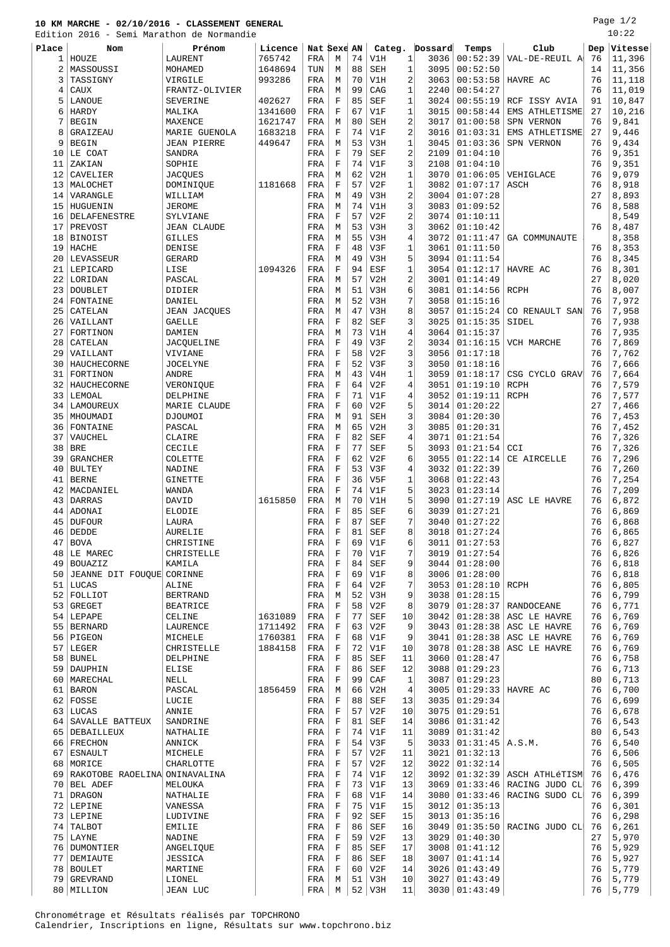# **10 KM MARCHE - 02/10/2016 - CLASSEMENT GENERAL**

Edition 2016 - Semi Marathon de Normandie

Page 1/2  $10:22$ 

|              |                               | Edition 2016 - Semi Marathon de Normandie |         |             |             |    |            |              |         |                   |                |     | 10.ZZ   |
|--------------|-------------------------------|-------------------------------------------|---------|-------------|-------------|----|------------|--------------|---------|-------------------|----------------|-----|---------|
| Place        | Nom                           | Prénom                                    | Licence | Nat Sexe AN |             |    | Categ.     |              | Dossard | Temps             | Club           | Dep | Vitesse |
| $\mathbf{1}$ | HOUZE                         | LAURENT                                   | 765742  | FRA         | М           | 74 | V1H        | $\mathbf{1}$ | 3036    | 00:52:39          | VAL-DE-REUIL A | 76  | 11,396  |
| 2            | MASSOUSSI                     | MOHAMED                                   | 1648694 | TUN         | M           | 88 | SEH        | $\mathbf{1}$ | 3095    | 00:52:50          |                | 14  | 11,356  |
|              |                               |                                           |         |             |             |    |            |              |         |                   |                |     |         |
| 3            | TASSIGNY                      | VIRGILE                                   | 993286  | FRA         | M           | 70 | V1H        | 2            | 3063    | 00:53:58          | HAVRE AC       | 76  | 11,118  |
| 4            | CAUX                          | FRANTZ-OLIVIER                            |         | FRA         | M           | 99 | CAG        | $\mathbf{1}$ | 2240    | 00:54:27          |                | 76  | 11,019  |
| 5            | LANOUE                        | SEVERINE                                  | 402627  | FRA         | $\mathbf F$ | 85 | SEF        | 1            | 3024    | 00:55:19          | RCF ISSY AVIA  | 91  | 10,847  |
| 6            | HARDY                         | MALIKA                                    | 1341600 | FRA         | $\mathbf F$ | 67 | V1F        | 1            | 3015    | 00:58:44          | EMS ATHLETISME | 27  | 10,216  |
| 7            | <b>BEGIN</b>                  | MAXENCE                                   | 1621747 | FRA         | M           | 80 | SEH        | 2            | 3017    | 01:00:58          | SPN VERNON     | 76  | 9,841   |
| 8            | GRAIZEAU                      | MARIE GUENOLA                             | 1683218 | FRA         | $\mathbf F$ | 74 | V1F        | 2            | 3016    | 01:03:31          | EMS ATHLETISME | 27  | 9,446   |
| 9            | <b>BEGIN</b>                  | <b>JEAN PIERRE</b>                        | 449647  | FRA         | М           | 53 | V3H        | $\mathbf{1}$ | 3045    | 01:03:36          | SPN VERNON     | 76  | 9,434   |
|              | LE COAT                       |                                           |         |             |             | 79 |            | 2            |         |                   |                | 76  |         |
| 10           |                               | SANDRA                                    |         | FRA         | $\mathbf F$ |    | <b>SEF</b> |              | 2109    | 01:04:10          |                |     | 9,351   |
| 11           | ZAKIAN                        | SOPHIE                                    |         | FRA         | $\mathbf F$ | 74 | V1F        | 3            | 2108    | 01:04:10          |                | 76  | 9,351   |
| 12           | CAVELIER                      | <b>JACQUES</b>                            |         | FRA         | М           | 62 | V2H        | $\mathbf{1}$ | 3070    | 01:06:05          | VEHIGLACE      | 76  | 9,079   |
| 13           | MALOCHET                      | DOMINIQUE                                 | 1181668 | FRA         | $\mathbf F$ | 57 | V2F        | $\mathbf{1}$ | 3082    | 01:07:17          | ASCH           | 76  | 8,918   |
| 14           | VARANGLE                      | WILLIAM                                   |         | FRA         | M           | 49 | V3H        | 2            | 3004    | 01:07:28          |                | 27  | 8,893   |
| 15           | HUGUENIN                      | <b>JEROME</b>                             |         | FRA         | М           | 74 | V1H        | 3            | 3083    | 01:09:52          |                | 76  | 8,588   |
| 16           | <b>DELAFENESTRE</b>           | SYLVIANE                                  |         | FRA         | $\mathbf F$ | 57 | V2F        | 2            | 3074    | 01:10:11          |                |     | 8,549   |
| 17           | PREVOST                       | <b>JEAN CLAUDE</b>                        |         | FRA         | М           | 53 | V3H        | 3            | 3062    | 01:10:42          |                | 76  | 8,487   |
|              |                               |                                           |         |             |             |    |            |              |         |                   |                |     |         |
| 18           | <b>BINOIST</b>                | <b>GILLES</b>                             |         | FRA         | M           | 55 | V3H        | 4            | 3072    | 01:11:47          | GA COMMUNAUTE  |     | 8,358   |
| 19           | <b>HACHE</b>                  | DENISE                                    |         | FRA         | $\mathbf F$ | 48 | V3F        | $\mathbf{1}$ | 3061    | 01:11:50          |                | 76  | 8,353   |
| 20           | LEVASSEUR                     | <b>GERARD</b>                             |         | FRA         | M           | 49 | V3H        | 5            | 3094    | 01:11:54          |                | 76  | 8,345   |
| 21           | LEPICARD                      | LISE                                      | 1094326 | FRA         | $\mathbf F$ | 94 | ESF        | 1            | 3054    | 01:12:17          | HAVRE AC       | 76  | 8,301   |
| 22           | LORIDAN                       | PASCAL                                    |         | FRA         | М           | 57 | V2H        | 2            | 3001    | 01:14:49          |                | 27  | 8,020   |
| 23           | <b>DOUBLET</b>                | DIDIER                                    |         | FRA         | M           | 51 | V3H        | 6            | 3081    | 01:14:56          | <b>RCPH</b>    | 76  | 8,007   |
| 24           | FONTAINE                      | DANIEL                                    |         | FRA         | М           | 52 | V3H        | 7            | 3058    | 01:15:16          |                | 76  | 7,972   |
|              |                               |                                           |         |             |             |    |            |              |         |                   |                |     |         |
| 25           | CATELAN                       | <b>JEAN JACOUES</b>                       |         | FRA         | M           | 47 | V3H        | 8            | 3057    | 01:15:24          | CO RENAULT SAN | 76  | 7,958   |
| 26           | VAILLANT                      | GAELLE                                    |         | FRA         | $\mathbf F$ | 82 | <b>SEF</b> | 3            | 3025    | 01:15:35          | SIDEL          | 76  | 7,938   |
| 27           | FORTINON                      | DAMIEN                                    |         | FRA         | М           | 73 | V1H        | 4            | 3064    | 01:15:37          |                | 76  | 7,935   |
| 28           | CATELAN                       | JACQUELINE                                |         | FRA         | $\mathbf F$ | 49 | V3F        | 2            | 3034    | 01:16:15          | VCH MARCHE     | 76  | 7,869   |
| 29           | VAILLANT                      | VIVIANE                                   |         | FRA         | $\mathbf F$ | 58 | V2F        | 3            | 3056    | 01:17:18          |                | 76  | 7,762   |
| 30           | HAUCHECORNE                   | <b>JOCELYNE</b>                           |         | FRA         | $\mathbf F$ | 52 | V3F        | 3            | 3050    | 01:18:16          |                | 76  | 7,666   |
| 31           | FORTINON                      | ANDRE                                     |         | FRA         | М           | 43 | V4H        | 1            | 3059    | 01:18:17          | CSG CYCLO GRAV | 76  | 7,664   |
|              |                               |                                           |         |             | $\mathbf F$ |    | V2F        | 4            |         |                   |                | 76  |         |
| 32           | HAUCHECORNE                   | VERONIQUE                                 |         | FRA         |             | 64 |            |              | 3051    | 01:19:10          | <b>RCPH</b>    |     | 7,579   |
| 33           | LEMOAL                        | DELPHINE                                  |         | FRA         | $\mathbf F$ | 71 | V1F        | 4            | 3052    | 01:19:11          | <b>RCPH</b>    | 76  | 7,577   |
| 34           | LAMOUREUX                     | MARIE CLAUDE                              |         | FRA         | F           | 60 | V2F        | 5            | 3014    | 01:20:22          |                | 27  | 7,466   |
| 35           | MHOUMADI                      | DJOUMOI                                   |         | FRA         | М           | 91 | <b>SEH</b> | 3            | 3084    | 01:20:30          |                | 76  | 7,453   |
| 36           | FONTAINE                      | PASCAL                                    |         | FRA         | M           | 65 | V2H        | 3            | 3085    | 01:20:31          |                | 76  | 7,452   |
| 37           | VAUCHEL                       | CLAIRE                                    |         | FRA         | $\rm F$     | 82 | <b>SEF</b> | 4            | 3071    | 01:21:54          |                | 76  | 7,326   |
| 38           | BRE                           | CECILE                                    |         | FRA         | F           | 77 | <b>SEF</b> | 5            | 3093    | 01:21:54          | CCI            | 76  | 7,326   |
| 39           | <b>GRANCHER</b>               | COLETTE                                   |         | FRA         | $\mathbf F$ | 62 | V2F        | 6            | 3055    | 01:22:14          | CE AIRCELLE    | 76  | 7,296   |
|              |                               |                                           |         |             |             |    |            |              |         |                   |                |     |         |
| 40           | <b>BULTEY</b>                 | NADINE                                    |         | FRA         | $\mathbf F$ | 53 | V3F        | 4            | 3032    | 01:22:39          |                | 76  | 7,260   |
| 41           | <b>BERNE</b>                  | GINETTE                                   |         | FRA         | $\mathbf F$ | 36 | V5F        | 1            | 3068    | 01:22:43          |                | 76  | 7,254   |
| 42           | MACDANIEL                     | WANDA                                     |         | FRA         | F           | 74 | V1F        | 5            | 3023    | 01:23:14          |                | 76  | 7,209   |
| 43           | <b>DARRAS</b>                 | DAVID                                     | 1615850 | FRA         | М           | 70 | V1H        | 5            | 3090    | 01:27:19          | ASC LE HAVRE   | 76  | 6,872   |
| 44           | ADONAI                        | <b>ELODIE</b>                             |         | FRA         | $\mathbf F$ | 85 | <b>SEF</b> | 6            | 3039    | 01:27:21          |                | 76  | 6,869   |
| 45           | <b>DUFOUR</b>                 | LAURA                                     |         | FRA         | F           | 87 | <b>SEF</b> | 7            | 3040    | 01:27:22          |                | 76  | 6,868   |
| 46           | DEDDE                         | <b>AURELIE</b>                            |         | FRA         | $\mathbf F$ | 81 | <b>SEF</b> | 8            | 3018    | 01:27:24          |                | 76  | 6,865   |
|              |                               |                                           |         |             |             |    |            |              |         |                   |                |     |         |
| 47           | <b>BOVA</b>                   | CHRISTINE                                 |         | FRA         | F           | 69 | V1F        | 6            | 3011    | 01:27:53          |                | 76  | 6,827   |
| 48           | LE MAREC                      | CHRISTELLE                                |         | FRA         | F           | 70 | V1F        | 7            | 3019    | 01:27:54          |                | 76  | 6,826   |
| 49           | BOUAZIZ                       | KAMILA                                    |         | FRA         | $\mathbf F$ | 84 | SEF        | 9            | 3044    | 01:28:00          |                | 76  | 6,818   |
| 50           | JEANNE DIT FOUQUE CORINNE     |                                           |         | FRA         | $\mathbf F$ | 69 | V1F        | 8            | 3006    | 01:28:00          |                | 76  | 6,818   |
| 51           | LUCAS                         | ALINE                                     |         | FRA         | F           | 64 | V2F        | 7            | 3053    | 01:28:10          | RCPH           | 76  | 6,805   |
| 52           | FOLLIOT                       | <b>BERTRAND</b>                           |         | FRA         | М           | 52 | V3H        | 9            | 3038    | 01:28:15          |                | 76  | 6,799   |
| 53           | <b>GREGET</b>                 | <b>BEATRICE</b>                           |         | FRA         | $\mathbf F$ | 58 | V2F        | 8            | 3079    | 01:28:37          | RANDOCEANE     | 76  | 6,771   |
|              |                               |                                           |         |             |             | 77 |            |              |         |                   | ASC LE HAVRE   | 76  |         |
| 54           | LEPAPE                        | CELINE                                    | 1631089 | FRA         | F           |    | SEF        | 10           | 3042    | 01:28:38          |                |     | 6,769   |
| 55           | <b>BERNARD</b>                | LAURENCE                                  | 1711492 | FRA         | $\mathbf F$ | 63 | V2F        | 9            | 3043    | 01:28:38          | ASC LE HAVRE   | 76  | 6,769   |
| 56           | PIGEON                        | MICHELE                                   | 1760381 | FRA         | F           | 68 | V1F        | 9            | 3041    | 01:28:38          | ASC LE HAVRE   | 76  | 6,769   |
| 57           | LEGER                         | CHRISTELLE                                | 1884158 | FRA         | F           | 72 | V1F        | 10           | 3078    | 01:28:38          | ASC LE HAVRE   | 76  | 6,769   |
| 58           | <b>BUNEL</b>                  | DELPHINE                                  |         | FRA         | $\mathbf F$ | 85 | SEF        | 11           | 3060    | 01:28:47          |                | 76  | 6,758   |
| 59           | DAUPHIN                       | ELISE                                     |         | FRA         | F           | 86 | SEF        | 12           | 3088    | 01:29:23          |                | 76  | 6,713   |
| 60           | MARECHAL                      | NELL                                      |         | FRA         | $\mathbf F$ | 99 | CAF        | 1            | 3087    | 01:29:23          |                | 80  | 6,713   |
| 61           | <b>BARON</b>                  | PASCAL                                    | 1856459 | FRA         | М           | 66 | V2H        | 4            | 3005    | 01:29:33          | HAVRE AC       | 76  | 6,700   |
|              |                               |                                           |         |             | $\mathbf F$ | 88 |            |              |         |                   |                | 76  |         |
| 62           | FOSSE                         | LUCIE                                     |         | FRA         |             |    | SEF        | 13           | 3035    | 01:29:34          |                |     | 6,699   |
| 63           | LUCAS                         | ANNIE                                     |         | FRA         | F           | 57 | V2F        | 10           | 3075    | 01:29:51          |                | 76  | 6,678   |
| 64           | SAVALLE BATTEUX               | SANDRINE                                  |         | FRA         | $\mathbf F$ | 81 | SEF        | 14           | 3086    | 01:31:42          |                | 76  | 6,543   |
| 65           | DEBAILLEUX                    | NATHALIE                                  |         | FRA         | F           | 74 | V1F        | 11           | 3089    | 01:31:42          |                | 80  | 6,543   |
| 66           | FRECHON                       | ANNICK                                    |         | FRA         | F           | 54 | V3F        | 5            | 3033    | 01:31:45   A.S.M. |                | 76  | 6,540   |
|              | 67 ESNAULT                    | MICHELE                                   |         | FRA         | $\mathbf F$ | 57 | V2F        | 11           | 3021    | 01:32:13          |                | 76  | 6,506   |
| 68           | MORICE                        | CHARLOTTE                                 |         | FRA         | F           | 57 | V2F        | 12           | 3022    | 01:32:14          |                | 76  | 6,505   |
|              |                               |                                           |         |             |             |    |            |              |         |                   |                |     |         |
| 69           | RAKOTOBE RAOELINA ONINAVALINA |                                           |         | FRA         | $\mathbf F$ | 74 | V1F        | 12           | 3092    | 01:32:39          | ASCH ATHLéTISM | 76  | 6,476   |
| 70           | BEL ADEF                      | MELOUKA                                   |         | FRA         | F           | 73 | V1F        | 13           | 3069    | 01:33:46          | RACING JUDO CL | 76  | 6,399   |
| 71           | <b>DRAGON</b>                 | NATHALIE                                  |         | FRA         | $\mathbf F$ | 68 | V1F        | 14           | 3080    | 01:33:46          | RACING SUDO CL | 76  | 6,399   |
|              | 72 LEPINE                     | VANESSA                                   |         | FRA         | F           | 75 | V1F        | 15           | 3012    | 01:35:13          |                | 76  | 6,301   |
| 73           | LEPINE                        | LUDIVINE                                  |         | FRA         | F           | 92 | SEF        | 15           | 3013    | 01:35:16          |                | 76  | 6,298   |
| 74           | TALBOT                        | EMILIE                                    |         | FRA         | F           | 86 | SEF        | 16           | 3049    | 01:35:50          | RACING JUDO CL | 76  | 6,261   |
| 75           | LAYNE                         | NADINE                                    |         | FRA         | F           | 59 | V2F        | 13           | 3029    | 01:40:30          |                | 27  | 5,970   |
|              | 76   DUMONTIER                | ANGELIQUE                                 |         | FRA         | F           | 85 | SEF        | 17           | 3008    | 01:41:12          |                | 76  | 5,929   |
|              |                               |                                           |         |             |             |    |            |              |         |                   |                |     |         |
| 77           | DEMIAUTE                      | JESSICA                                   |         | FRA         | F           | 86 | SEF        | 18           | 3007    | 01:41:14          |                | 76  | 5,927   |
| 78           | <b>BOULET</b>                 | MARTINE                                   |         | FRA         | $\mathbf F$ | 60 | V2F        | 14           | 3026    | 01:43:49          |                | 76  | 5,779   |
| 79           | <b>GREVRAND</b>               | LIONEL                                    |         | FRA         | М           | 51 | V3H        | 10           | 3027    | 01:43:49          |                | 76  | 5,779   |
|              | 80   MILLION                  | JEAN LUC                                  |         | FRA         | М           |    | $52$ V3H   | 11           |         | 3030   01:43:49   |                | 76  | 5,779   |